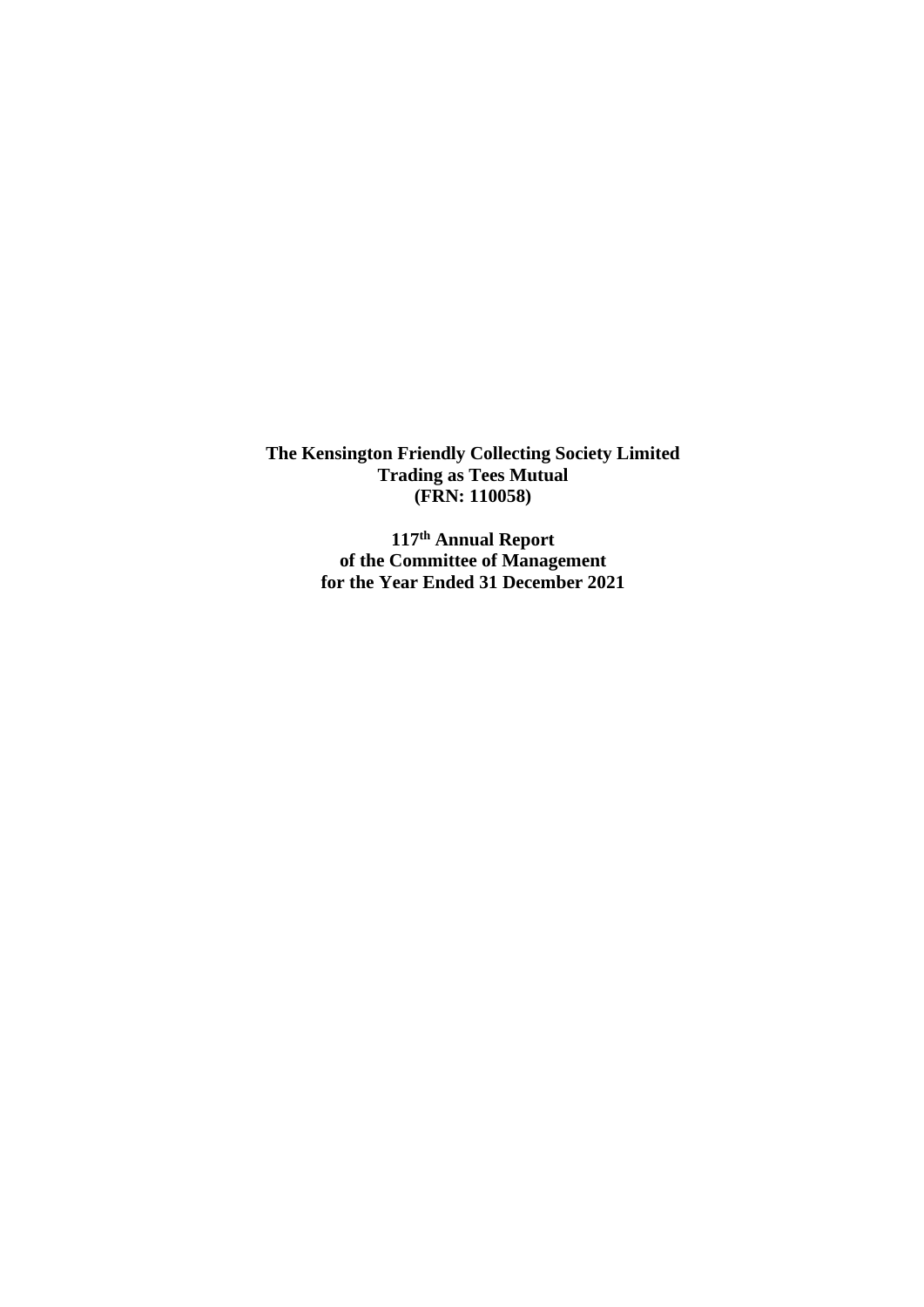> **117 th Annual Report of the Committee of Management for the Year Ended 31 December 2021**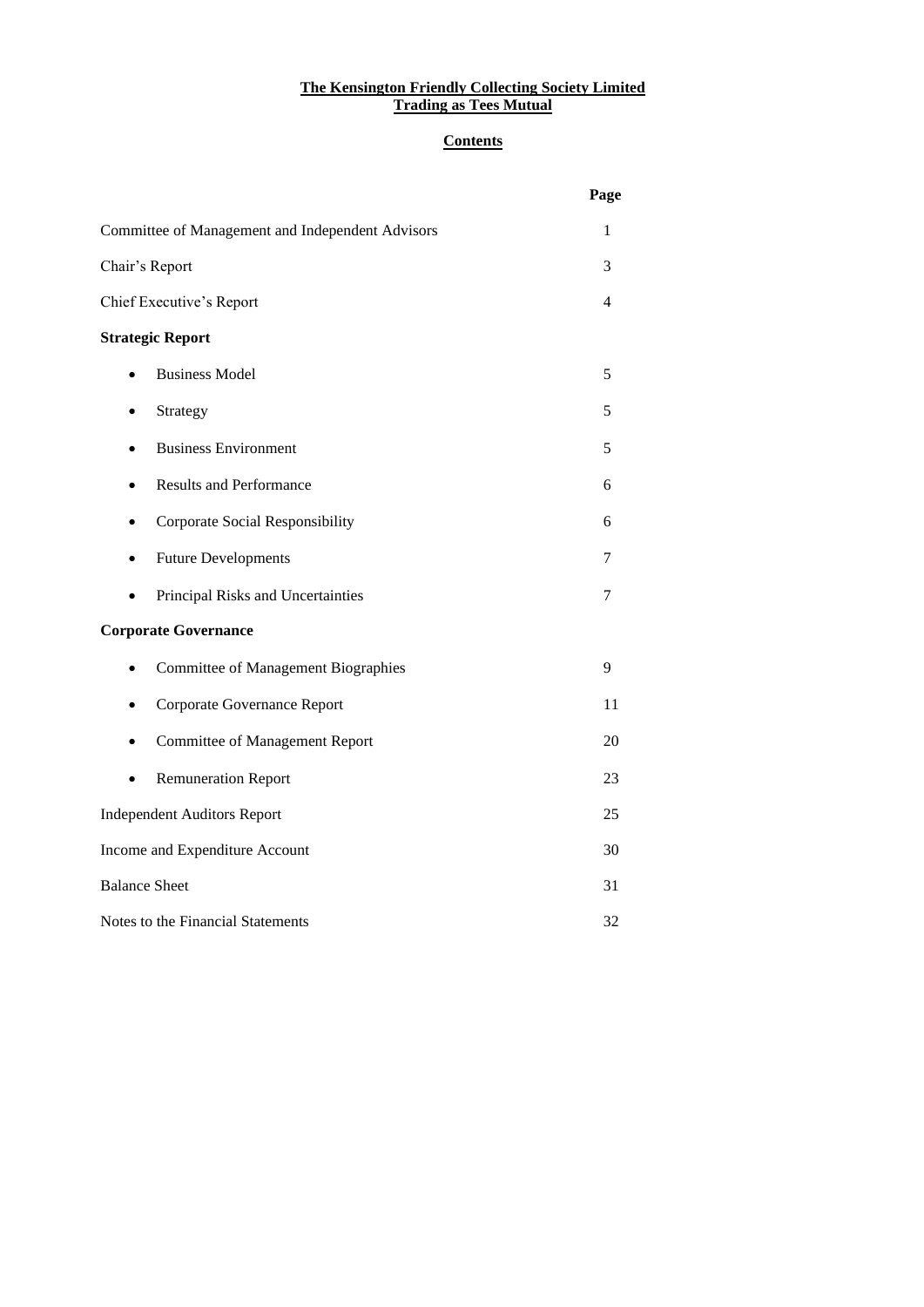# **Contents**

|                                                  | Page           |
|--------------------------------------------------|----------------|
| Committee of Management and Independent Advisors | 1              |
| Chair's Report                                   | 3              |
| Chief Executive's Report                         | $\overline{4}$ |
| <b>Strategic Report</b>                          |                |
| <b>Business Model</b>                            | 5              |
| Strategy                                         | 5              |
| <b>Business Environment</b>                      | 5              |
| <b>Results and Performance</b>                   | 6              |
| Corporate Social Responsibility<br>٠             | 6              |
| <b>Future Developments</b>                       | 7              |
| Principal Risks and Uncertainties                | $\tau$         |
| <b>Corporate Governance</b>                      |                |
| <b>Committee of Management Biographies</b>       | 9              |
| Corporate Governance Report                      | 11             |
| <b>Committee of Management Report</b>            | 20             |
| <b>Remuneration Report</b>                       | 23             |
| <b>Independent Auditors Report</b>               | 25             |
| Income and Expenditure Account                   | 30             |
| <b>Balance Sheet</b>                             | 31             |
| Notes to the Financial Statements                | 32             |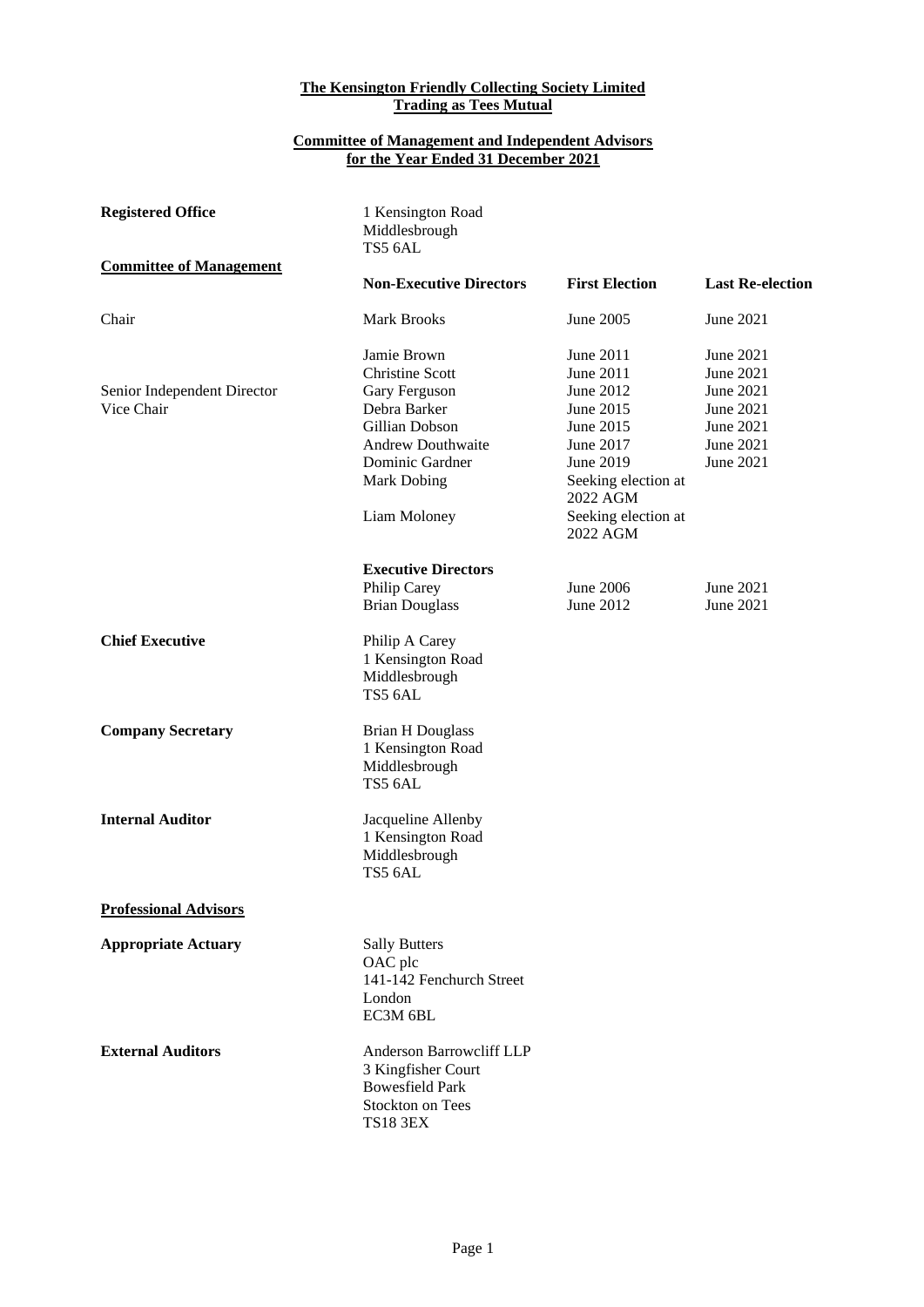#### **Committee of Management and Independent Advisors for the Year Ended 31 December 2021**

| <b>Registered Office</b>                  | 1 Kensington Road<br>Middlesbrough<br>TS5 6AL                                                                          |                                                                                     |                                                  |
|-------------------------------------------|------------------------------------------------------------------------------------------------------------------------|-------------------------------------------------------------------------------------|--------------------------------------------------|
| <b>Committee of Management</b>            |                                                                                                                        |                                                                                     |                                                  |
|                                           | <b>Non-Executive Directors</b>                                                                                         | <b>First Election</b>                                                               | <b>Last Re-election</b>                          |
| Chair                                     | <b>Mark Brooks</b>                                                                                                     | June 2005                                                                           | June 2021                                        |
|                                           | Jamie Brown<br><b>Christine Scott</b>                                                                                  | June 2011<br>June 2011<br>June 2012                                                 | June 2021<br>June 2021<br>June 2021              |
| Senior Independent Director<br>Vice Chair | Gary Ferguson<br>Debra Barker<br>Gillian Dobson<br><b>Andrew Douthwaite</b><br>Dominic Gardner<br><b>Mark Dobing</b>   | June 2015<br>June 2015<br>June 2017<br>June 2019<br>Seeking election at<br>2022 AGM | June 2021<br>June 2021<br>June 2021<br>June 2021 |
|                                           | Liam Moloney                                                                                                           | Seeking election at<br>2022 AGM                                                     |                                                  |
|                                           | <b>Executive Directors</b>                                                                                             |                                                                                     |                                                  |
|                                           | Philip Carey                                                                                                           | <b>June 2006</b>                                                                    | June 2021                                        |
|                                           | <b>Brian Douglass</b>                                                                                                  | June 2012                                                                           | June 2021                                        |
| <b>Chief Executive</b>                    | Philip A Carey<br>1 Kensington Road<br>Middlesbrough<br>TS5 6AL                                                        |                                                                                     |                                                  |
| <b>Company Secretary</b>                  | <b>Brian H Douglass</b><br>1 Kensington Road<br>Middlesbrough<br>TS5 6AL                                               |                                                                                     |                                                  |
| <b>Internal Auditor</b>                   | Jacqueline Allenby<br>1 Kensington Road<br>Middlesbrough<br>TS5 6AL                                                    |                                                                                     |                                                  |
| <b>Professional Advisors</b>              |                                                                                                                        |                                                                                     |                                                  |
| <b>Appropriate Actuary</b>                | <b>Sally Butters</b><br>OAC plc<br>141-142 Fenchurch Street<br>London<br>EC3M 6BL                                      |                                                                                     |                                                  |
| <b>External Auditors</b>                  | Anderson Barrowcliff LLP<br>3 Kingfisher Court<br><b>Bowesfield Park</b><br><b>Stockton on Tees</b><br><b>TS18 3EX</b> |                                                                                     |                                                  |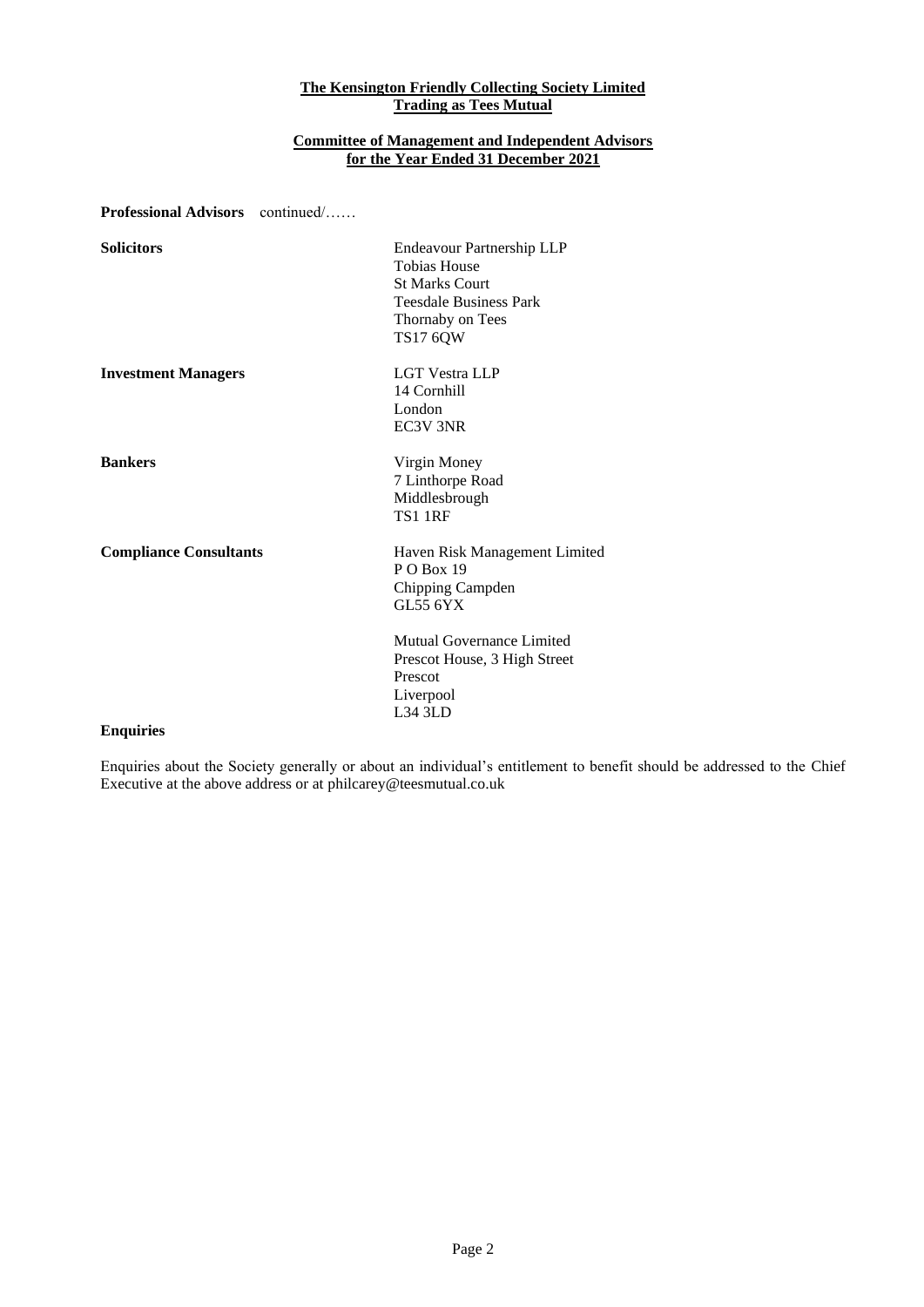# **Committee of Management and Independent Advisors for the Year Ended 31 December 2021**

**Professional Advisors** continued/……

| <b>Solicitors</b>             | Endeavour Partnership LLP     |
|-------------------------------|-------------------------------|
|                               | <b>Tobias House</b>           |
|                               | <b>St Marks Court</b>         |
|                               | <b>Teesdale Business Park</b> |
|                               | Thornaby on Tees              |
|                               | <b>TS17 6QW</b>               |
| <b>Investment Managers</b>    | <b>LGT Vestra LLP</b>         |
|                               | 14 Cornhill                   |
|                               | London                        |
|                               | EC3V 3NR                      |
| <b>Bankers</b>                | Virgin Money                  |
|                               | 7 Linthorpe Road              |
|                               | Middlesbrough                 |
|                               | <b>TS1 1RF</b>                |
| <b>Compliance Consultants</b> | Haven Risk Management Limited |
|                               | P O Box 19                    |
|                               | Chipping Campden              |
|                               | GL55 6YX                      |
|                               | Mutual Governance Limited     |
|                               | Prescot House, 3 High Street  |
|                               | Prescot                       |
|                               | Liverpool                     |
|                               | L34 3LD                       |
| <b>Enquiries</b>              |                               |

Enquiries about the Society generally or about an individual's entitlement to benefit should be addressed to the Chief Executive at the above address or at philcarey@teesmutual.co.uk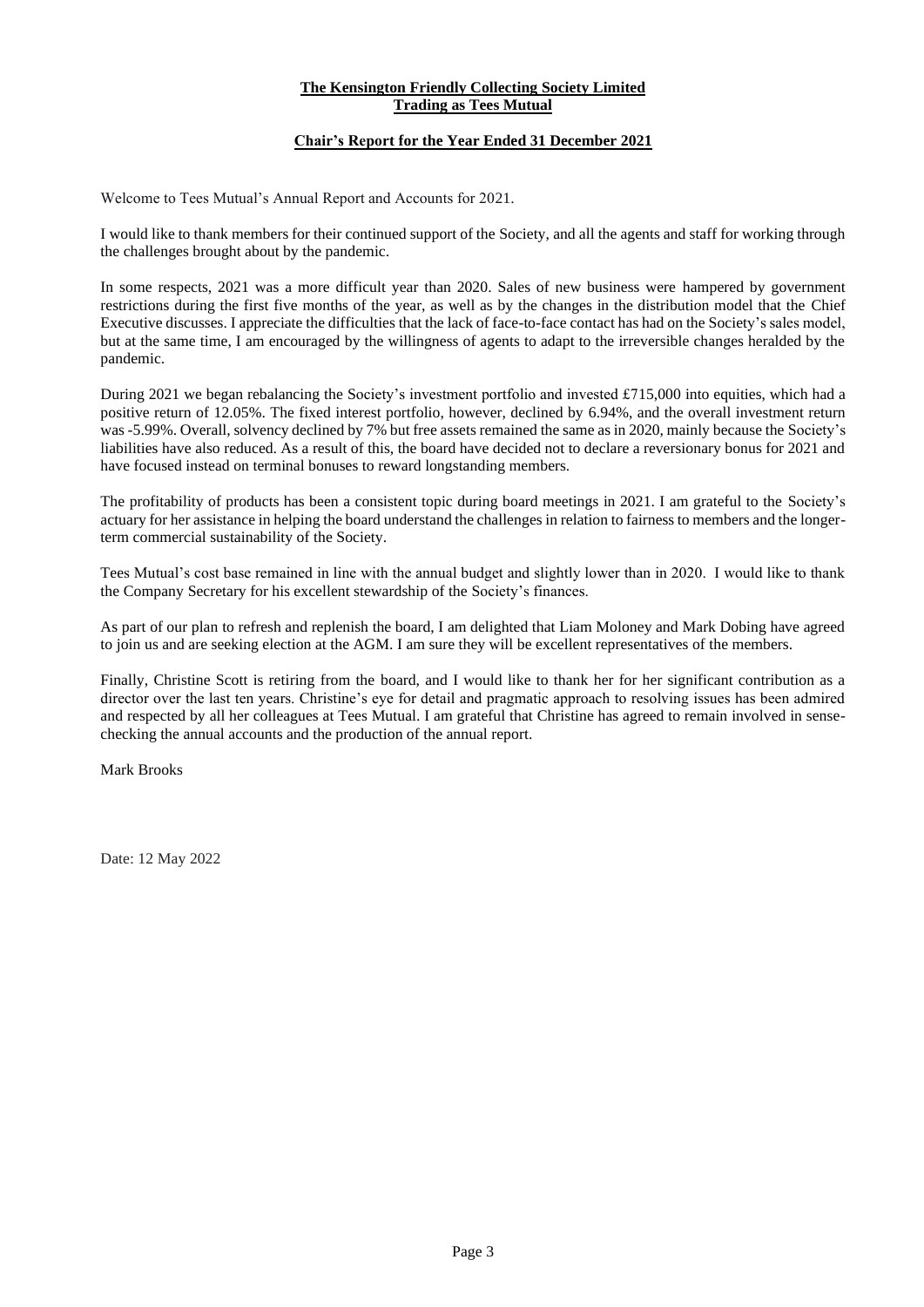# **Chair's Report for the Year Ended 31 December 2021**

Welcome to Tees Mutual's Annual Report and Accounts for 2021.

I would like to thank members for their continued support of the Society, and all the agents and staff for working through the challenges brought about by the pandemic.

In some respects, 2021 was a more difficult year than 2020. Sales of new business were hampered by government restrictions during the first five months of the year, as well as by the changes in the distribution model that the Chief Executive discusses. I appreciate the difficulties that the lack of face-to-face contact has had on the Society's sales model, but at the same time, I am encouraged by the willingness of agents to adapt to the irreversible changes heralded by the pandemic.

During 2021 we began rebalancing the Society's investment portfolio and invested £715,000 into equities, which had a positive return of 12.05%. The fixed interest portfolio, however, declined by 6.94%, and the overall investment return was -5.99%. Overall, solvency declined by 7% but free assets remained the same as in 2020, mainly because the Society's liabilities have also reduced. As a result of this, the board have decided not to declare a reversionary bonus for 2021 and have focused instead on terminal bonuses to reward longstanding members.

The profitability of products has been a consistent topic during board meetings in 2021. I am grateful to the Society's actuary for her assistance in helping the board understand the challenges in relation to fairness to members and the longerterm commercial sustainability of the Society.

Tees Mutual's cost base remained in line with the annual budget and slightly lower than in 2020. I would like to thank the Company Secretary for his excellent stewardship of the Society's finances.

As part of our plan to refresh and replenish the board, I am delighted that Liam Moloney and Mark Dobing have agreed to join us and are seeking election at the AGM. I am sure they will be excellent representatives of the members.

Finally, Christine Scott is retiring from the board, and I would like to thank her for her significant contribution as a director over the last ten years. Christine's eye for detail and pragmatic approach to resolving issues has been admired and respected by all her colleagues at Tees Mutual. I am grateful that Christine has agreed to remain involved in sensechecking the annual accounts and the production of the annual report.

Mark Brooks

Date: 12 May 2022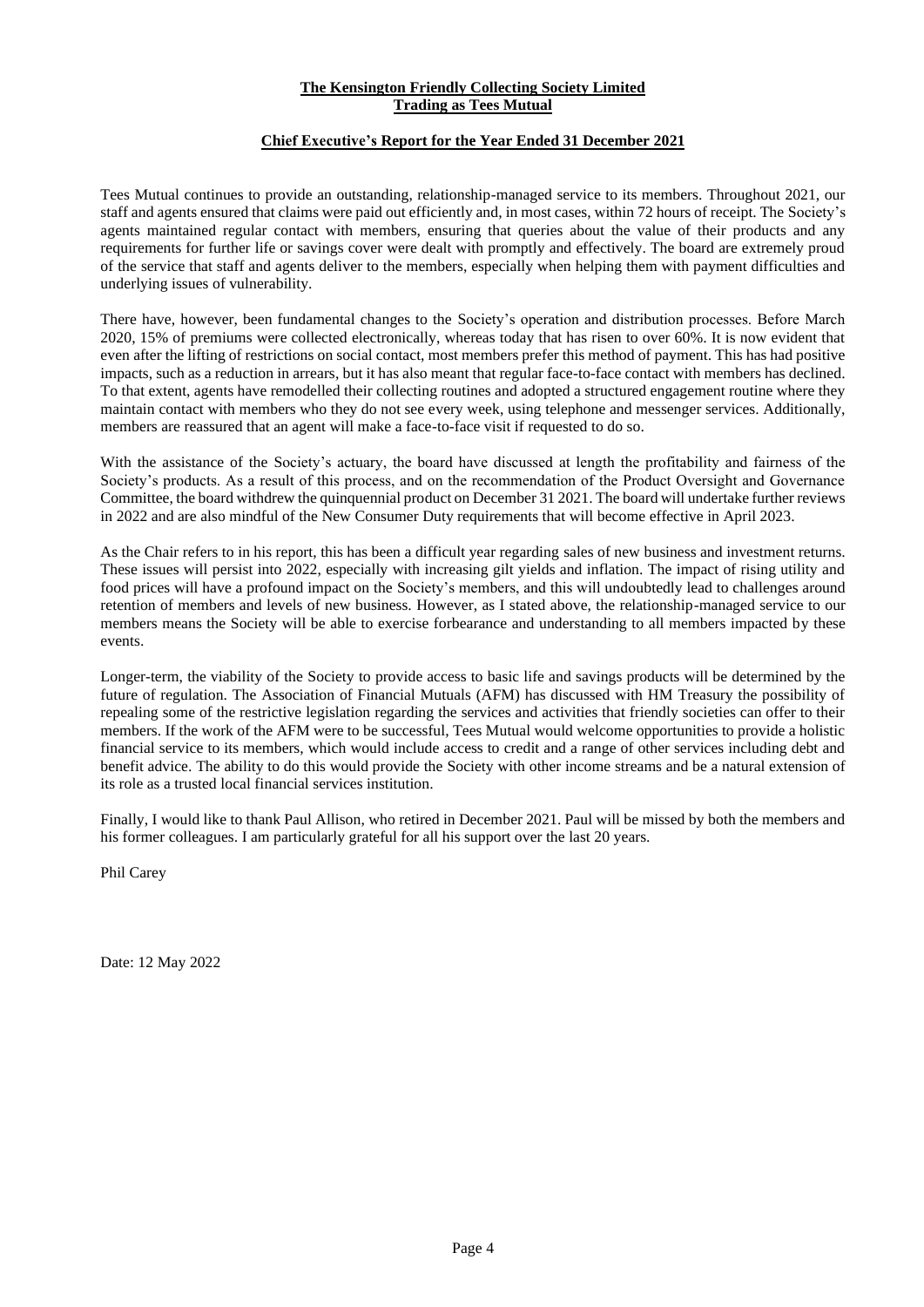# **Chief Executive's Report for the Year Ended 31 December 2021**

Tees Mutual continues to provide an outstanding, relationship-managed service to its members. Throughout 2021, our staff and agents ensured that claims were paid out efficiently and, in most cases, within 72 hours of receipt. The Society's agents maintained regular contact with members, ensuring that queries about the value of their products and any requirements for further life or savings cover were dealt with promptly and effectively. The board are extremely proud of the service that staff and agents deliver to the members, especially when helping them with payment difficulties and underlying issues of vulnerability.

There have, however, been fundamental changes to the Society's operation and distribution processes. Before March 2020, 15% of premiums were collected electronically, whereas today that has risen to over 60%. It is now evident that even after the lifting of restrictions on social contact, most members prefer this method of payment. This has had positive impacts, such as a reduction in arrears, but it has also meant that regular face-to-face contact with members has declined. To that extent, agents have remodelled their collecting routines and adopted a structured engagement routine where they maintain contact with members who they do not see every week, using telephone and messenger services. Additionally, members are reassured that an agent will make a face-to-face visit if requested to do so.

With the assistance of the Society's actuary, the board have discussed at length the profitability and fairness of the Society's products. As a result of this process, and on the recommendation of the Product Oversight and Governance Committee, the board withdrew the quinquennial product on December 31 2021. The board will undertake further reviews in 2022 and are also mindful of the New Consumer Duty requirements that will become effective in April 2023.

As the Chair refers to in his report, this has been a difficult year regarding sales of new business and investment returns. These issues will persist into 2022, especially with increasing gilt yields and inflation. The impact of rising utility and food prices will have a profound impact on the Society's members, and this will undoubtedly lead to challenges around retention of members and levels of new business. However, as I stated above, the relationship-managed service to our members means the Society will be able to exercise forbearance and understanding to all members impacted by these events.

Longer-term, the viability of the Society to provide access to basic life and savings products will be determined by the future of regulation. The Association of Financial Mutuals (AFM) has discussed with HM Treasury the possibility of repealing some of the restrictive legislation regarding the services and activities that friendly societies can offer to their members. If the work of the AFM were to be successful, Tees Mutual would welcome opportunities to provide a holistic financial service to its members, which would include access to credit and a range of other services including debt and benefit advice. The ability to do this would provide the Society with other income streams and be a natural extension of its role as a trusted local financial services institution.

Finally, I would like to thank Paul Allison, who retired in December 2021. Paul will be missed by both the members and his former colleagues. I am particularly grateful for all his support over the last 20 years.

Phil Carey

Date: 12 May 2022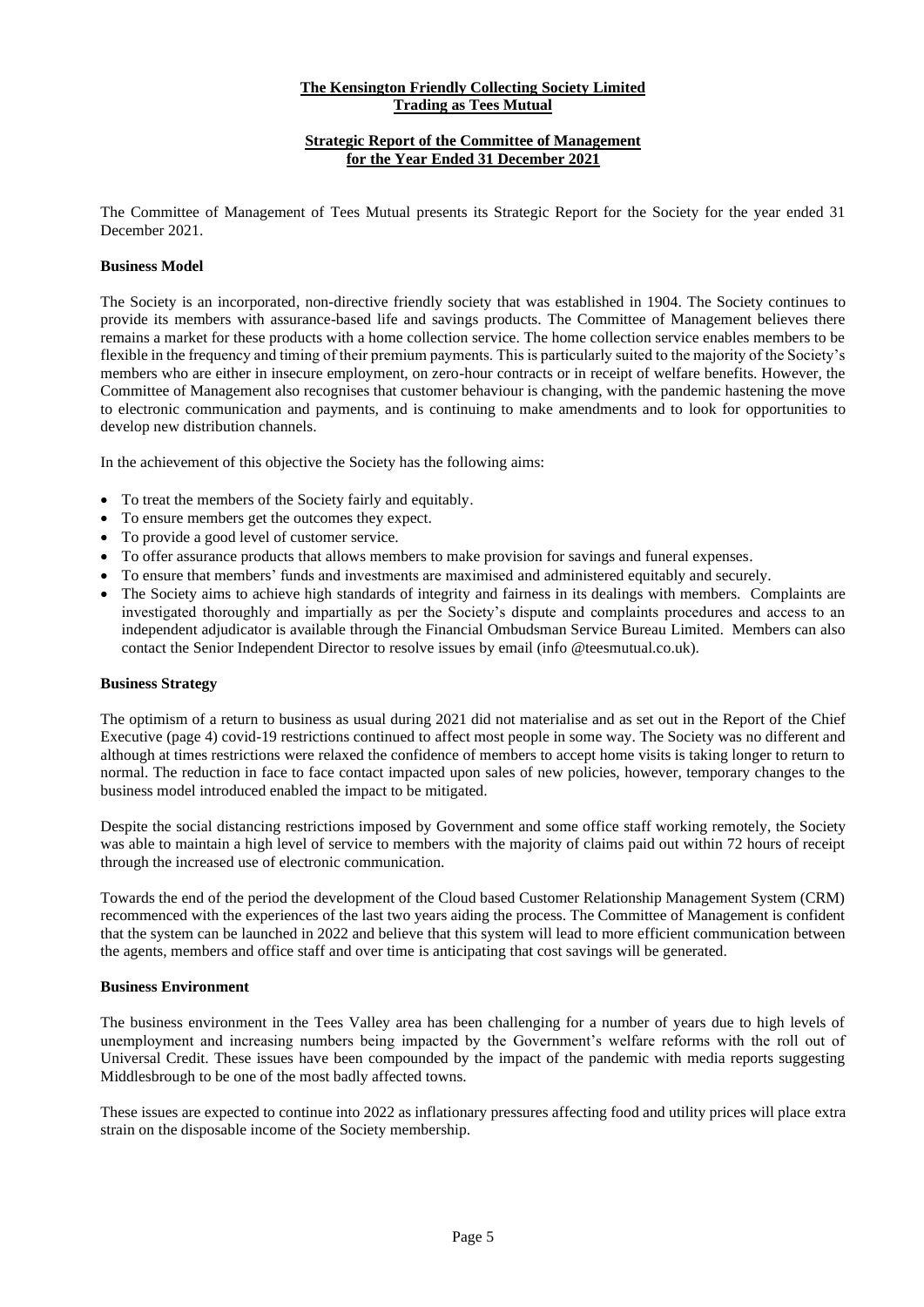# **Strategic Report of the Committee of Management for the Year Ended 31 December 2021**

The Committee of Management of Tees Mutual presents its Strategic Report for the Society for the year ended 31 December 2021.

#### **Business Model**

The Society is an incorporated, non-directive friendly society that was established in 1904. The Society continues to provide its members with assurance-based life and savings products. The Committee of Management believes there remains a market for these products with a home collection service. The home collection service enables members to be flexible in the frequency and timing of their premium payments. This is particularly suited to the majority of the Society's members who are either in insecure employment, on zero-hour contracts or in receipt of welfare benefits. However, the Committee of Management also recognises that customer behaviour is changing, with the pandemic hastening the move to electronic communication and payments, and is continuing to make amendments and to look for opportunities to develop new distribution channels.

In the achievement of this objective the Society has the following aims:

- To treat the members of the Society fairly and equitably.
- To ensure members get the outcomes they expect.
- To provide a good level of customer service.
- To offer assurance products that allows members to make provision for savings and funeral expenses.
- To ensure that members' funds and investments are maximised and administered equitably and securely.
- The Society aims to achieve high standards of integrity and fairness in its dealings with members. Complaints are investigated thoroughly and impartially as per the Society's dispute and complaints procedures and access to an independent adjudicator is available through the Financial Ombudsman Service Bureau Limited. Members can also contact the Senior Independent Director to resolve issues by email (info @teesmutual.co.uk).

# **Business Strategy**

The optimism of a return to business as usual during 2021 did not materialise and as set out in the Report of the Chief Executive (page 4) covid-19 restrictions continued to affect most people in some way. The Society was no different and although at times restrictions were relaxed the confidence of members to accept home visits is taking longer to return to normal. The reduction in face to face contact impacted upon sales of new policies, however, temporary changes to the business model introduced enabled the impact to be mitigated.

Despite the social distancing restrictions imposed by Government and some office staff working remotely, the Society was able to maintain a high level of service to members with the majority of claims paid out within 72 hours of receipt through the increased use of electronic communication.

Towards the end of the period the development of the Cloud based Customer Relationship Management System (CRM) recommenced with the experiences of the last two years aiding the process. The Committee of Management is confident that the system can be launched in 2022 and believe that this system will lead to more efficient communication between the agents, members and office staff and over time is anticipating that cost savings will be generated.

#### **Business Environment**

The business environment in the Tees Valley area has been challenging for a number of years due to high levels of unemployment and increasing numbers being impacted by the Government's welfare reforms with the roll out of Universal Credit. These issues have been compounded by the impact of the pandemic with media reports suggesting Middlesbrough to be one of the most badly affected towns.

These issues are expected to continue into 2022 as inflationary pressures affecting food and utility prices will place extra strain on the disposable income of the Society membership.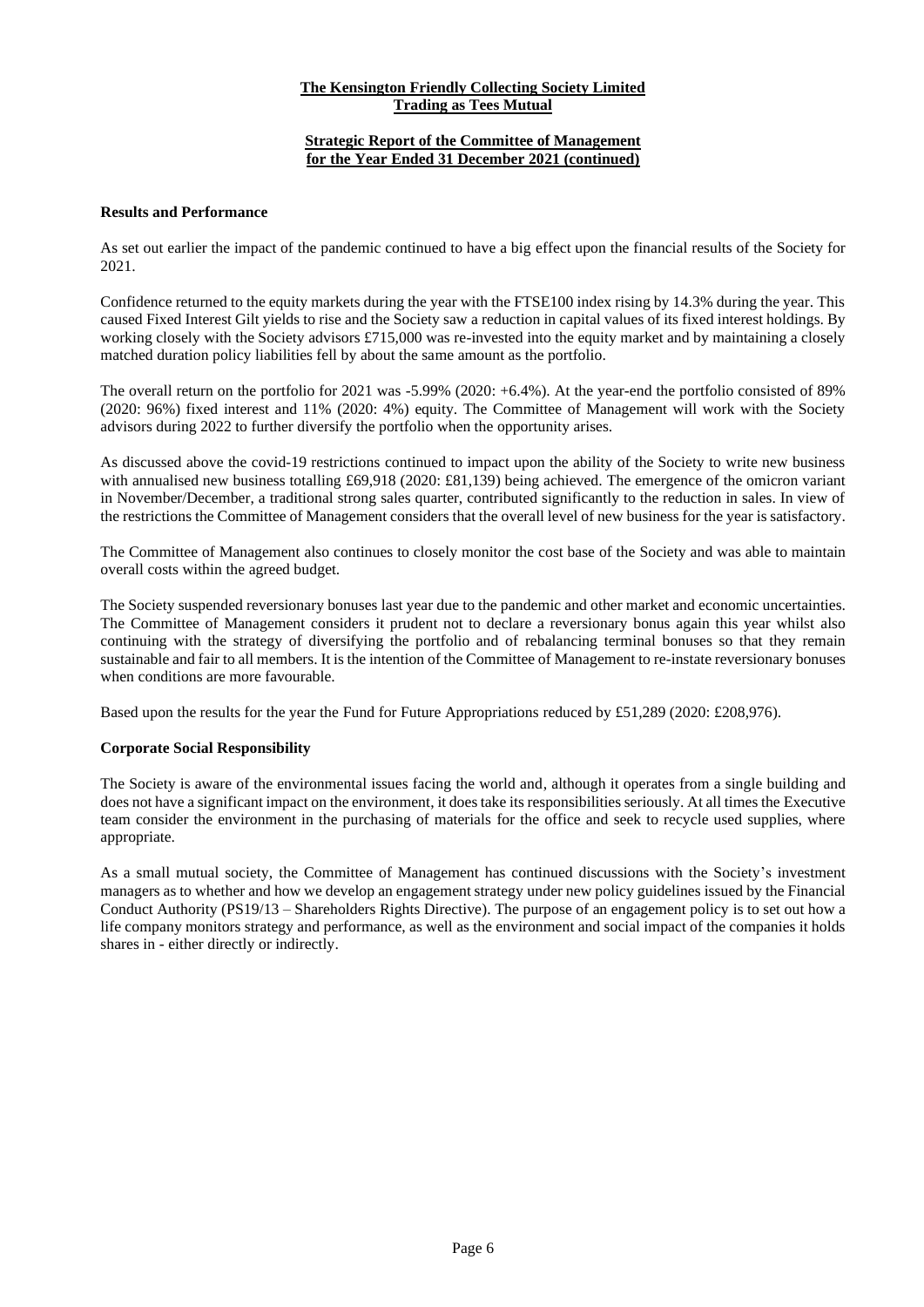# **Strategic Report of the Committee of Management for the Year Ended 31 December 2021 (continued)**

# **Results and Performance**

As set out earlier the impact of the pandemic continued to have a big effect upon the financial results of the Society for 2021.

Confidence returned to the equity markets during the year with the FTSE100 index rising by 14.3% during the year. This caused Fixed Interest Gilt yields to rise and the Society saw a reduction in capital values of its fixed interest holdings. By working closely with the Society advisors £715,000 was re-invested into the equity market and by maintaining a closely matched duration policy liabilities fell by about the same amount as the portfolio.

The overall return on the portfolio for 2021 was -5.99% (2020: +6.4%). At the year-end the portfolio consisted of 89% (2020: 96%) fixed interest and 11% (2020: 4%) equity. The Committee of Management will work with the Society advisors during 2022 to further diversify the portfolio when the opportunity arises.

As discussed above the covid-19 restrictions continued to impact upon the ability of the Society to write new business with annualised new business totalling £69,918 (2020: £81,139) being achieved. The emergence of the omicron variant in November/December, a traditional strong sales quarter, contributed significantly to the reduction in sales. In view of the restrictions the Committee of Management considers that the overall level of new business for the year is satisfactory.

The Committee of Management also continues to closely monitor the cost base of the Society and was able to maintain overall costs within the agreed budget.

The Society suspended reversionary bonuses last year due to the pandemic and other market and economic uncertainties. The Committee of Management considers it prudent not to declare a reversionary bonus again this year whilst also continuing with the strategy of diversifying the portfolio and of rebalancing terminal bonuses so that they remain sustainable and fair to all members. It is the intention of the Committee of Management to re-instate reversionary bonuses when conditions are more favourable.

Based upon the results for the year the Fund for Future Appropriations reduced by £51,289 (2020: £208,976).

# **Corporate Social Responsibility**

The Society is aware of the environmental issues facing the world and, although it operates from a single building and does not have a significant impact on the environment, it does take its responsibilities seriously. At all times the Executive team consider the environment in the purchasing of materials for the office and seek to recycle used supplies, where appropriate.

As a small mutual society, the Committee of Management has continued discussions with the Society's investment managers as to whether and how we develop an engagement strategy under new policy guidelines issued by the Financial Conduct Authority (PS19/13 – Shareholders Rights Directive). The purpose of an engagement policy is to set out how a life company monitors strategy and performance, as well as the environment and social impact of the companies it holds shares in - either directly or indirectly.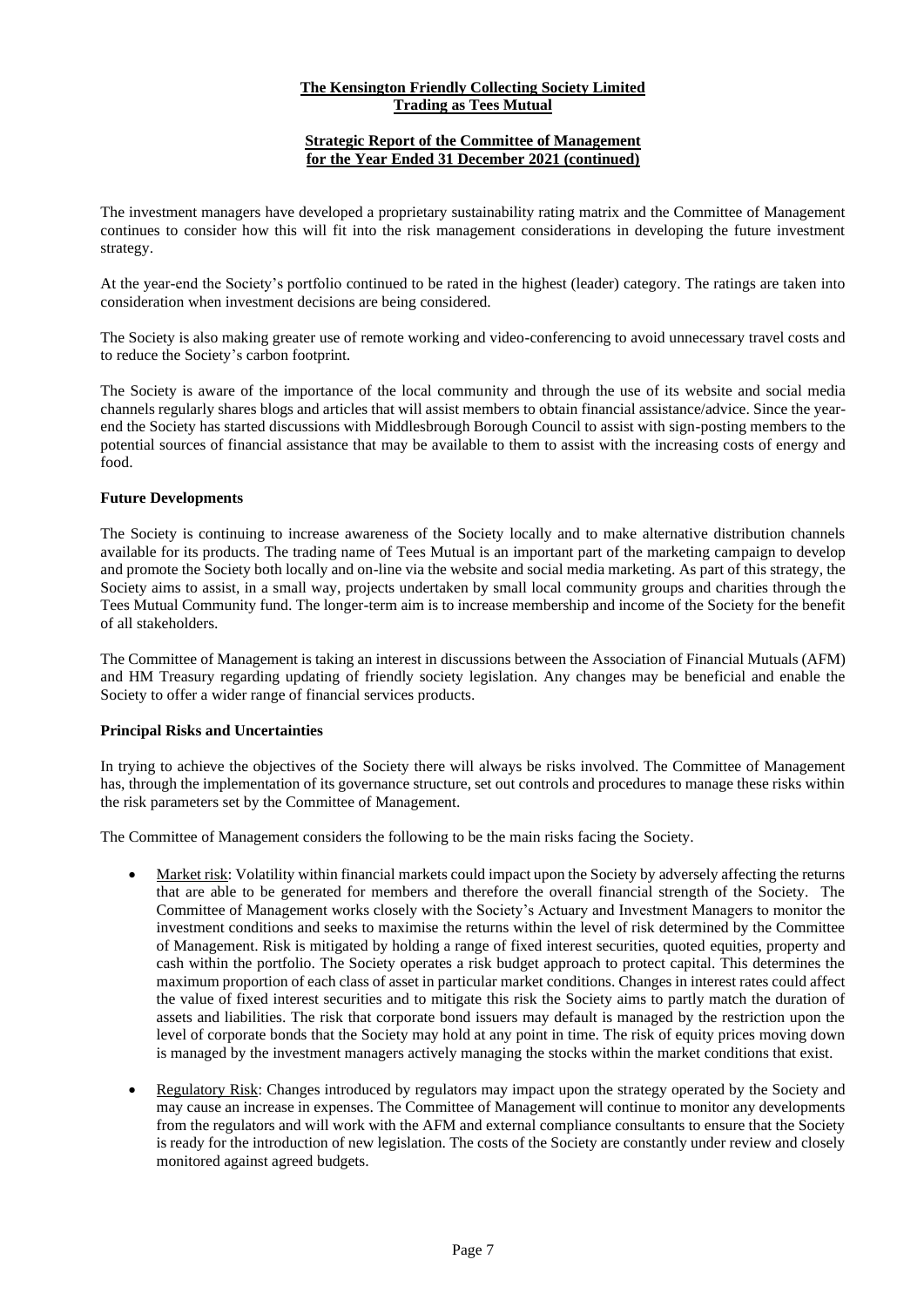# **Strategic Report of the Committee of Management for the Year Ended 31 December 2021 (continued)**

The investment managers have developed a proprietary sustainability rating matrix and the Committee of Management continues to consider how this will fit into the risk management considerations in developing the future investment strategy.

At the year-end the Society's portfolio continued to be rated in the highest (leader) category. The ratings are taken into consideration when investment decisions are being considered.

The Society is also making greater use of remote working and video-conferencing to avoid unnecessary travel costs and to reduce the Society's carbon footprint.

The Society is aware of the importance of the local community and through the use of its website and social media channels regularly shares blogs and articles that will assist members to obtain financial assistance/advice. Since the yearend the Society has started discussions with Middlesbrough Borough Council to assist with sign-posting members to the potential sources of financial assistance that may be available to them to assist with the increasing costs of energy and food.

# **Future Developments**

The Society is continuing to increase awareness of the Society locally and to make alternative distribution channels available for its products. The trading name of Tees Mutual is an important part of the marketing campaign to develop and promote the Society both locally and on-line via the website and social media marketing. As part of this strategy, the Society aims to assist, in a small way, projects undertaken by small local community groups and charities through the Tees Mutual Community fund. The longer-term aim is to increase membership and income of the Society for the benefit of all stakeholders.

The Committee of Management is taking an interest in discussions between the Association of Financial Mutuals (AFM) and HM Treasury regarding updating of friendly society legislation. Any changes may be beneficial and enable the Society to offer a wider range of financial services products.

# **Principal Risks and Uncertainties**

In trying to achieve the objectives of the Society there will always be risks involved. The Committee of Management has, through the implementation of its governance structure, set out controls and procedures to manage these risks within the risk parameters set by the Committee of Management.

The Committee of Management considers the following to be the main risks facing the Society.

- Market risk: Volatility within financial markets could impact upon the Society by adversely affecting the returns that are able to be generated for members and therefore the overall financial strength of the Society. The Committee of Management works closely with the Society's Actuary and Investment Managers to monitor the investment conditions and seeks to maximise the returns within the level of risk determined by the Committee of Management. Risk is mitigated by holding a range of fixed interest securities, quoted equities, property and cash within the portfolio. The Society operates a risk budget approach to protect capital. This determines the maximum proportion of each class of asset in particular market conditions. Changes in interest rates could affect the value of fixed interest securities and to mitigate this risk the Society aims to partly match the duration of assets and liabilities. The risk that corporate bond issuers may default is managed by the restriction upon the level of corporate bonds that the Society may hold at any point in time. The risk of equity prices moving down is managed by the investment managers actively managing the stocks within the market conditions that exist.
- Regulatory Risk: Changes introduced by regulators may impact upon the strategy operated by the Society and may cause an increase in expenses. The Committee of Management will continue to monitor any developments from the regulators and will work with the AFM and external compliance consultants to ensure that the Society is ready for the introduction of new legislation. The costs of the Society are constantly under review and closely monitored against agreed budgets.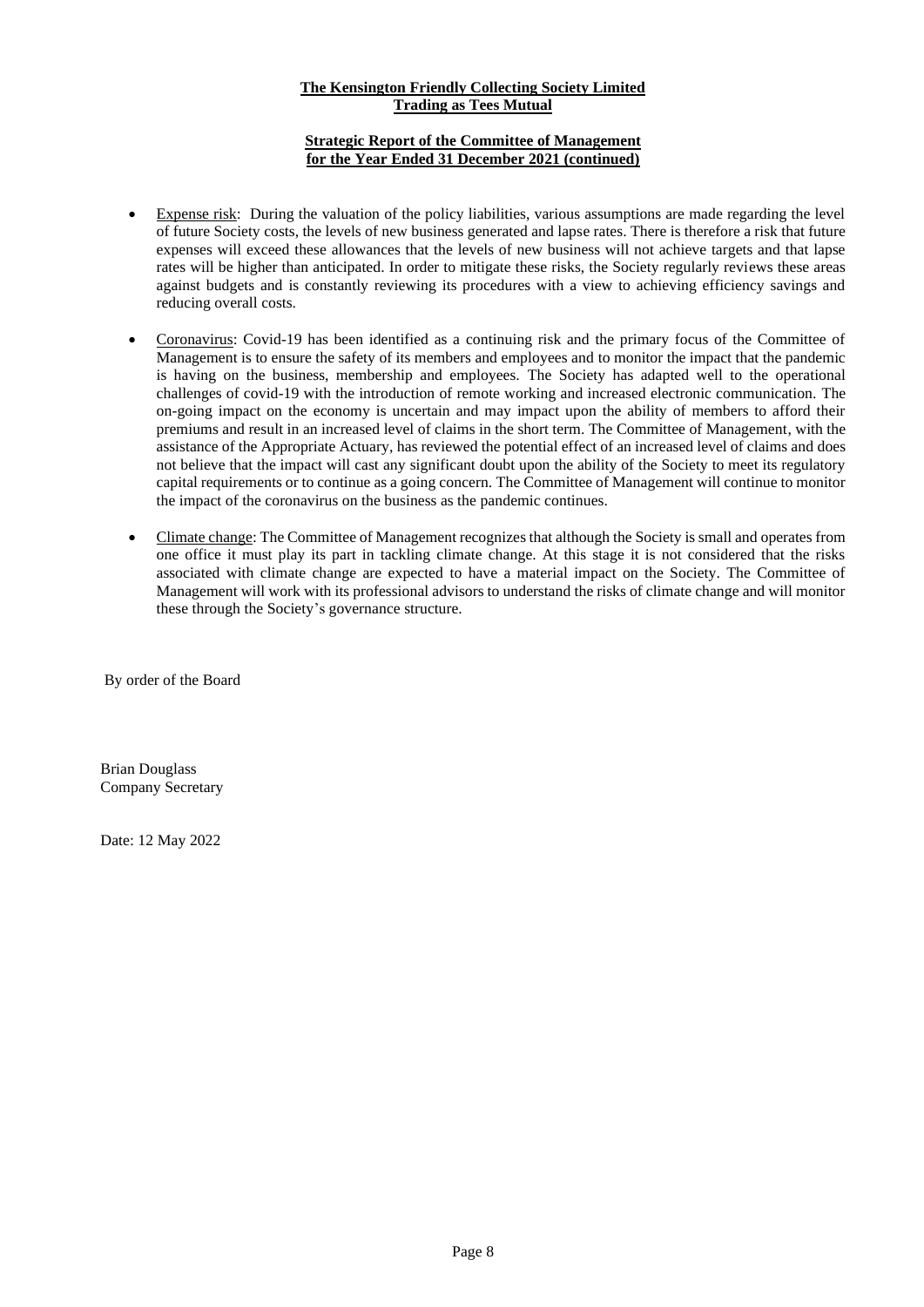# **Strategic Report of the Committee of Management for the Year Ended 31 December 2021 (continued)**

- Expense risk: During the valuation of the policy liabilities, various assumptions are made regarding the level of future Society costs, the levels of new business generated and lapse rates. There is therefore a risk that future expenses will exceed these allowances that the levels of new business will not achieve targets and that lapse rates will be higher than anticipated. In order to mitigate these risks, the Society regularly reviews these areas against budgets and is constantly reviewing its procedures with a view to achieving efficiency savings and reducing overall costs.
- Coronavirus: Covid-19 has been identified as a continuing risk and the primary focus of the Committee of Management is to ensure the safety of its members and employees and to monitor the impact that the pandemic is having on the business, membership and employees. The Society has adapted well to the operational challenges of covid-19 with the introduction of remote working and increased electronic communication. The on-going impact on the economy is uncertain and may impact upon the ability of members to afford their premiums and result in an increased level of claims in the short term. The Committee of Management, with the assistance of the Appropriate Actuary, has reviewed the potential effect of an increased level of claims and does not believe that the impact will cast any significant doubt upon the ability of the Society to meet its regulatory capital requirements or to continue as a going concern. The Committee of Management will continue to monitor the impact of the coronavirus on the business as the pandemic continues.
- Climate change: The Committee of Management recognizesthat although the Society is small and operates from one office it must play its part in tackling climate change. At this stage it is not considered that the risks associated with climate change are expected to have a material impact on the Society. The Committee of Management will work with its professional advisors to understand the risks of climate change and will monitor these through the Society's governance structure.

By order of the Board

Brian Douglass Company Secretary

Date: 12 May 2022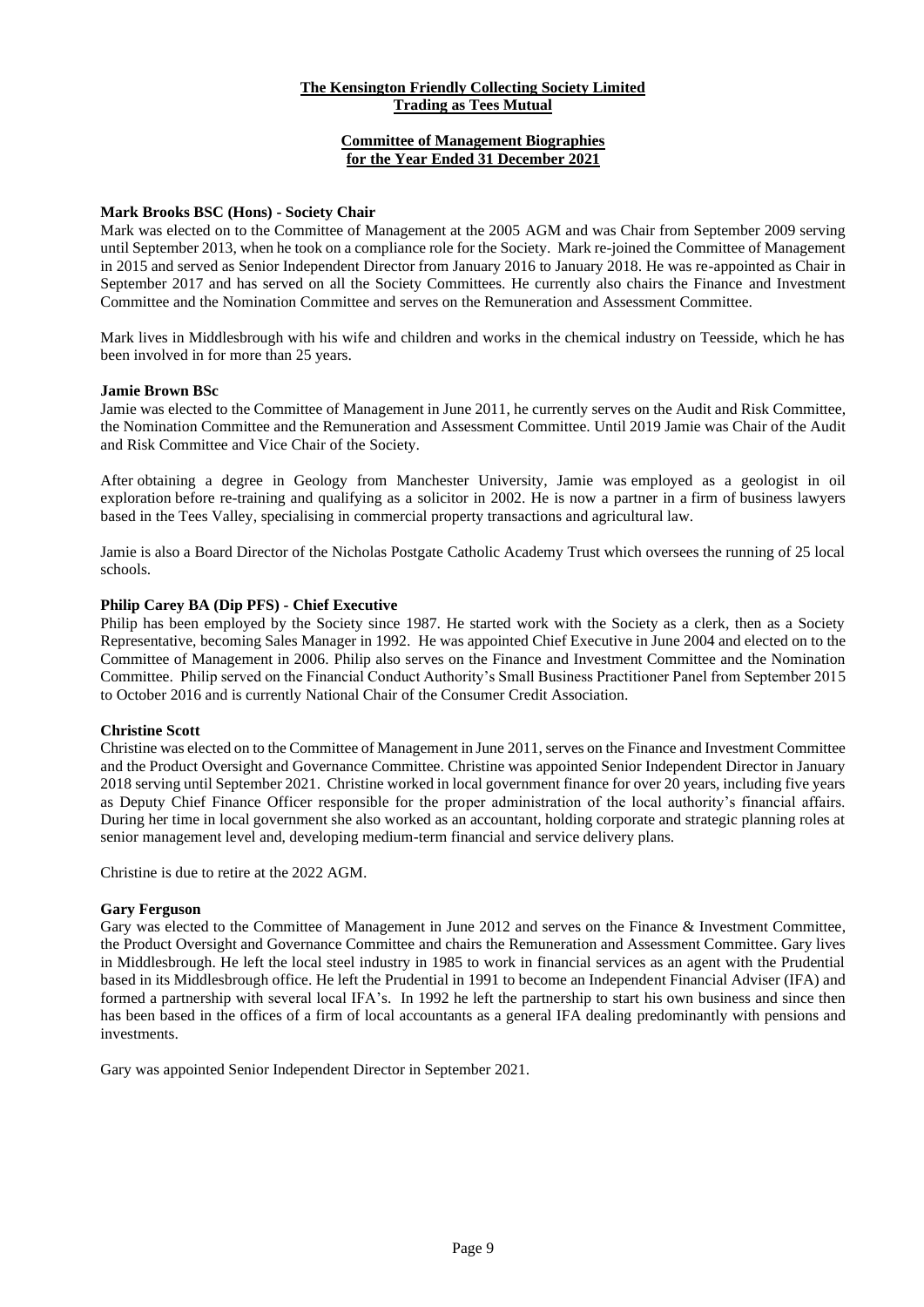# **Committee of Management Biographies for the Year Ended 31 December 2021**

#### **Mark Brooks BSC (Hons) - Society Chair**

Mark was elected on to the Committee of Management at the 2005 AGM and was Chair from September 2009 serving until September 2013, when he took on a compliance role for the Society. Mark re-joined the Committee of Management in 2015 and served as Senior Independent Director from January 2016 to January 2018. He was re-appointed as Chair in September 2017 and has served on all the Society Committees. He currently also chairs the Finance and Investment Committee and the Nomination Committee and serves on the Remuneration and Assessment Committee.

Mark lives in Middlesbrough with his wife and children and works in the chemical industry on Teesside, which he has been involved in for more than 25 years.

#### **Jamie Brown BSc**

Jamie was elected to the Committee of Management in June 2011, he currently serves on the Audit and Risk Committee, the Nomination Committee and the Remuneration and Assessment Committee. Until 2019 Jamie was Chair of the Audit and Risk Committee and Vice Chair of the Society.

After obtaining a degree in Geology from Manchester University, Jamie was employed as a geologist in oil exploration before re-training and qualifying as a solicitor in 2002. He is now a partner in a firm of business lawyers based in the Tees Valley, specialising in commercial property transactions and agricultural law.

Jamie is also a Board Director of the Nicholas Postgate Catholic Academy Trust which oversees the running of 25 local schools.

#### **Philip Carey BA (Dip PFS) - Chief Executive**

Philip has been employed by the Society since 1987. He started work with the Society as a clerk, then as a Society Representative, becoming Sales Manager in 1992. He was appointed Chief Executive in June 2004 and elected on to the Committee of Management in 2006. Philip also serves on the Finance and Investment Committee and the Nomination Committee. Philip served on the Financial Conduct Authority's Small Business Practitioner Panel from September 2015 to October 2016 and is currently National Chair of the Consumer Credit Association.

#### **Christine Scott**

Christine was elected on to the Committee of Management in June 2011, serves on the Finance and Investment Committee and the Product Oversight and Governance Committee. Christine was appointed Senior Independent Director in January 2018 serving until September 2021. Christine worked in local government finance for over 20 years, including five years as Deputy Chief Finance Officer responsible for the proper administration of the local authority's financial affairs. During her time in local government she also worked as an accountant, holding corporate and strategic planning roles at senior management level and, developing medium-term financial and service delivery plans.

Christine is due to retire at the 2022 AGM.

#### **Gary Ferguson**

Gary was elected to the Committee of Management in June 2012 and serves on the Finance & Investment Committee, the Product Oversight and Governance Committee and chairs the Remuneration and Assessment Committee. Gary lives in Middlesbrough. He left the local steel industry in 1985 to work in financial services as an agent with the Prudential based in its Middlesbrough office. He left the Prudential in 1991 to become an Independent Financial Adviser (IFA) and formed a partnership with several local IFA's. In 1992 he left the partnership to start his own business and since then has been based in the offices of a firm of local accountants as a general IFA dealing predominantly with pensions and investments.

Gary was appointed Senior Independent Director in September 2021.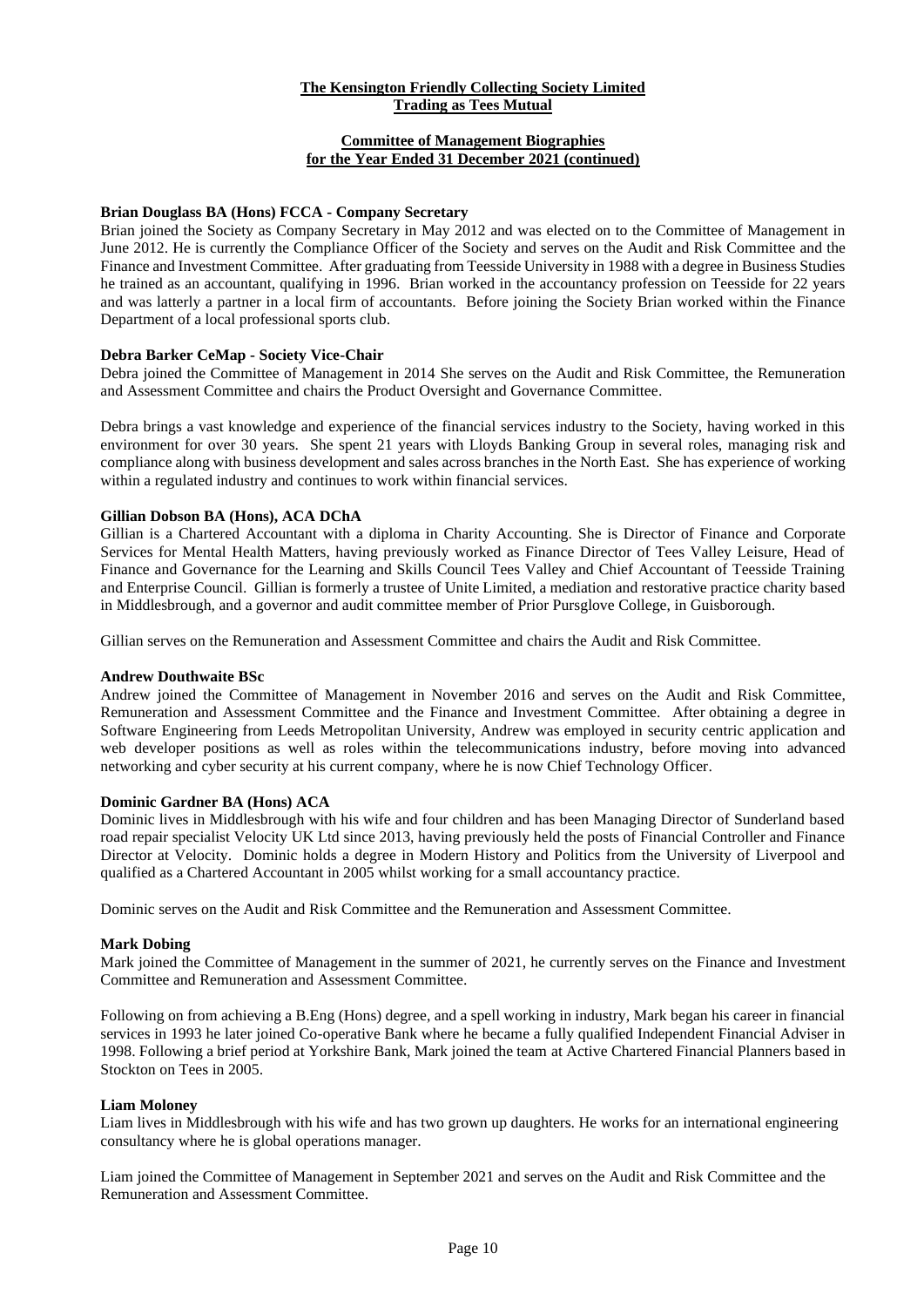# **Committee of Management Biographies for the Year Ended 31 December 2021 (continued)**

# **Brian Douglass BA (Hons) FCCA - Company Secretary**

Brian joined the Society as Company Secretary in May 2012 and was elected on to the Committee of Management in June 2012. He is currently the Compliance Officer of the Society and serves on the Audit and Risk Committee and the Finance and Investment Committee. After graduating from Teesside University in 1988 with a degree in Business Studies he trained as an accountant, qualifying in 1996. Brian worked in the accountancy profession on Teesside for 22 years and was latterly a partner in a local firm of accountants. Before joining the Society Brian worked within the Finance Department of a local professional sports club.

# **Debra Barker CeMap - Society Vice-Chair**

Debra joined the Committee of Management in 2014 She serves on the Audit and Risk Committee, the Remuneration and Assessment Committee and chairs the Product Oversight and Governance Committee.

Debra brings a vast knowledge and experience of the financial services industry to the Society, having worked in this environment for over 30 years. She spent 21 years with Lloyds Banking Group in several roles, managing risk and compliance along with business development and sales across branches in the North East. She has experience of working within a regulated industry and continues to work within financial services.

# **Gillian Dobson BA (Hons), ACA DChA**

Gillian is a Chartered Accountant with a diploma in Charity Accounting. She is Director of Finance and Corporate Services for Mental Health Matters, having previously worked as Finance Director of Tees Valley Leisure, Head of Finance and Governance for the Learning and Skills Council Tees Valley and Chief Accountant of Teesside Training and Enterprise Council. Gillian is formerly a trustee of Unite Limited, a mediation and restorative practice charity based in Middlesbrough, and a governor and audit committee member of Prior Pursglove College, in Guisborough.

Gillian serves on the Remuneration and Assessment Committee and chairs the Audit and Risk Committee.

# **Andrew Douthwaite BSc**

Andrew joined the Committee of Management in November 2016 and serves on the Audit and Risk Committee, Remuneration and Assessment Committee and the Finance and Investment Committee. After obtaining a degree in Software Engineering from Leeds Metropolitan University, Andrew was employed in security centric application and web developer positions as well as roles within the telecommunications industry, before moving into advanced networking and cyber security at his current company, where he is now Chief Technology Officer.

#### **Dominic Gardner BA (Hons) ACA**

Dominic lives in Middlesbrough with his wife and four children and has been Managing Director of Sunderland based road repair specialist Velocity UK Ltd since 2013, having previously held the posts of Financial Controller and Finance Director at Velocity. Dominic holds a degree in Modern History and Politics from the University of Liverpool and qualified as a Chartered Accountant in 2005 whilst working for a small accountancy practice.

Dominic serves on the Audit and Risk Committee and the Remuneration and Assessment Committee.

#### **Mark Dobing**

Mark joined the Committee of Management in the summer of 2021, he currently serves on the Finance and Investment Committee and Remuneration and Assessment Committee.

Following on from achieving a B.Eng (Hons) degree, and a spell working in industry, Mark began his career in financial services in 1993 he later joined Co-operative Bank where he became a fully qualified Independent Financial Adviser in 1998. Following a brief period at Yorkshire Bank, Mark joined the team at Active Chartered Financial Planners based in Stockton on Tees in 2005.

#### **Liam Moloney**

Liam lives in Middlesbrough with his wife and has two grown up daughters. He works for an international engineering consultancy where he is global operations manager.

Liam joined the Committee of Management in September 2021 and serves on the Audit and Risk Committee and the Remuneration and Assessment Committee.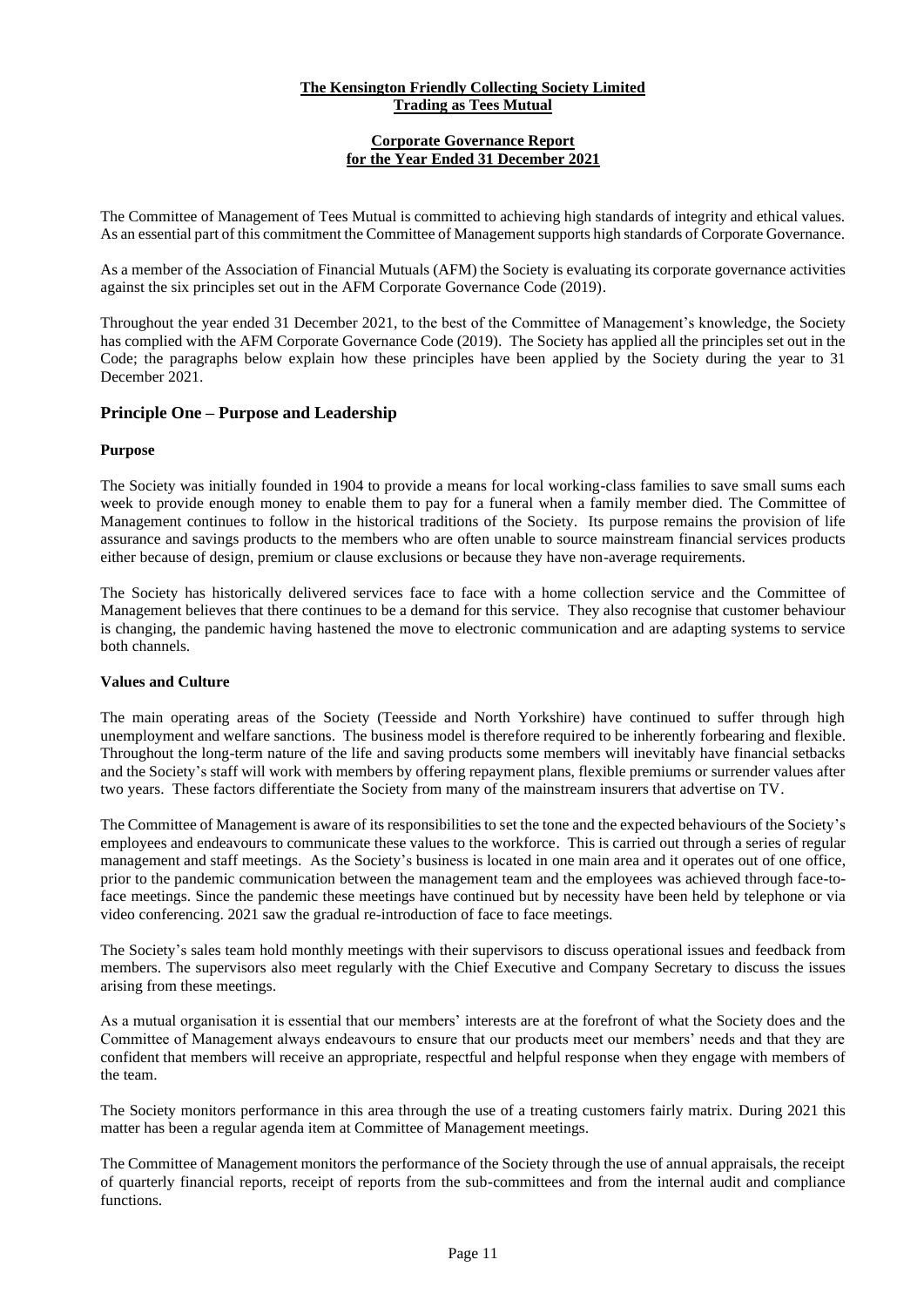# **Corporate Governance Report for the Year Ended 31 December 2021**

The Committee of Management of Tees Mutual is committed to achieving high standards of integrity and ethical values. As an essential part of this commitment the Committee of Management supports high standards of Corporate Governance.

As a member of the Association of Financial Mutuals (AFM) the Society is evaluating its corporate governance activities against the six principles set out in the AFM Corporate Governance Code (2019).

Throughout the year ended 31 December 2021, to the best of the Committee of Management's knowledge, the Society has complied with the AFM Corporate Governance Code (2019). The Society has applied all the principles set out in the Code; the paragraphs below explain how these principles have been applied by the Society during the year to 31 December 2021.

# **Principle One – Purpose and Leadership**

# **Purpose**

The Society was initially founded in 1904 to provide a means for local working-class families to save small sums each week to provide enough money to enable them to pay for a funeral when a family member died. The Committee of Management continues to follow in the historical traditions of the Society. Its purpose remains the provision of life assurance and savings products to the members who are often unable to source mainstream financial services products either because of design, premium or clause exclusions or because they have non-average requirements.

The Society has historically delivered services face to face with a home collection service and the Committee of Management believes that there continues to be a demand for this service. They also recognise that customer behaviour is changing, the pandemic having hastened the move to electronic communication and are adapting systems to service both channels.

# **Values and Culture**

The main operating areas of the Society (Teesside and North Yorkshire) have continued to suffer through high unemployment and welfare sanctions. The business model is therefore required to be inherently forbearing and flexible. Throughout the long-term nature of the life and saving products some members will inevitably have financial setbacks and the Society's staff will work with members by offering repayment plans, flexible premiums or surrender values after two years. These factors differentiate the Society from many of the mainstream insurers that advertise on TV.

The Committee of Management is aware of its responsibilities to set the tone and the expected behaviours of the Society's employees and endeavours to communicate these values to the workforce. This is carried out through a series of regular management and staff meetings. As the Society's business is located in one main area and it operates out of one office, prior to the pandemic communication between the management team and the employees was achieved through face-toface meetings. Since the pandemic these meetings have continued but by necessity have been held by telephone or via video conferencing. 2021 saw the gradual re-introduction of face to face meetings.

The Society's sales team hold monthly meetings with their supervisors to discuss operational issues and feedback from members. The supervisors also meet regularly with the Chief Executive and Company Secretary to discuss the issues arising from these meetings.

As a mutual organisation it is essential that our members' interests are at the forefront of what the Society does and the Committee of Management always endeavours to ensure that our products meet our members' needs and that they are confident that members will receive an appropriate, respectful and helpful response when they engage with members of the team.

The Society monitors performance in this area through the use of a treating customers fairly matrix. During 2021 this matter has been a regular agenda item at Committee of Management meetings.

The Committee of Management monitors the performance of the Society through the use of annual appraisals, the receipt of quarterly financial reports, receipt of reports from the sub-committees and from the internal audit and compliance functions.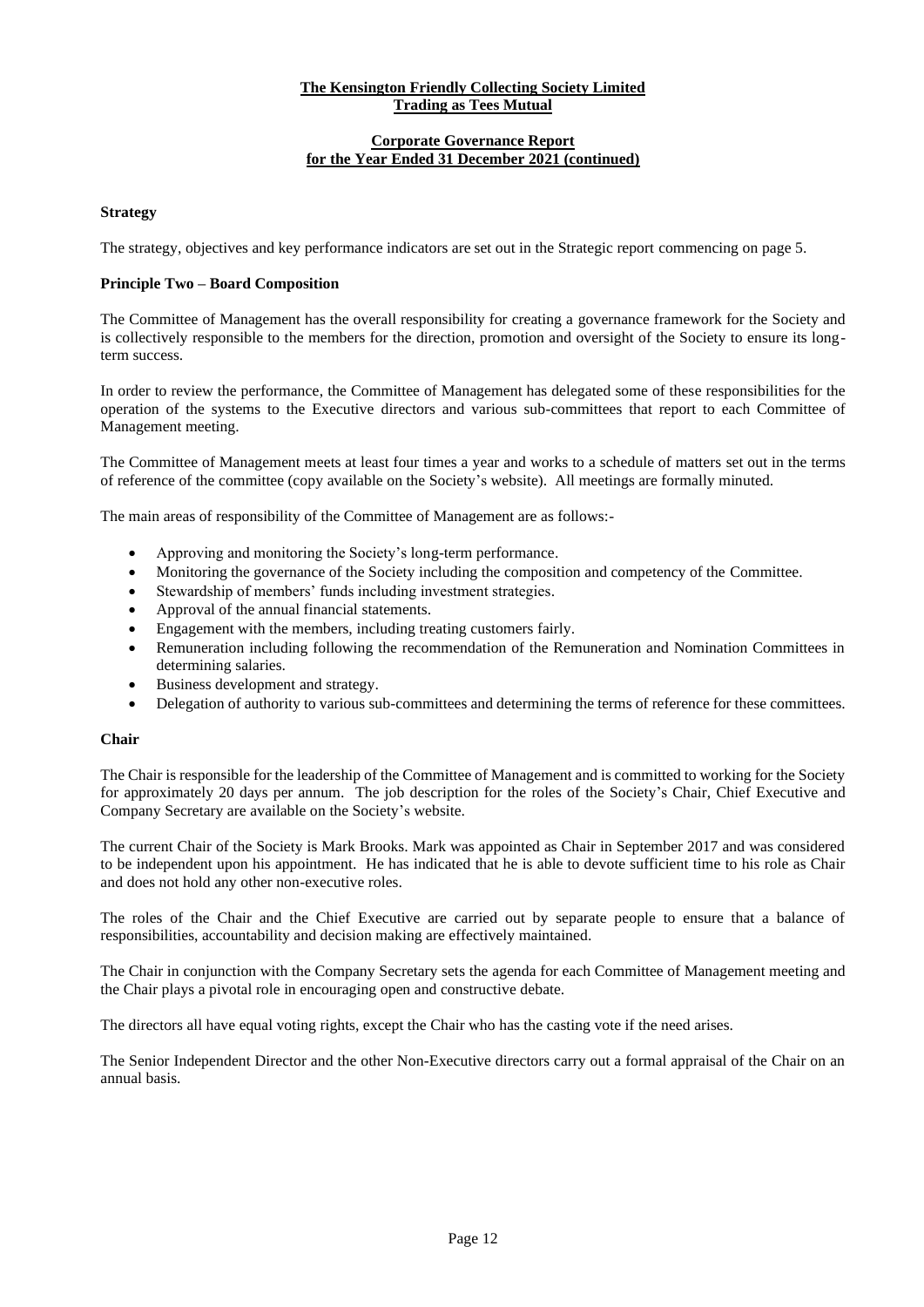# **Corporate Governance Report for the Year Ended 31 December 2021 (continued)**

**Strategy**

The strategy, objectives and key performance indicators are set out in the Strategic report commencing on page 5.

# **Principle Two – Board Composition**

The Committee of Management has the overall responsibility for creating a governance framework for the Society and is collectively responsible to the members for the direction, promotion and oversight of the Society to ensure its longterm success.

In order to review the performance, the Committee of Management has delegated some of these responsibilities for the operation of the systems to the Executive directors and various sub-committees that report to each Committee of Management meeting.

The Committee of Management meets at least four times a year and works to a schedule of matters set out in the terms of reference of the committee (copy available on the Society's website). All meetings are formally minuted.

The main areas of responsibility of the Committee of Management are as follows:-

- Approving and monitoring the Society's long-term performance.
- Monitoring the governance of the Society including the composition and competency of the Committee.
- Stewardship of members' funds including investment strategies.
- Approval of the annual financial statements.
- Engagement with the members, including treating customers fairly.
- Remuneration including following the recommendation of the Remuneration and Nomination Committees in determining salaries.
- Business development and strategy.
- Delegation of authority to various sub-committees and determining the terms of reference for these committees.

# **Chair**

The Chair is responsible for the leadership of the Committee of Management and is committed to working for the Society for approximately 20 days per annum. The job description for the roles of the Society's Chair, Chief Executive and Company Secretary are available on the Society's website.

The current Chair of the Society is Mark Brooks. Mark was appointed as Chair in September 2017 and was considered to be independent upon his appointment. He has indicated that he is able to devote sufficient time to his role as Chair and does not hold any other non-executive roles.

The roles of the Chair and the Chief Executive are carried out by separate people to ensure that a balance of responsibilities, accountability and decision making are effectively maintained.

The Chair in conjunction with the Company Secretary sets the agenda for each Committee of Management meeting and the Chair plays a pivotal role in encouraging open and constructive debate.

The directors all have equal voting rights, except the Chair who has the casting vote if the need arises.

The Senior Independent Director and the other Non-Executive directors carry out a formal appraisal of the Chair on an annual basis.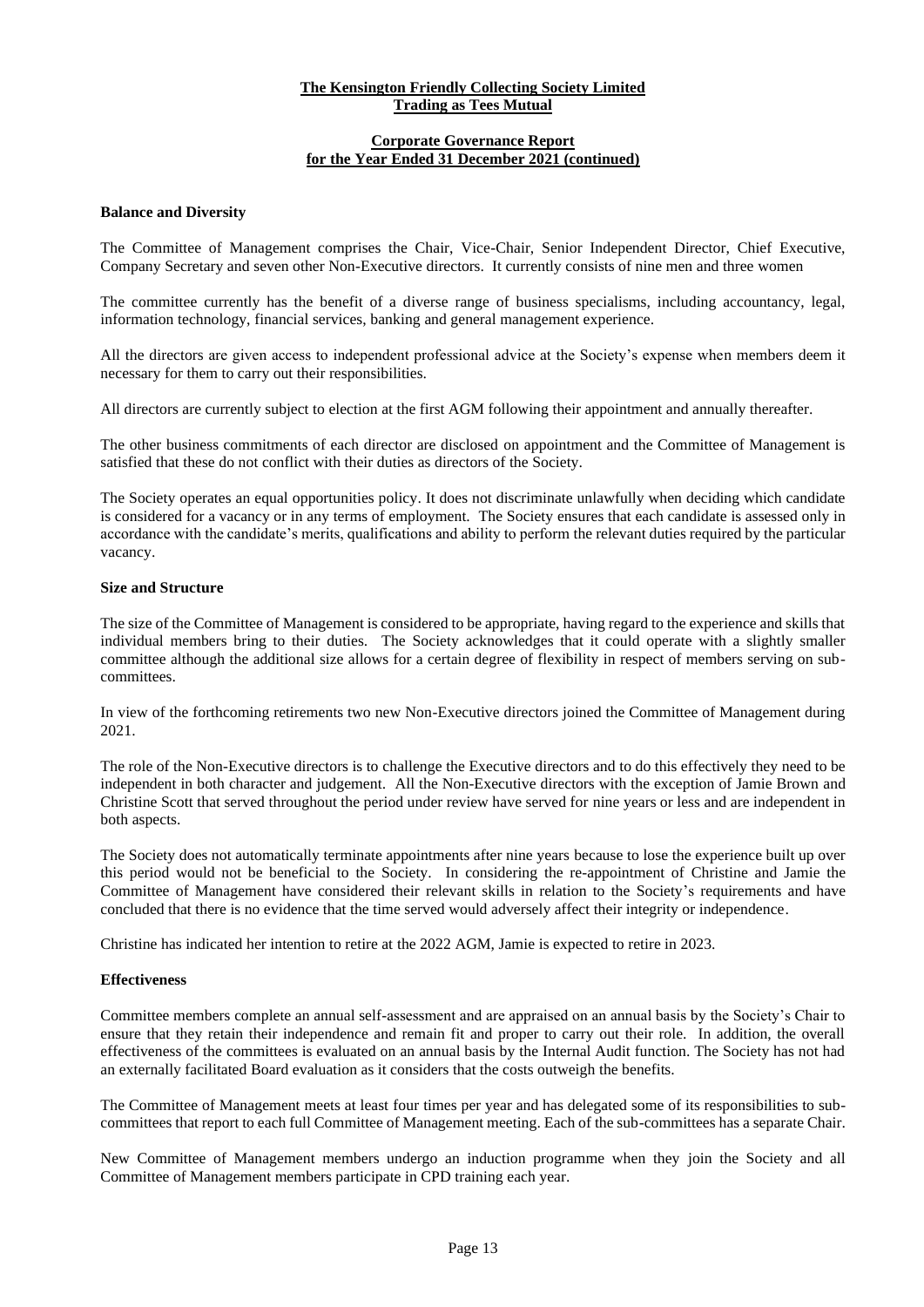#### **Corporate Governance Report for the Year Ended 31 December 2021 (continued)**

#### **Balance and Diversity**

The Committee of Management comprises the Chair, Vice-Chair, Senior Independent Director, Chief Executive, Company Secretary and seven other Non-Executive directors. It currently consists of nine men and three women

The committee currently has the benefit of a diverse range of business specialisms, including accountancy, legal, information technology, financial services, banking and general management experience.

All the directors are given access to independent professional advice at the Society's expense when members deem it necessary for them to carry out their responsibilities.

All directors are currently subject to election at the first AGM following their appointment and annually thereafter.

The other business commitments of each director are disclosed on appointment and the Committee of Management is satisfied that these do not conflict with their duties as directors of the Society.

The Society operates an equal opportunities policy. It does not discriminate unlawfully when deciding which candidate is considered for a vacancy or in any terms of employment. The Society ensures that each candidate is assessed only in accordance with the candidate's merits, qualifications and ability to perform the relevant duties required by the particular vacancy.

#### **Size and Structure**

The size of the Committee of Management is considered to be appropriate, having regard to the experience and skills that individual members bring to their duties. The Society acknowledges that it could operate with a slightly smaller committee although the additional size allows for a certain degree of flexibility in respect of members serving on subcommittees.

In view of the forthcoming retirements two new Non-Executive directors joined the Committee of Management during 2021.

The role of the Non-Executive directors is to challenge the Executive directors and to do this effectively they need to be independent in both character and judgement. All the Non-Executive directors with the exception of Jamie Brown and Christine Scott that served throughout the period under review have served for nine years or less and are independent in both aspects.

The Society does not automatically terminate appointments after nine years because to lose the experience built up over this period would not be beneficial to the Society. In considering the re-appointment of Christine and Jamie the Committee of Management have considered their relevant skills in relation to the Society's requirements and have concluded that there is no evidence that the time served would adversely affect their integrity or independence.

Christine has indicated her intention to retire at the 2022 AGM, Jamie is expected to retire in 2023.

#### **Effectiveness**

Committee members complete an annual self-assessment and are appraised on an annual basis by the Society's Chair to ensure that they retain their independence and remain fit and proper to carry out their role. In addition, the overall effectiveness of the committees is evaluated on an annual basis by the Internal Audit function. The Society has not had an externally facilitated Board evaluation as it considers that the costs outweigh the benefits.

The Committee of Management meets at least four times per year and has delegated some of its responsibilities to subcommittees that report to each full Committee of Management meeting. Each of the sub-committees has a separate Chair.

New Committee of Management members undergo an induction programme when they join the Society and all Committee of Management members participate in CPD training each year.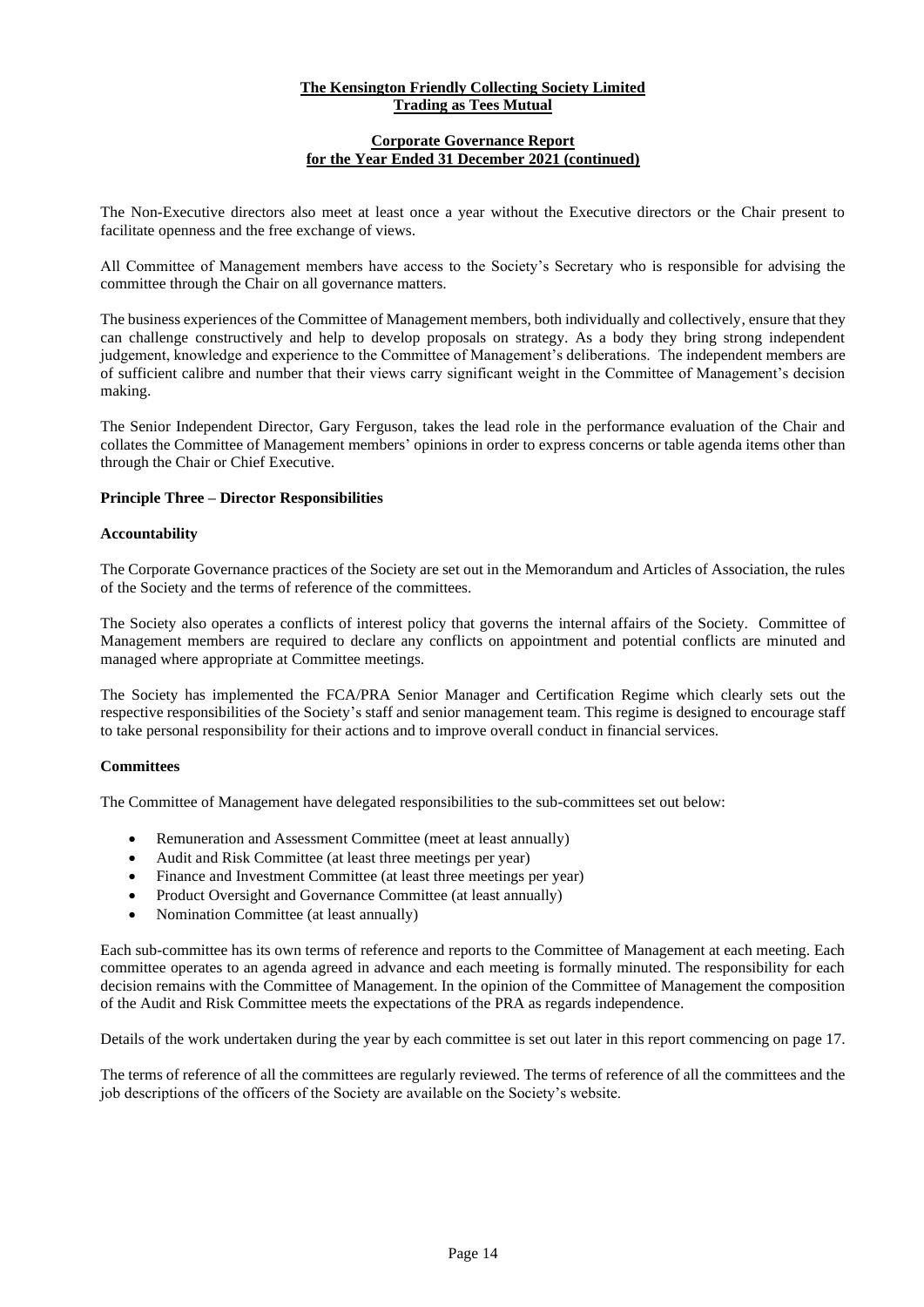#### **Corporate Governance Report for the Year Ended 31 December 2021 (continued)**

The Non-Executive directors also meet at least once a year without the Executive directors or the Chair present to facilitate openness and the free exchange of views.

All Committee of Management members have access to the Society's Secretary who is responsible for advising the committee through the Chair on all governance matters.

The business experiences of the Committee of Management members, both individually and collectively, ensure that they can challenge constructively and help to develop proposals on strategy. As a body they bring strong independent judgement, knowledge and experience to the Committee of Management's deliberations. The independent members are of sufficient calibre and number that their views carry significant weight in the Committee of Management's decision making.

The Senior Independent Director, Gary Ferguson, takes the lead role in the performance evaluation of the Chair and collates the Committee of Management members' opinions in order to express concerns or table agenda items other than through the Chair or Chief Executive.

#### **Principle Three – Director Responsibilities**

#### **Accountability**

The Corporate Governance practices of the Society are set out in the Memorandum and Articles of Association, the rules of the Society and the terms of reference of the committees.

The Society also operates a conflicts of interest policy that governs the internal affairs of the Society. Committee of Management members are required to declare any conflicts on appointment and potential conflicts are minuted and managed where appropriate at Committee meetings.

The Society has implemented the FCA/PRA Senior Manager and Certification Regime which clearly sets out the respective responsibilities of the Society's staff and senior management team. This regime is designed to encourage staff to take personal responsibility for their actions and to improve overall conduct in financial services.

#### **Committees**

The Committee of Management have delegated responsibilities to the sub-committees set out below:

- Remuneration and Assessment Committee (meet at least annually)
- Audit and Risk Committee (at least three meetings per year)
- Finance and Investment Committee (at least three meetings per year)
- Product Oversight and Governance Committee (at least annually)
- Nomination Committee (at least annually)

Each sub-committee has its own terms of reference and reports to the Committee of Management at each meeting. Each committee operates to an agenda agreed in advance and each meeting is formally minuted. The responsibility for each decision remains with the Committee of Management. In the opinion of the Committee of Management the composition of the Audit and Risk Committee meets the expectations of the PRA as regards independence.

Details of the work undertaken during the year by each committee is set out later in this report commencing on page 17.

The terms of reference of all the committees are regularly reviewed. The terms of reference of all the committees and the job descriptions of the officers of the Society are available on the Society's website.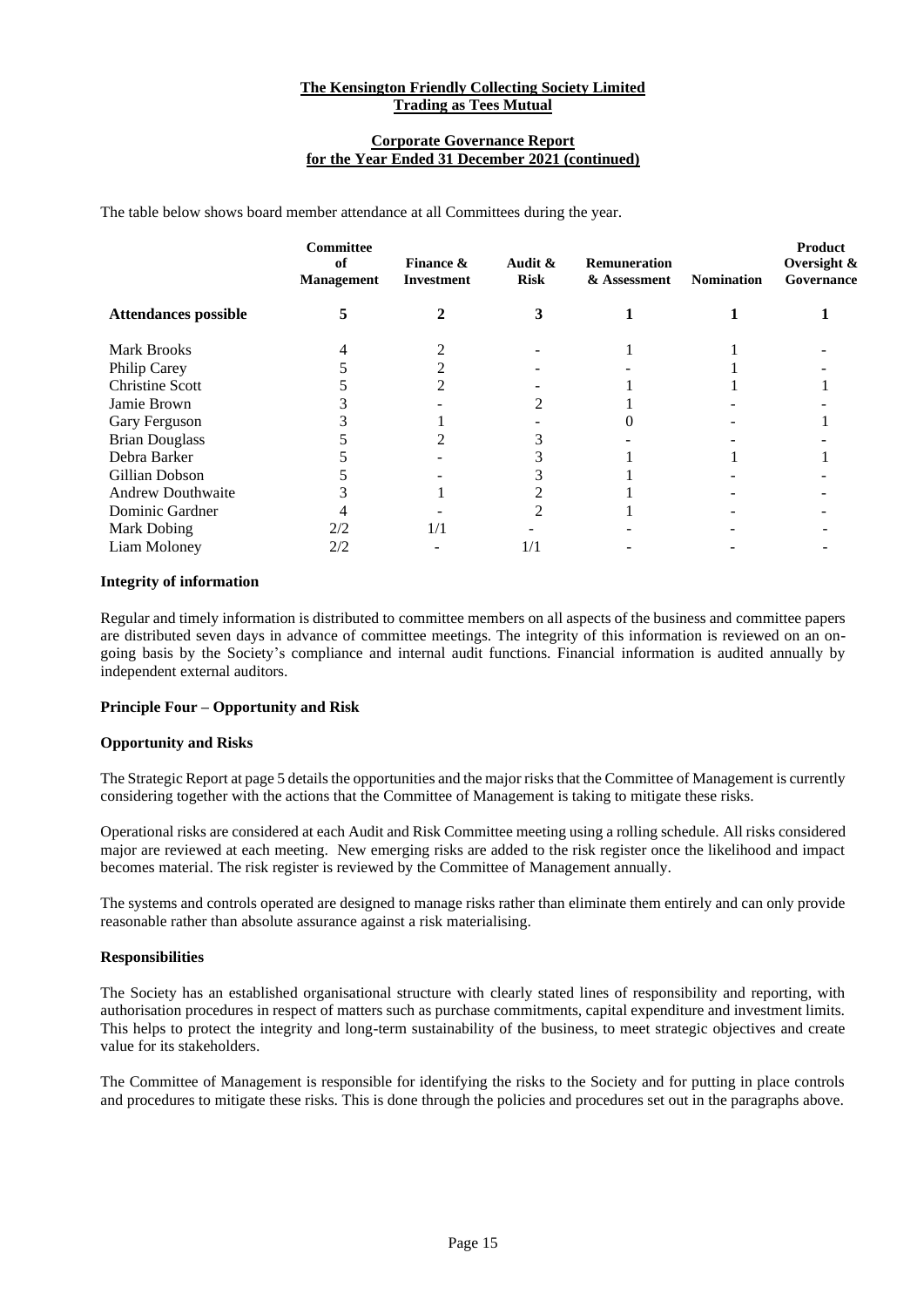#### **Corporate Governance Report for the Year Ended 31 December 2021 (continued)**

The table below shows board member attendance at all Committees during the year.

|                             | <b>Committee</b><br>of<br><b>Management</b> | <b>Finance &amp;</b><br><b>Investment</b> | Audit &<br><b>Risk</b> | <b>Remuneration</b><br>& Assessment | <b>Nomination</b> | Product<br>Oversight &<br>Governance |
|-----------------------------|---------------------------------------------|-------------------------------------------|------------------------|-------------------------------------|-------------------|--------------------------------------|
| <b>Attendances possible</b> | 5                                           |                                           | 3                      |                                     |                   |                                      |
| <b>Mark Brooks</b>          |                                             |                                           |                        |                                     |                   |                                      |
| Philip Carey                |                                             |                                           |                        |                                     |                   |                                      |
| <b>Christine Scott</b>      |                                             |                                           |                        |                                     |                   |                                      |
| Jamie Brown                 |                                             |                                           |                        |                                     |                   |                                      |
| Gary Ferguson               |                                             |                                           |                        |                                     |                   |                                      |
| <b>Brian Douglass</b>       |                                             |                                           |                        |                                     |                   |                                      |
| Debra Barker                |                                             |                                           |                        |                                     |                   |                                      |
| Gillian Dobson              |                                             |                                           |                        |                                     |                   |                                      |
| <b>Andrew Douthwaite</b>    |                                             |                                           |                        |                                     |                   |                                      |
| Dominic Gardner             |                                             |                                           |                        |                                     |                   |                                      |
| Mark Dobing                 | 2/2                                         |                                           |                        |                                     |                   |                                      |
| Liam Moloney                | 2/2                                         |                                           | 1/1                    |                                     |                   |                                      |

#### **Integrity of information**

Regular and timely information is distributed to committee members on all aspects of the business and committee papers are distributed seven days in advance of committee meetings. The integrity of this information is reviewed on an ongoing basis by the Society's compliance and internal audit functions. Financial information is audited annually by independent external auditors.

# **Principle Four – Opportunity and Risk**

# **Opportunity and Risks**

The Strategic Report at page 5 details the opportunities and the major risks that the Committee of Management is currently considering together with the actions that the Committee of Management is taking to mitigate these risks.

Operational risks are considered at each Audit and Risk Committee meeting using a rolling schedule. All risks considered major are reviewed at each meeting. New emerging risks are added to the risk register once the likelihood and impact becomes material. The risk register is reviewed by the Committee of Management annually.

The systems and controls operated are designed to manage risks rather than eliminate them entirely and can only provide reasonable rather than absolute assurance against a risk materialising.

#### **Responsibilities**

The Society has an established organisational structure with clearly stated lines of responsibility and reporting, with authorisation procedures in respect of matters such as purchase commitments, capital expenditure and investment limits. This helps to protect the integrity and long-term sustainability of the business, to meet strategic objectives and create value for its stakeholders.

The Committee of Management is responsible for identifying the risks to the Society and for putting in place controls and procedures to mitigate these risks. This is done through the policies and procedures set out in the paragraphs above.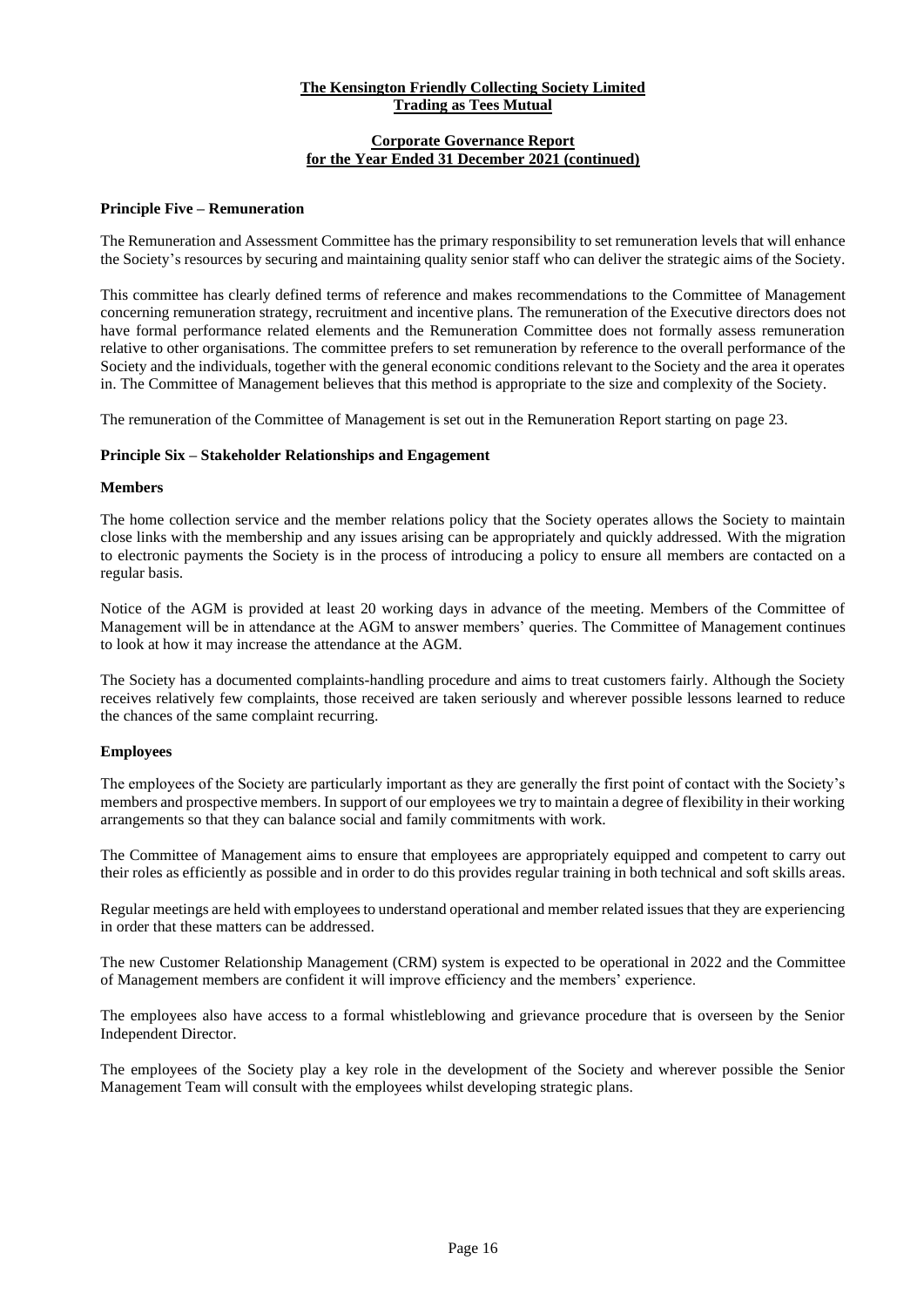# **Corporate Governance Report for the Year Ended 31 December 2021 (continued)**

#### **Principle Five – Remuneration**

The Remuneration and Assessment Committee has the primary responsibility to set remuneration levels that will enhance the Society's resources by securing and maintaining quality senior staff who can deliver the strategic aims of the Society.

This committee has clearly defined terms of reference and makes recommendations to the Committee of Management concerning remuneration strategy, recruitment and incentive plans. The remuneration of the Executive directors does not have formal performance related elements and the Remuneration Committee does not formally assess remuneration relative to other organisations. The committee prefers to set remuneration by reference to the overall performance of the Society and the individuals, together with the general economic conditions relevant to the Society and the area it operates in. The Committee of Management believes that this method is appropriate to the size and complexity of the Society.

The remuneration of the Committee of Management is set out in the Remuneration Report starting on page 23.

#### **Principle Six – Stakeholder Relationships and Engagement**

#### **Members**

The home collection service and the member relations policy that the Society operates allows the Society to maintain close links with the membership and any issues arising can be appropriately and quickly addressed. With the migration to electronic payments the Society is in the process of introducing a policy to ensure all members are contacted on a regular basis.

Notice of the AGM is provided at least 20 working days in advance of the meeting. Members of the Committee of Management will be in attendance at the AGM to answer members' queries. The Committee of Management continues to look at how it may increase the attendance at the AGM.

The Society has a documented complaints-handling procedure and aims to treat customers fairly. Although the Society receives relatively few complaints, those received are taken seriously and wherever possible lessons learned to reduce the chances of the same complaint recurring.

# **Employees**

The employees of the Society are particularly important as they are generally the first point of contact with the Society's members and prospective members. In support of our employees we try to maintain a degree of flexibility in their working arrangements so that they can balance social and family commitments with work.

The Committee of Management aims to ensure that employees are appropriately equipped and competent to carry out their roles as efficiently as possible and in order to do this provides regular training in both technical and soft skills areas.

Regular meetings are held with employees to understand operational and member related issues that they are experiencing in order that these matters can be addressed.

The new Customer Relationship Management (CRM) system is expected to be operational in 2022 and the Committee of Management members are confident it will improve efficiency and the members' experience.

The employees also have access to a formal whistleblowing and grievance procedure that is overseen by the Senior Independent Director.

The employees of the Society play a key role in the development of the Society and wherever possible the Senior Management Team will consult with the employees whilst developing strategic plans.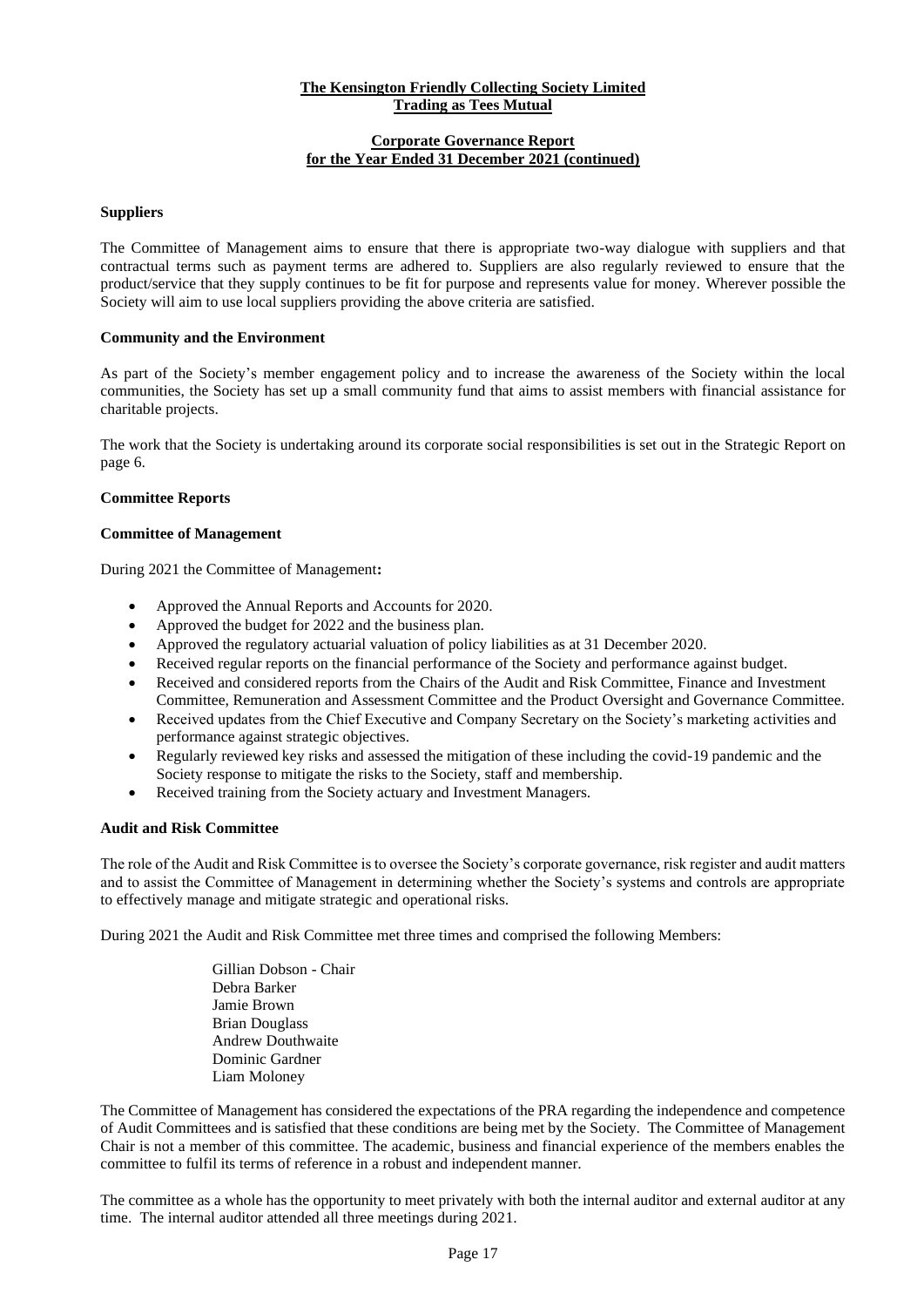# **Corporate Governance Report for the Year Ended 31 December 2021 (continued)**

# **Suppliers**

The Committee of Management aims to ensure that there is appropriate two-way dialogue with suppliers and that contractual terms such as payment terms are adhered to. Suppliers are also regularly reviewed to ensure that the product/service that they supply continues to be fit for purpose and represents value for money. Wherever possible the Society will aim to use local suppliers providing the above criteria are satisfied.

#### **Community and the Environment**

As part of the Society's member engagement policy and to increase the awareness of the Society within the local communities, the Society has set up a small community fund that aims to assist members with financial assistance for charitable projects.

The work that the Society is undertaking around its corporate social responsibilities is set out in the Strategic Report on page 6.

#### **Committee Reports**

#### **Committee of Management**

During 2021 the Committee of Management**:**

- Approved the Annual Reports and Accounts for 2020.
- Approved the budget for 2022 and the business plan.
- Approved the regulatory actuarial valuation of policy liabilities as at 31 December 2020.
- Received regular reports on the financial performance of the Society and performance against budget.
- Received and considered reports from the Chairs of the Audit and Risk Committee, Finance and Investment Committee, Remuneration and Assessment Committee and the Product Oversight and Governance Committee.
- Received updates from the Chief Executive and Company Secretary on the Society's marketing activities and performance against strategic objectives.
- Regularly reviewed key risks and assessed the mitigation of these including the covid-19 pandemic and the Society response to mitigate the risks to the Society, staff and membership.
- Received training from the Society actuary and Investment Managers.

#### **Audit and Risk Committee**

The role of the Audit and Risk Committee is to oversee the Society's corporate governance, risk register and audit matters and to assist the Committee of Management in determining whether the Society's systems and controls are appropriate to effectively manage and mitigate strategic and operational risks.

During 2021 the Audit and Risk Committee met three times and comprised the following Members:

Gillian Dobson - Chair Debra Barker Jamie Brown Brian Douglass Andrew Douthwaite Dominic Gardner Liam Moloney

The Committee of Management has considered the expectations of the PRA regarding the independence and competence of Audit Committees and is satisfied that these conditions are being met by the Society. The Committee of Management Chair is not a member of this committee. The academic, business and financial experience of the members enables the committee to fulfil its terms of reference in a robust and independent manner.

The committee as a whole has the opportunity to meet privately with both the internal auditor and external auditor at any time. The internal auditor attended all three meetings during 2021.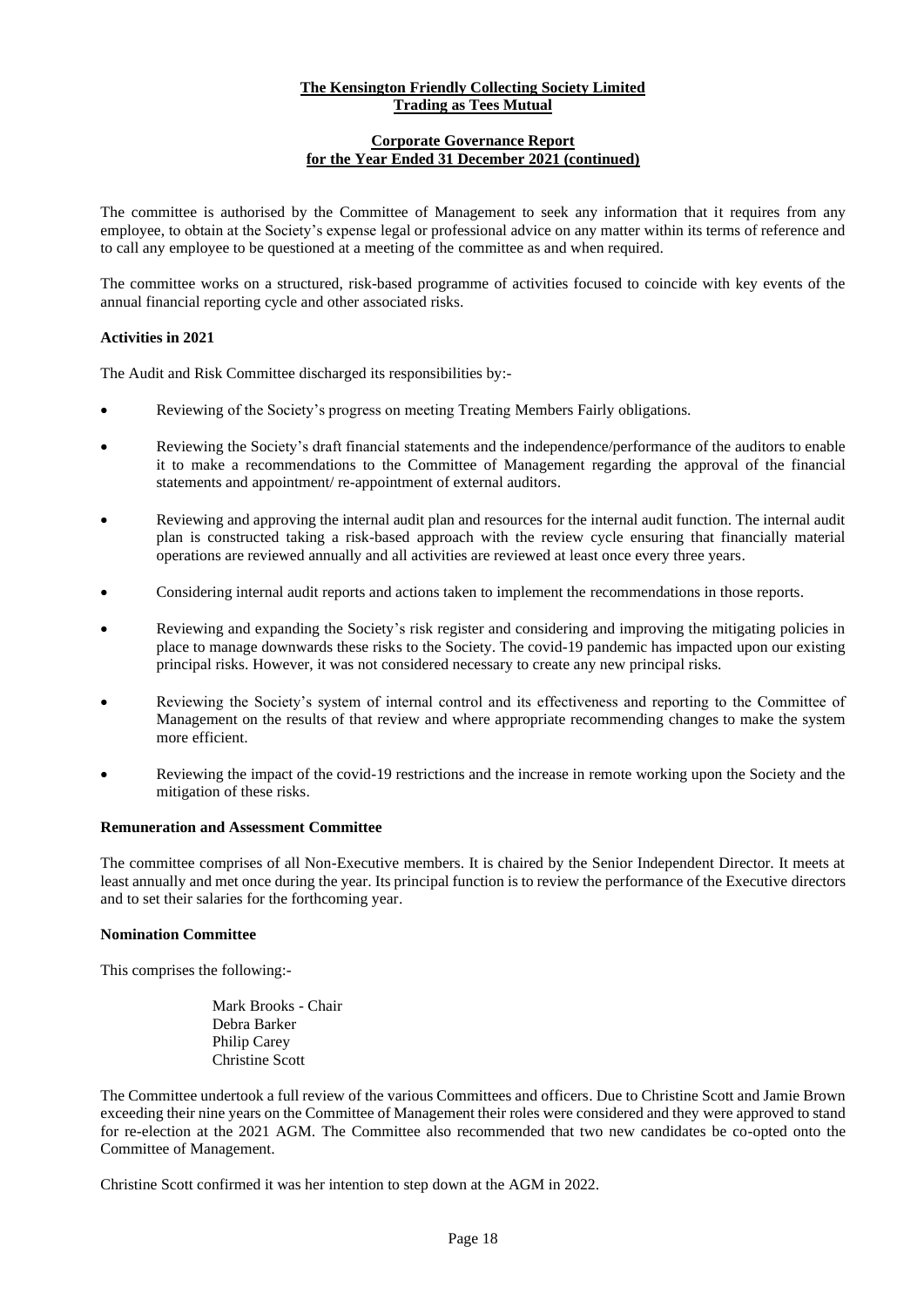# **Corporate Governance Report for the Year Ended 31 December 2021 (continued)**

The committee is authorised by the Committee of Management to seek any information that it requires from any employee, to obtain at the Society's expense legal or professional advice on any matter within its terms of reference and to call any employee to be questioned at a meeting of the committee as and when required.

The committee works on a structured, risk-based programme of activities focused to coincide with key events of the annual financial reporting cycle and other associated risks.

# **Activities in 2021**

The Audit and Risk Committee discharged its responsibilities by:-

- Reviewing of the Society's progress on meeting Treating Members Fairly obligations.
- Reviewing the Society's draft financial statements and the independence/performance of the auditors to enable it to make a recommendations to the Committee of Management regarding the approval of the financial statements and appointment/ re-appointment of external auditors.
- Reviewing and approving the internal audit plan and resources for the internal audit function. The internal audit plan is constructed taking a risk-based approach with the review cycle ensuring that financially material operations are reviewed annually and all activities are reviewed at least once every three years.
- Considering internal audit reports and actions taken to implement the recommendations in those reports.
- Reviewing and expanding the Society's risk register and considering and improving the mitigating policies in place to manage downwards these risks to the Society. The covid-19 pandemic has impacted upon our existing principal risks. However, it was not considered necessary to create any new principal risks.
- Reviewing the Society's system of internal control and its effectiveness and reporting to the Committee of Management on the results of that review and where appropriate recommending changes to make the system more efficient.
- Reviewing the impact of the covid-19 restrictions and the increase in remote working upon the Society and the mitigation of these risks.

# **Remuneration and Assessment Committee**

The committee comprises of all Non-Executive members. It is chaired by the Senior Independent Director. It meets at least annually and met once during the year. Its principal function is to review the performance of the Executive directors and to set their salaries for the forthcoming year.

# **Nomination Committee**

This comprises the following:-

Mark Brooks - Chair Debra Barker Philip Carey Christine Scott

The Committee undertook a full review of the various Committees and officers. Due to Christine Scott and Jamie Brown exceeding their nine years on the Committee of Management their roles were considered and they were approved to stand for re-election at the 2021 AGM. The Committee also recommended that two new candidates be co-opted onto the Committee of Management.

Christine Scott confirmed it was her intention to step down at the AGM in 2022.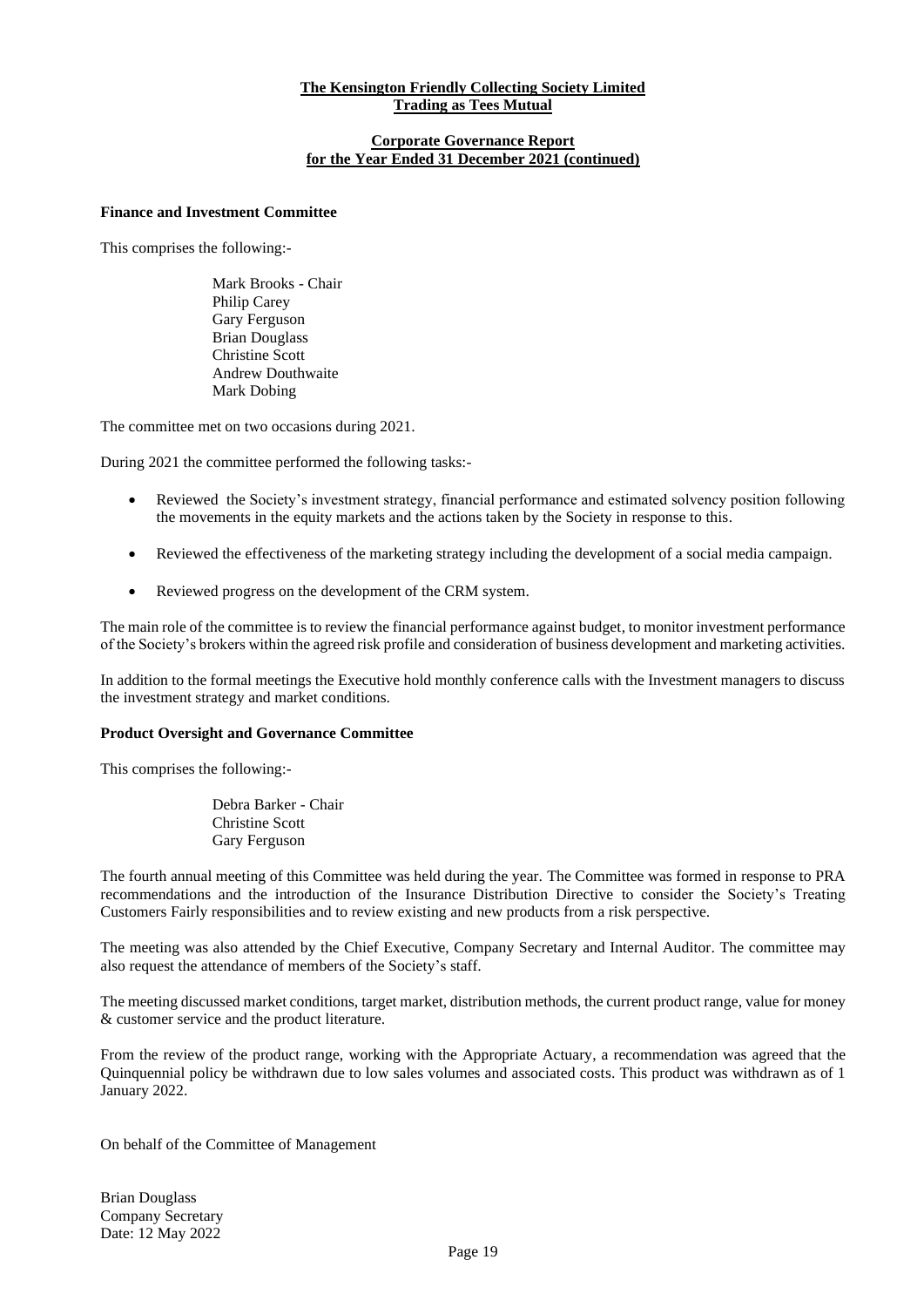#### **Corporate Governance Report for the Year Ended 31 December 2021 (continued)**

# **Finance and Investment Committee**

This comprises the following:-

Mark Brooks - Chair Philip Carey Gary Ferguson Brian Douglass Christine Scott Andrew Douthwaite Mark Dobing

The committee met on two occasions during 2021.

During 2021 the committee performed the following tasks:-

- Reviewed the Society's investment strategy, financial performance and estimated solvency position following the movements in the equity markets and the actions taken by the Society in response to this.
- Reviewed the effectiveness of the marketing strategy including the development of a social media campaign.
- Reviewed progress on the development of the CRM system.

The main role of the committee is to review the financial performance against budget, to monitor investment performance of the Society's brokers within the agreed risk profile and consideration of business development and marketing activities.

In addition to the formal meetings the Executive hold monthly conference calls with the Investment managers to discuss the investment strategy and market conditions.

#### **Product Oversight and Governance Committee**

This comprises the following:-

Debra Barker - Chair Christine Scott Gary Ferguson

The fourth annual meeting of this Committee was held during the year. The Committee was formed in response to PRA recommendations and the introduction of the Insurance Distribution Directive to consider the Society's Treating Customers Fairly responsibilities and to review existing and new products from a risk perspective.

The meeting was also attended by the Chief Executive, Company Secretary and Internal Auditor. The committee may also request the attendance of members of the Society's staff.

The meeting discussed market conditions, target market, distribution methods, the current product range, value for money & customer service and the product literature.

From the review of the product range, working with the Appropriate Actuary, a recommendation was agreed that the Quinquennial policy be withdrawn due to low sales volumes and associated costs. This product was withdrawn as of 1 January 2022.

On behalf of the Committee of Management

Brian Douglass Company Secretary Date: 12 May 2022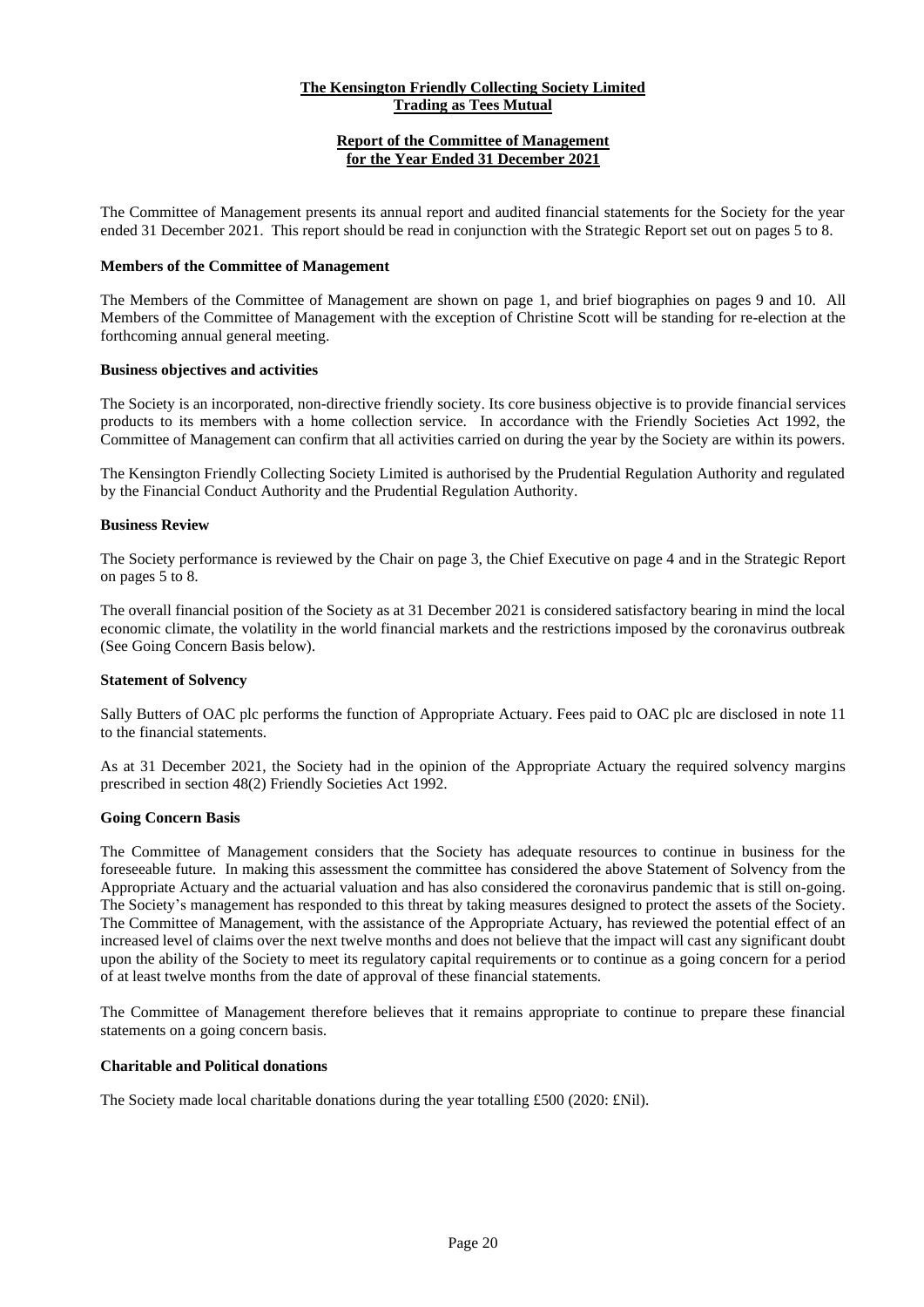# **Report of the Committee of Management for the Year Ended 31 December 2021**

The Committee of Management presents its annual report and audited financial statements for the Society for the year ended 31 December 2021. This report should be read in conjunction with the Strategic Report set out on pages 5 to 8.

#### **Members of the Committee of Management**

The Members of the Committee of Management are shown on page 1, and brief biographies on pages 9 and 10. All Members of the Committee of Management with the exception of Christine Scott will be standing for re-election at the forthcoming annual general meeting.

#### **Business objectives and activities**

The Society is an incorporated, non-directive friendly society. Its core business objective is to provide financial services products to its members with a home collection service. In accordance with the Friendly Societies Act 1992, the Committee of Management can confirm that all activities carried on during the year by the Society are within its powers.

The Kensington Friendly Collecting Society Limited is authorised by the Prudential Regulation Authority and regulated by the Financial Conduct Authority and the Prudential Regulation Authority.

#### **Business Review**

The Society performance is reviewed by the Chair on page 3, the Chief Executive on page 4 and in the Strategic Report on pages 5 to 8.

The overall financial position of the Society as at 31 December 2021 is considered satisfactory bearing in mind the local economic climate, the volatility in the world financial markets and the restrictions imposed by the coronavirus outbreak (See Going Concern Basis below).

#### **Statement of Solvency**

Sally Butters of OAC plc performs the function of Appropriate Actuary. Fees paid to OAC plc are disclosed in note 11 to the financial statements.

As at 31 December 2021, the Society had in the opinion of the Appropriate Actuary the required solvency margins prescribed in section 48(2) Friendly Societies Act 1992.

#### **Going Concern Basis**

The Committee of Management considers that the Society has adequate resources to continue in business for the foreseeable future. In making this assessment the committee has considered the above Statement of Solvency from the Appropriate Actuary and the actuarial valuation and has also considered the coronavirus pandemic that is still on-going. The Society's management has responded to this threat by taking measures designed to protect the assets of the Society. The Committee of Management, with the assistance of the Appropriate Actuary, has reviewed the potential effect of an increased level of claims over the next twelve months and does not believe that the impact will cast any significant doubt upon the ability of the Society to meet its regulatory capital requirements or to continue as a going concern for a period of at least twelve months from the date of approval of these financial statements.

The Committee of Management therefore believes that it remains appropriate to continue to prepare these financial statements on a going concern basis.

#### **Charitable and Political donations**

The Society made local charitable donations during the year totalling £500 (2020: £Nil).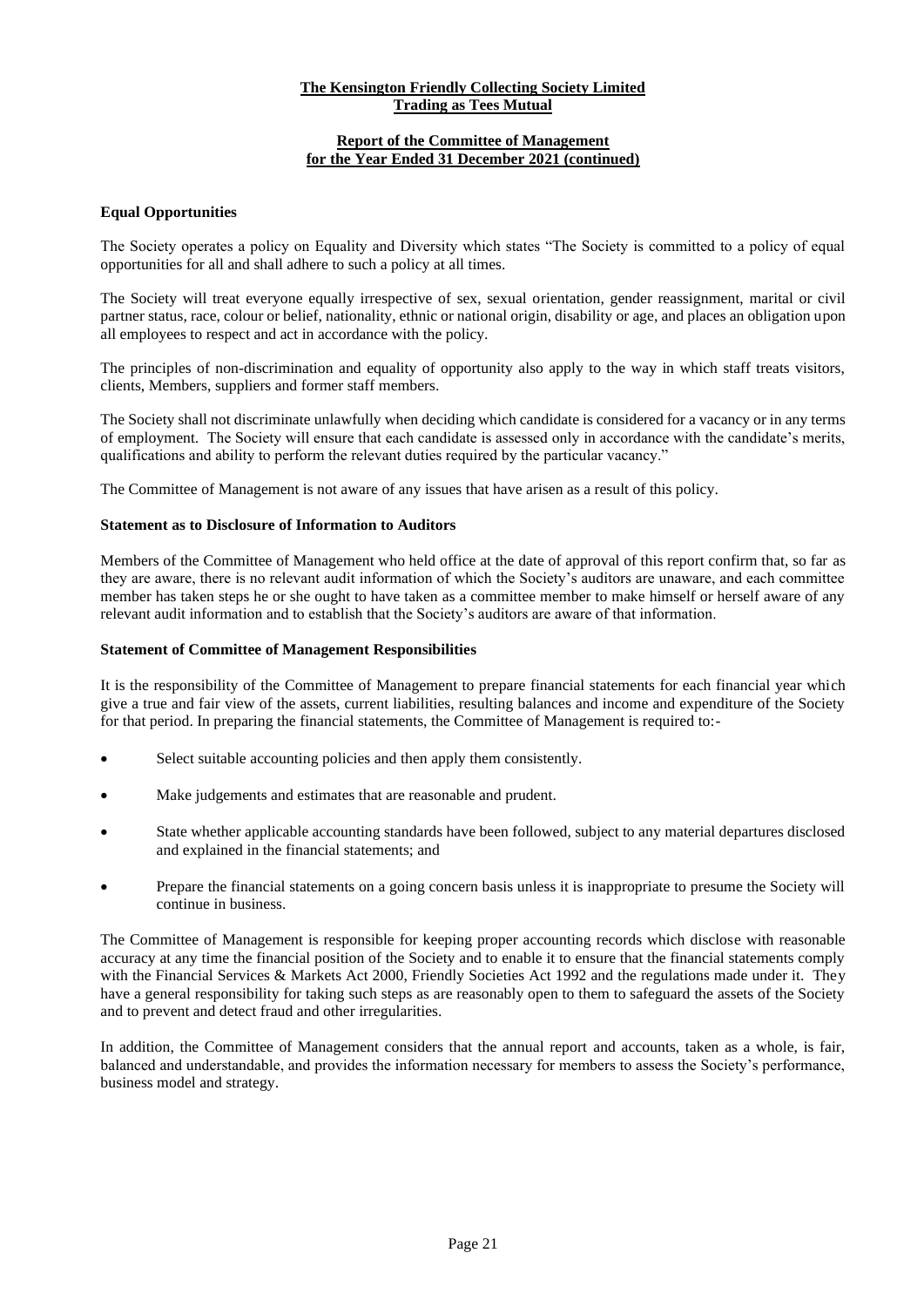# **Report of the Committee of Management for the Year Ended 31 December 2021 (continued)**

# **Equal Opportunities**

The Society operates a policy on Equality and Diversity which states "The Society is committed to a policy of equal opportunities for all and shall adhere to such a policy at all times.

The Society will treat everyone equally irrespective of sex, sexual orientation, gender reassignment, marital or civil partner status, race, colour or belief, nationality, ethnic or national origin, disability or age, and places an obligation upon all employees to respect and act in accordance with the policy.

The principles of non-discrimination and equality of opportunity also apply to the way in which staff treats visitors, clients, Members, suppliers and former staff members.

The Society shall not discriminate unlawfully when deciding which candidate is considered for a vacancy or in any terms of employment. The Society will ensure that each candidate is assessed only in accordance with the candidate's merits, qualifications and ability to perform the relevant duties required by the particular vacancy."

The Committee of Management is not aware of any issues that have arisen as a result of this policy.

#### **Statement as to Disclosure of Information to Auditors**

Members of the Committee of Management who held office at the date of approval of this report confirm that, so far as they are aware, there is no relevant audit information of which the Society's auditors are unaware, and each committee member has taken steps he or she ought to have taken as a committee member to make himself or herself aware of any relevant audit information and to establish that the Society's auditors are aware of that information.

#### **Statement of Committee of Management Responsibilities**

It is the responsibility of the Committee of Management to prepare financial statements for each financial year which give a true and fair view of the assets, current liabilities, resulting balances and income and expenditure of the Society for that period. In preparing the financial statements, the Committee of Management is required to:-

- Select suitable accounting policies and then apply them consistently.
- Make judgements and estimates that are reasonable and prudent.
- State whether applicable accounting standards have been followed, subject to any material departures disclosed and explained in the financial statements; and
- Prepare the financial statements on a going concern basis unless it is inappropriate to presume the Society will continue in business.

The Committee of Management is responsible for keeping proper accounting records which disclose with reasonable accuracy at any time the financial position of the Society and to enable it to ensure that the financial statements comply with the Financial Services & Markets Act 2000, Friendly Societies Act 1992 and the regulations made under it. They have a general responsibility for taking such steps as are reasonably open to them to safeguard the assets of the Society and to prevent and detect fraud and other irregularities.

In addition, the Committee of Management considers that the annual report and accounts, taken as a whole, is fair, balanced and understandable, and provides the information necessary for members to assess the Society's performance, business model and strategy.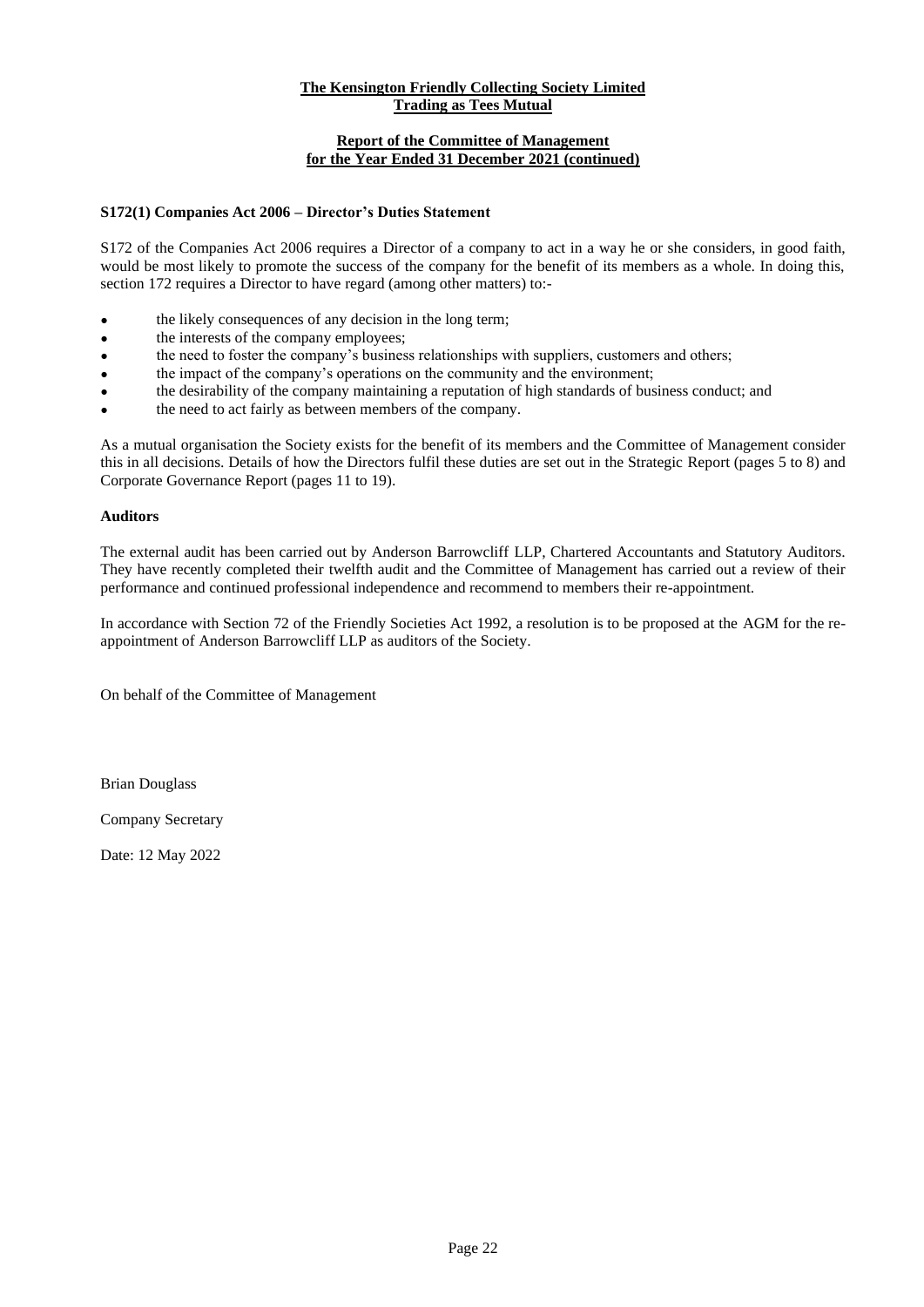# **Report of the Committee of Management for the Year Ended 31 December 2021 (continued)**

# **S172(1) Companies Act 2006 – Director's Duties Statement**

S172 of the Companies Act 2006 requires a Director of a company to act in a way he or she considers, in good faith, would be most likely to promote the success of the company for the benefit of its members as a whole. In doing this, section 172 requires a Director to have regard (among other matters) to:-

- the likely consequences of any decision in the long term;
- the interests of the company employees;
- the need to foster the company's business relationships with suppliers, customers and others;
- the impact of the company's operations on the community and the environment;
- the desirability of the company maintaining a reputation of high standards of business conduct; and
- the need to act fairly as between members of the company.

As a mutual organisation the Society exists for the benefit of its members and the Committee of Management consider this in all decisions. Details of how the Directors fulfil these duties are set out in the Strategic Report (pages 5 to 8) and Corporate Governance Report (pages 11 to 19).

#### **Auditors**

The external audit has been carried out by Anderson Barrowcliff LLP, Chartered Accountants and Statutory Auditors. They have recently completed their twelfth audit and the Committee of Management has carried out a review of their performance and continued professional independence and recommend to members their re-appointment.

In accordance with Section 72 of the Friendly Societies Act 1992, a resolution is to be proposed at the AGM for the reappointment of Anderson Barrowcliff LLP as auditors of the Society.

On behalf of the Committee of Management

Brian Douglass

Company Secretary

Date: 12 May 2022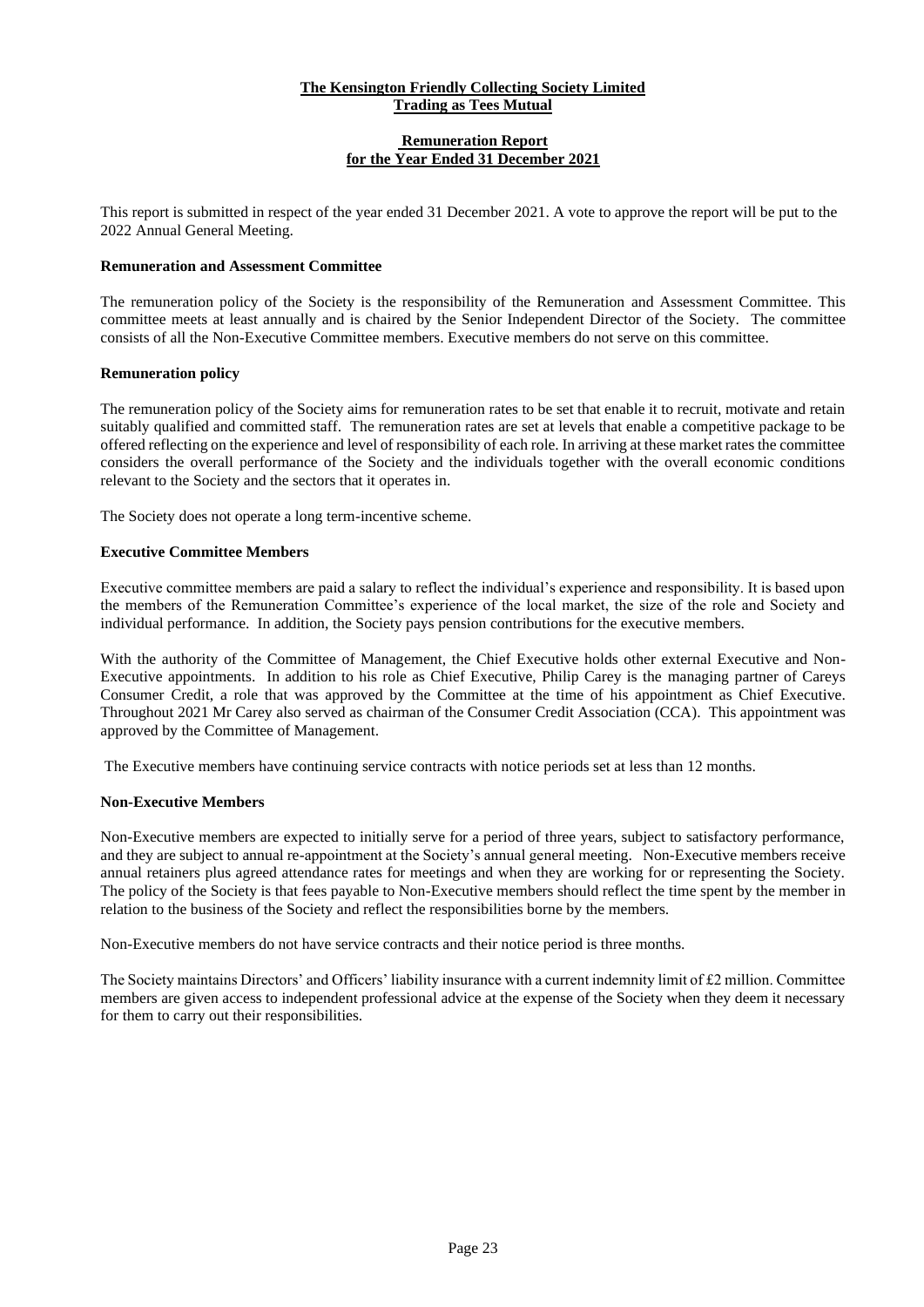#### **Remuneration Report for the Year Ended 31 December 2021**

This report is submitted in respect of the year ended 31 December 2021. A vote to approve the report will be put to the 2022 Annual General Meeting.

# **Remuneration and Assessment Committee**

The remuneration policy of the Society is the responsibility of the Remuneration and Assessment Committee. This committee meets at least annually and is chaired by the Senior Independent Director of the Society. The committee consists of all the Non-Executive Committee members. Executive members do not serve on this committee.

# **Remuneration policy**

The remuneration policy of the Society aims for remuneration rates to be set that enable it to recruit, motivate and retain suitably qualified and committed staff. The remuneration rates are set at levels that enable a competitive package to be offered reflecting on the experience and level of responsibility of each role. In arriving at these market rates the committee considers the overall performance of the Society and the individuals together with the overall economic conditions relevant to the Society and the sectors that it operates in.

The Society does not operate a long term-incentive scheme.

# **Executive Committee Members**

Executive committee members are paid a salary to reflect the individual's experience and responsibility. It is based upon the members of the Remuneration Committee's experience of the local market, the size of the role and Society and individual performance. In addition, the Society pays pension contributions for the executive members.

With the authority of the Committee of Management, the Chief Executive holds other external Executive and Non-Executive appointments. In addition to his role as Chief Executive, Philip Carey is the managing partner of Careys Consumer Credit, a role that was approved by the Committee at the time of his appointment as Chief Executive. Throughout 2021 Mr Carey also served as chairman of the Consumer Credit Association (CCA). This appointment was approved by the Committee of Management.

The Executive members have continuing service contracts with notice periods set at less than 12 months.

# **Non-Executive Members**

Non-Executive members are expected to initially serve for a period of three years, subject to satisfactory performance, and they are subject to annual re-appointment at the Society's annual general meeting. Non-Executive members receive annual retainers plus agreed attendance rates for meetings and when they are working for or representing the Society. The policy of the Society is that fees payable to Non-Executive members should reflect the time spent by the member in relation to the business of the Society and reflect the responsibilities borne by the members.

Non-Executive members do not have service contracts and their notice period is three months.

The Society maintains Directors' and Officers' liability insurance with a current indemnity limit of  $\text{\pounds}2$  million. Committee members are given access to independent professional advice at the expense of the Society when they deem it necessary for them to carry out their responsibilities.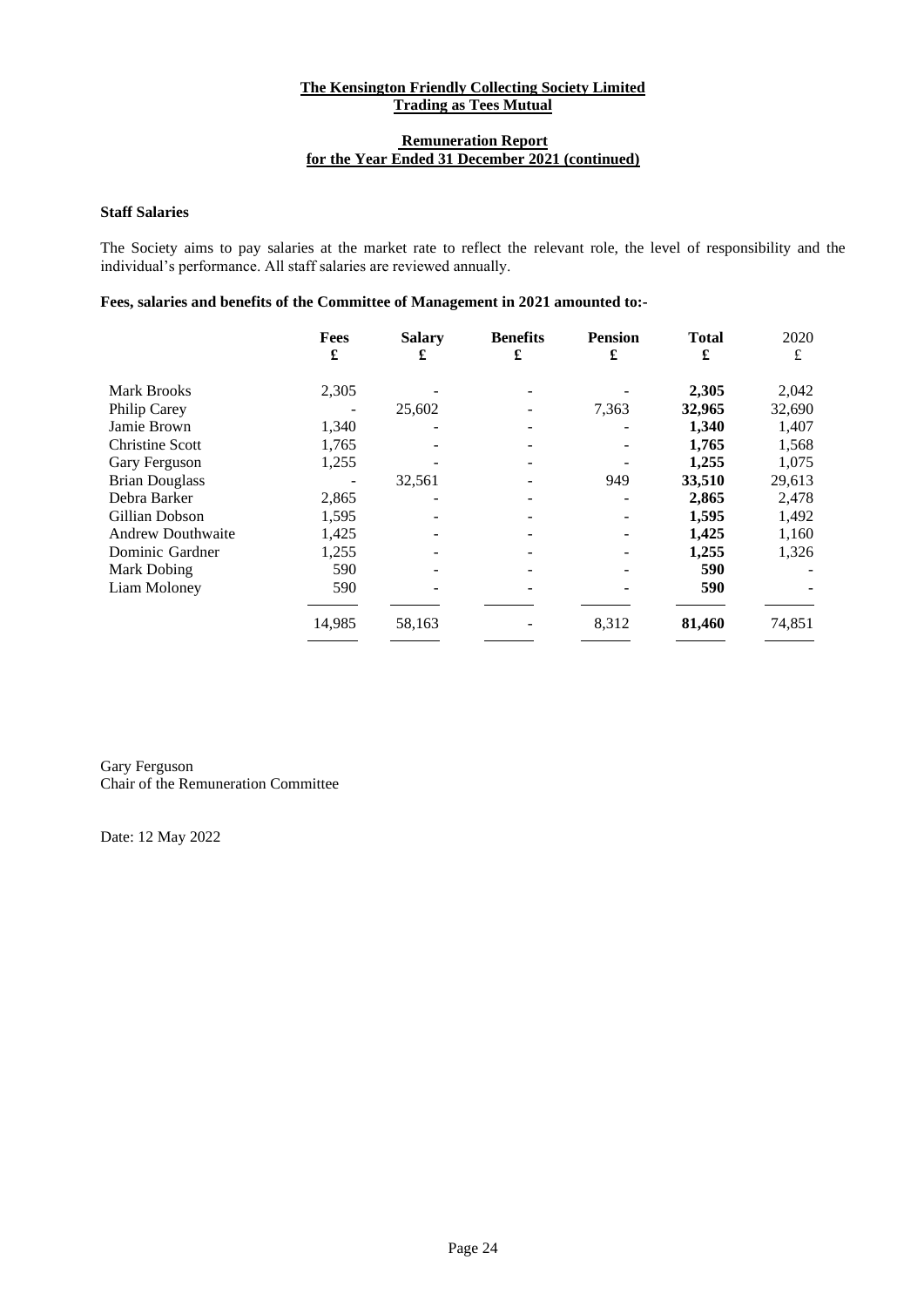# **Remuneration Report for the Year Ended 31 December 2021 (continued)**

# **Staff Salaries**

The Society aims to pay salaries at the market rate to reflect the relevant role, the level of responsibility and the individual's performance. All staff salaries are reviewed annually.

# **Fees, salaries and benefits of the Committee of Management in 2021 amounted to:-**

|                          | Fees<br>£ | <b>Salary</b><br>£ | <b>Benefits</b><br>£ | <b>Pension</b><br>£ | <b>Total</b><br>£ | 2020<br>£ |
|--------------------------|-----------|--------------------|----------------------|---------------------|-------------------|-----------|
| Mark Brooks              | 2,305     |                    |                      |                     | 2,305             | 2,042     |
| Philip Carey             |           | 25,602             |                      | 7,363               | 32,965            | 32,690    |
| Jamie Brown              | 1,340     |                    |                      |                     | 1,340             | 1,407     |
| <b>Christine Scott</b>   | 1,765     |                    |                      |                     | 1,765             | 1,568     |
| Gary Ferguson            | 1,255     |                    |                      |                     | 1,255             | 1,075     |
| <b>Brian Douglass</b>    |           | 32,561             |                      | 949                 | 33,510            | 29,613    |
| Debra Barker             | 2,865     |                    |                      |                     | 2,865             | 2,478     |
| Gillian Dobson           | 1,595     |                    |                      |                     | 1,595             | 1,492     |
| <b>Andrew Douthwaite</b> | 1,425     |                    |                      |                     | 1,425             | 1,160     |
| Dominic Gardner          | 1,255     |                    |                      |                     | 1,255             | 1,326     |
| Mark Dobing              | 590       |                    |                      |                     | 590               |           |
| Liam Moloney             | 590       |                    |                      |                     | 590               |           |
|                          | 14,985    | 58,163             |                      | 8,312               | 81,460            | 74,851    |

Gary Ferguson Chair of the Remuneration Committee

Date: 12 May 2022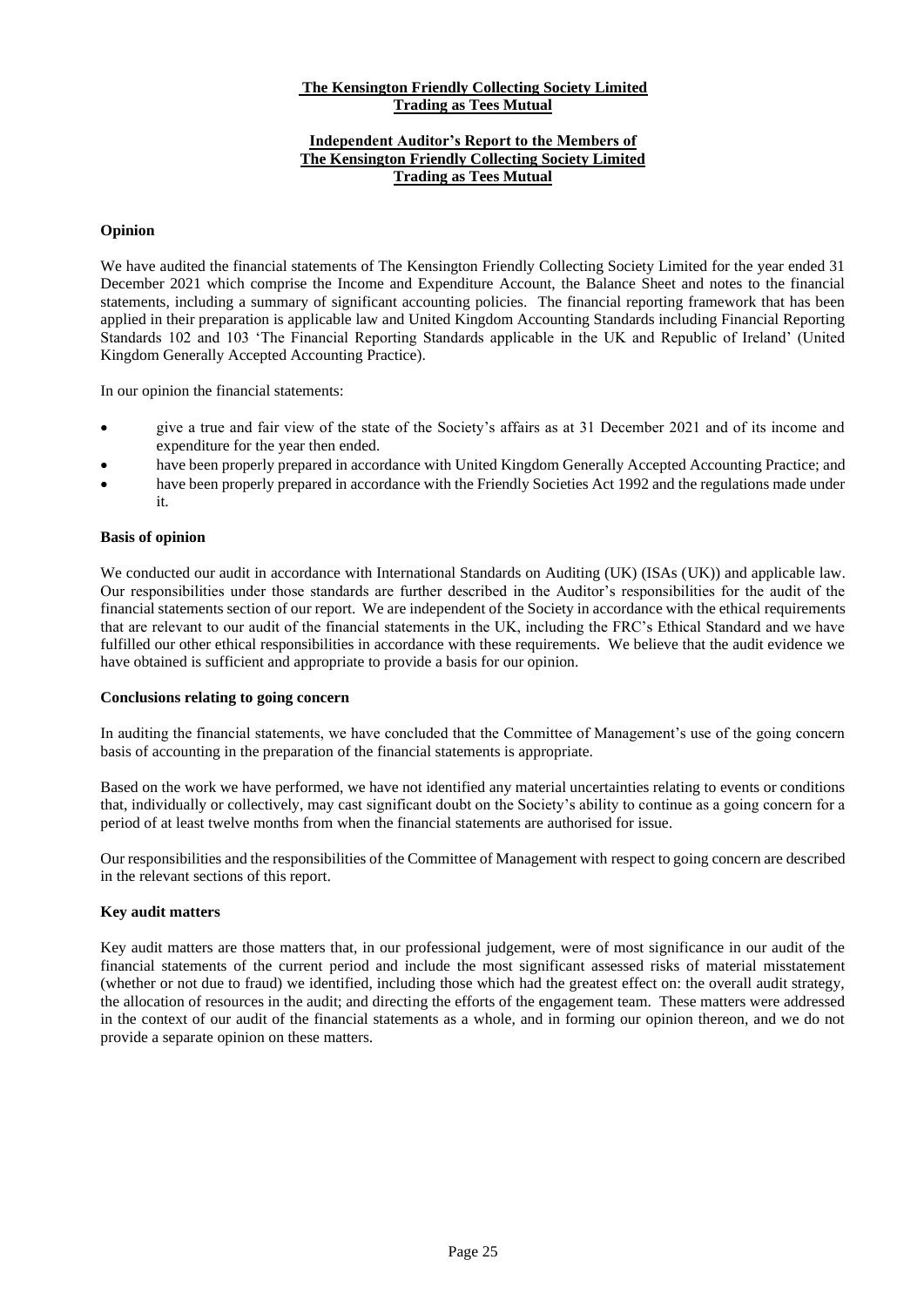# **Independent Auditor's Report to the Members of The Kensington Friendly Collecting Society Limited Trading as Tees Mutual**

# **Opinion**

We have audited the financial statements of The Kensington Friendly Collecting Society Limited for the year ended 31 December 2021 which comprise the Income and Expenditure Account, the Balance Sheet and notes to the financial statements, including a summary of significant accounting policies. The financial reporting framework that has been applied in their preparation is applicable law and United Kingdom Accounting Standards including Financial Reporting Standards 102 and 103 'The Financial Reporting Standards applicable in the UK and Republic of Ireland' (United Kingdom Generally Accepted Accounting Practice).

In our opinion the financial statements:

- give a true and fair view of the state of the Society's affairs as at 31 December 2021 and of its income and expenditure for the year then ended.
- have been properly prepared in accordance with United Kingdom Generally Accepted Accounting Practice; and
- have been properly prepared in accordance with the Friendly Societies Act 1992 and the regulations made under it.

#### **Basis of opinion**

We conducted our audit in accordance with International Standards on Auditing (UK) (ISAs (UK)) and applicable law. Our responsibilities under those standards are further described in the Auditor's responsibilities for the audit of the financial statements section of our report. We are independent of the Society in accordance with the ethical requirements that are relevant to our audit of the financial statements in the UK, including the FRC's Ethical Standard and we have fulfilled our other ethical responsibilities in accordance with these requirements. We believe that the audit evidence we have obtained is sufficient and appropriate to provide a basis for our opinion.

#### **Conclusions relating to going concern**

In auditing the financial statements, we have concluded that the Committee of Management's use of the going concern basis of accounting in the preparation of the financial statements is appropriate.

Based on the work we have performed, we have not identified any material uncertainties relating to events or conditions that, individually or collectively, may cast significant doubt on the Society's ability to continue as a going concern for a period of at least twelve months from when the financial statements are authorised for issue.

Our responsibilities and the responsibilities of the Committee of Management with respect to going concern are described in the relevant sections of this report.

# **Key audit matters**

Key audit matters are those matters that, in our professional judgement, were of most significance in our audit of the financial statements of the current period and include the most significant assessed risks of material misstatement (whether or not due to fraud) we identified, including those which had the greatest effect on: the overall audit strategy, the allocation of resources in the audit; and directing the efforts of the engagement team. These matters were addressed in the context of our audit of the financial statements as a whole, and in forming our opinion thereon, and we do not provide a separate opinion on these matters.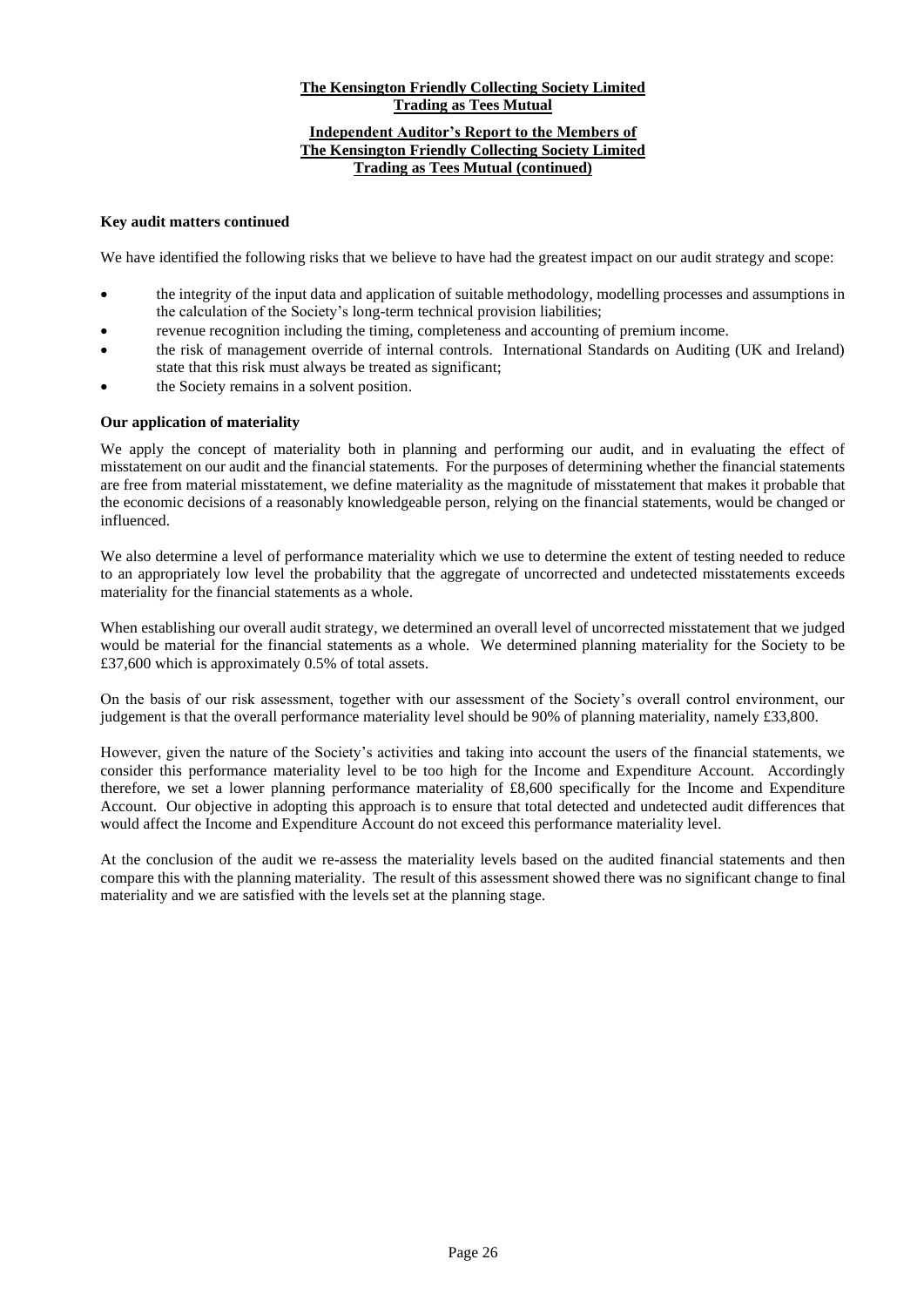# **The Kensington Friendly Collecting Society Limited Trading as Tees Mutual Independent Auditor's Report to the Members of The Kensington Friendly Collecting Society Limited Trading as Tees Mutual (continued)**

# **Key audit matters continued**

We have identified the following risks that we believe to have had the greatest impact on our audit strategy and scope:

- the integrity of the input data and application of suitable methodology, modelling processes and assumptions in the calculation of the Society's long-term technical provision liabilities;
- revenue recognition including the timing, completeness and accounting of premium income.
- the risk of management override of internal controls. International Standards on Auditing (UK and Ireland) state that this risk must always be treated as significant;
- the Society remains in a solvent position.

# **Our application of materiality**

We apply the concept of materiality both in planning and performing our audit, and in evaluating the effect of misstatement on our audit and the financial statements. For the purposes of determining whether the financial statements are free from material misstatement, we define materiality as the magnitude of misstatement that makes it probable that the economic decisions of a reasonably knowledgeable person, relying on the financial statements, would be changed or influenced.

We also determine a level of performance materiality which we use to determine the extent of testing needed to reduce to an appropriately low level the probability that the aggregate of uncorrected and undetected misstatements exceeds materiality for the financial statements as a whole.

When establishing our overall audit strategy, we determined an overall level of uncorrected misstatement that we judged would be material for the financial statements as a whole. We determined planning materiality for the Society to be £37,600 which is approximately 0.5% of total assets.

On the basis of our risk assessment, together with our assessment of the Society's overall control environment, our judgement is that the overall performance materiality level should be 90% of planning materiality, namely £33,800.

However, given the nature of the Society's activities and taking into account the users of the financial statements, we consider this performance materiality level to be too high for the Income and Expenditure Account. Accordingly therefore, we set a lower planning performance materiality of £8,600 specifically for the Income and Expenditure Account. Our objective in adopting this approach is to ensure that total detected and undetected audit differences that would affect the Income and Expenditure Account do not exceed this performance materiality level.

At the conclusion of the audit we re-assess the materiality levels based on the audited financial statements and then compare this with the planning materiality. The result of this assessment showed there was no significant change to final materiality and we are satisfied with the levels set at the planning stage.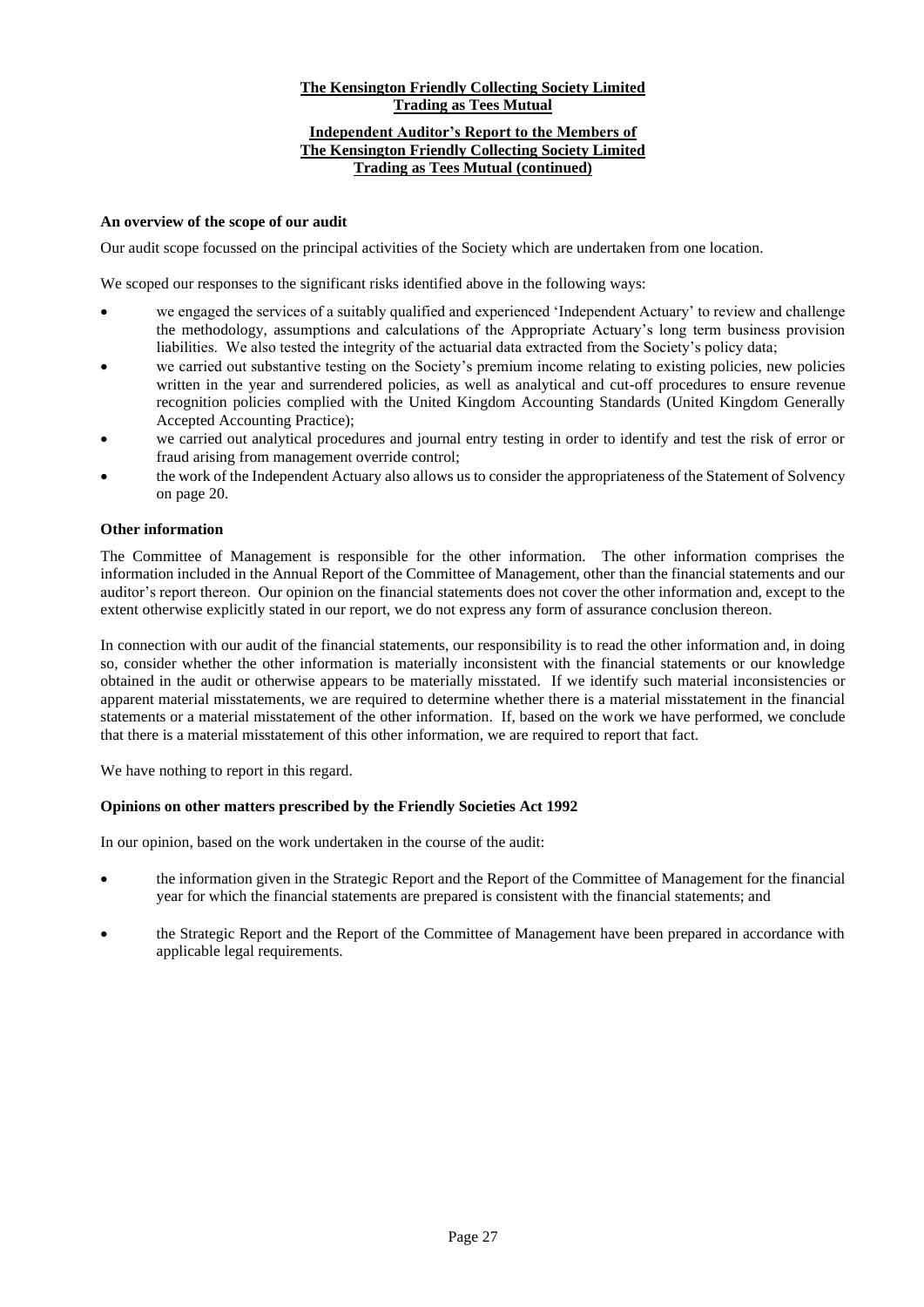# **The Kensington Friendly Collecting Society Limited Trading as Tees Mutual Independent Auditor's Report to the Members of The Kensington Friendly Collecting Society Limited Trading as Tees Mutual (continued)**

#### **An overview of the scope of our audit**

Our audit scope focussed on the principal activities of the Society which are undertaken from one location.

We scoped our responses to the significant risks identified above in the following ways:

- we engaged the services of a suitably qualified and experienced 'Independent Actuary' to review and challenge the methodology, assumptions and calculations of the Appropriate Actuary's long term business provision liabilities. We also tested the integrity of the actuarial data extracted from the Society's policy data;
- we carried out substantive testing on the Society's premium income relating to existing policies, new policies written in the year and surrendered policies, as well as analytical and cut-off procedures to ensure revenue recognition policies complied with the United Kingdom Accounting Standards (United Kingdom Generally Accepted Accounting Practice);
- we carried out analytical procedures and journal entry testing in order to identify and test the risk of error or fraud arising from management override control;
- the work of the Independent Actuary also allows us to consider the appropriateness of the Statement of Solvency on page 20.

#### **Other information**

The Committee of Management is responsible for the other information. The other information comprises the information included in the Annual Report of the Committee of Management, other than the financial statements and our auditor's report thereon. Our opinion on the financial statements does not cover the other information and, except to the extent otherwise explicitly stated in our report, we do not express any form of assurance conclusion thereon.

In connection with our audit of the financial statements, our responsibility is to read the other information and, in doing so, consider whether the other information is materially inconsistent with the financial statements or our knowledge obtained in the audit or otherwise appears to be materially misstated. If we identify such material inconsistencies or apparent material misstatements, we are required to determine whether there is a material misstatement in the financial statements or a material misstatement of the other information. If, based on the work we have performed, we conclude that there is a material misstatement of this other information, we are required to report that fact.

We have nothing to report in this regard.

#### **Opinions on other matters prescribed by the Friendly Societies Act 1992**

In our opinion, based on the work undertaken in the course of the audit:

- the information given in the Strategic Report and the Report of the Committee of Management for the financial year for which the financial statements are prepared is consistent with the financial statements; and
- the Strategic Report and the Report of the Committee of Management have been prepared in accordance with applicable legal requirements.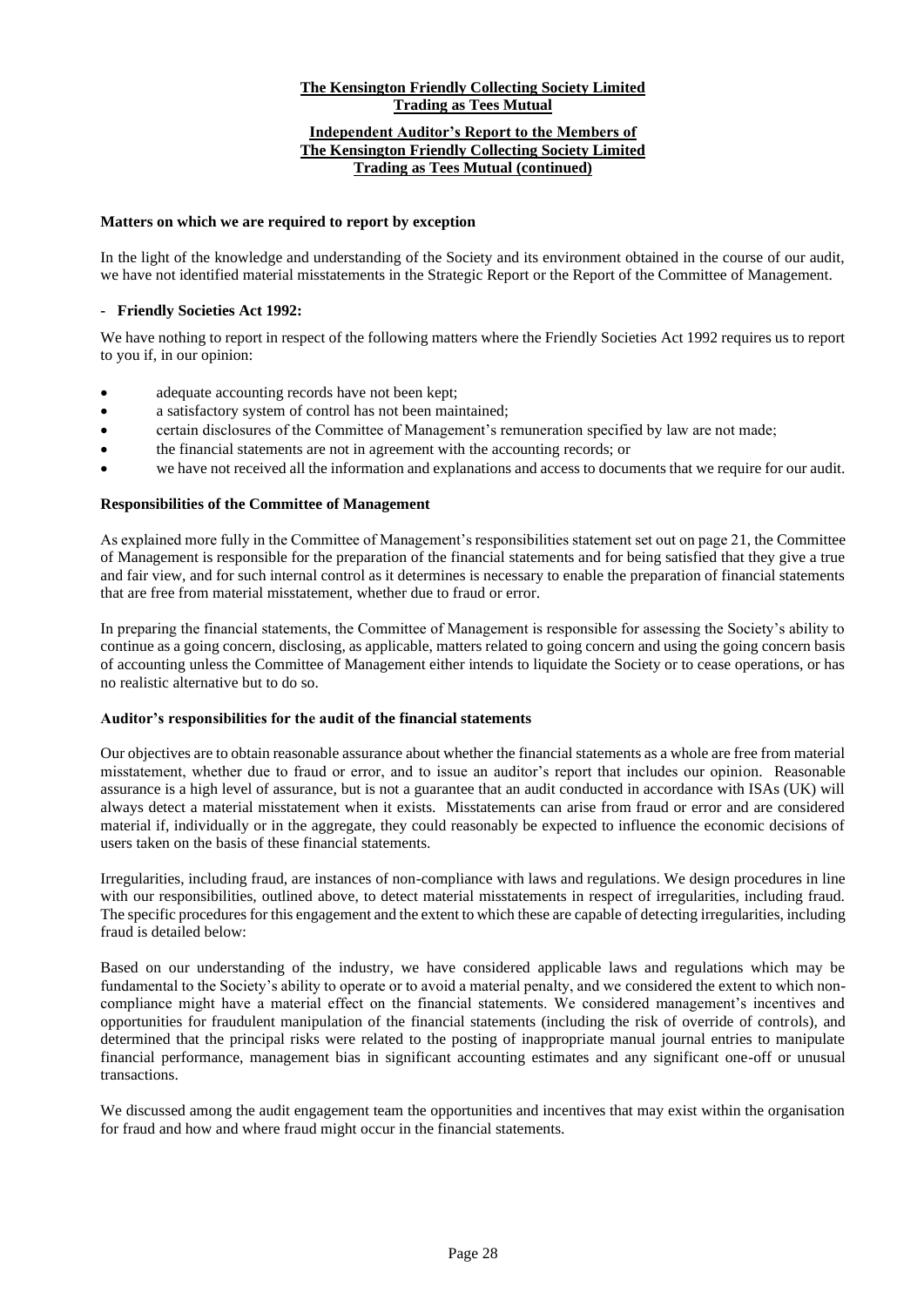#### **Independent Auditor's Report to the Members of The Kensington Friendly Collecting Society Limited Trading as Tees Mutual (continued)**

#### **Matters on which we are required to report by exception**

In the light of the knowledge and understanding of the Society and its environment obtained in the course of our audit, we have not identified material misstatements in the Strategic Report or the Report of the Committee of Management.

# **- Friendly Societies Act 1992:**

We have nothing to report in respect of the following matters where the Friendly Societies Act 1992 requires us to report to you if, in our opinion:

- adequate accounting records have not been kept;
- a satisfactory system of control has not been maintained;
- certain disclosures of the Committee of Management's remuneration specified by law are not made;
- the financial statements are not in agreement with the accounting records; or
- we have not received all the information and explanations and access to documents that we require for our audit.

# **Responsibilities of the Committee of Management**

As explained more fully in the Committee of Management's responsibilities statement set out on page 21, the Committee of Management is responsible for the preparation of the financial statements and for being satisfied that they give a true and fair view, and for such internal control as it determines is necessary to enable the preparation of financial statements that are free from material misstatement, whether due to fraud or error.

In preparing the financial statements, the Committee of Management is responsible for assessing the Society's ability to continue as a going concern, disclosing, as applicable, matters related to going concern and using the going concern basis of accounting unless the Committee of Management either intends to liquidate the Society or to cease operations, or has no realistic alternative but to do so.

# **Auditor's responsibilities for the audit of the financial statements**

Our objectives are to obtain reasonable assurance about whether the financial statements as a whole are free from material misstatement, whether due to fraud or error, and to issue an auditor's report that includes our opinion. Reasonable assurance is a high level of assurance, but is not a guarantee that an audit conducted in accordance with ISAs (UK) will always detect a material misstatement when it exists. Misstatements can arise from fraud or error and are considered material if, individually or in the aggregate, they could reasonably be expected to influence the economic decisions of users taken on the basis of these financial statements.

Irregularities, including fraud, are instances of non-compliance with laws and regulations. We design procedures in line with our responsibilities, outlined above, to detect material misstatements in respect of irregularities, including fraud. The specific procedures for this engagement and the extent to which these are capable of detecting irregularities, including fraud is detailed below:

Based on our understanding of the industry, we have considered applicable laws and regulations which may be fundamental to the Society's ability to operate or to avoid a material penalty, and we considered the extent to which noncompliance might have a material effect on the financial statements. We considered management's incentives and opportunities for fraudulent manipulation of the financial statements (including the risk of override of controls), and determined that the principal risks were related to the posting of inappropriate manual journal entries to manipulate financial performance, management bias in significant accounting estimates and any significant one-off or unusual transactions.

We discussed among the audit engagement team the opportunities and incentives that may exist within the organisation for fraud and how and where fraud might occur in the financial statements.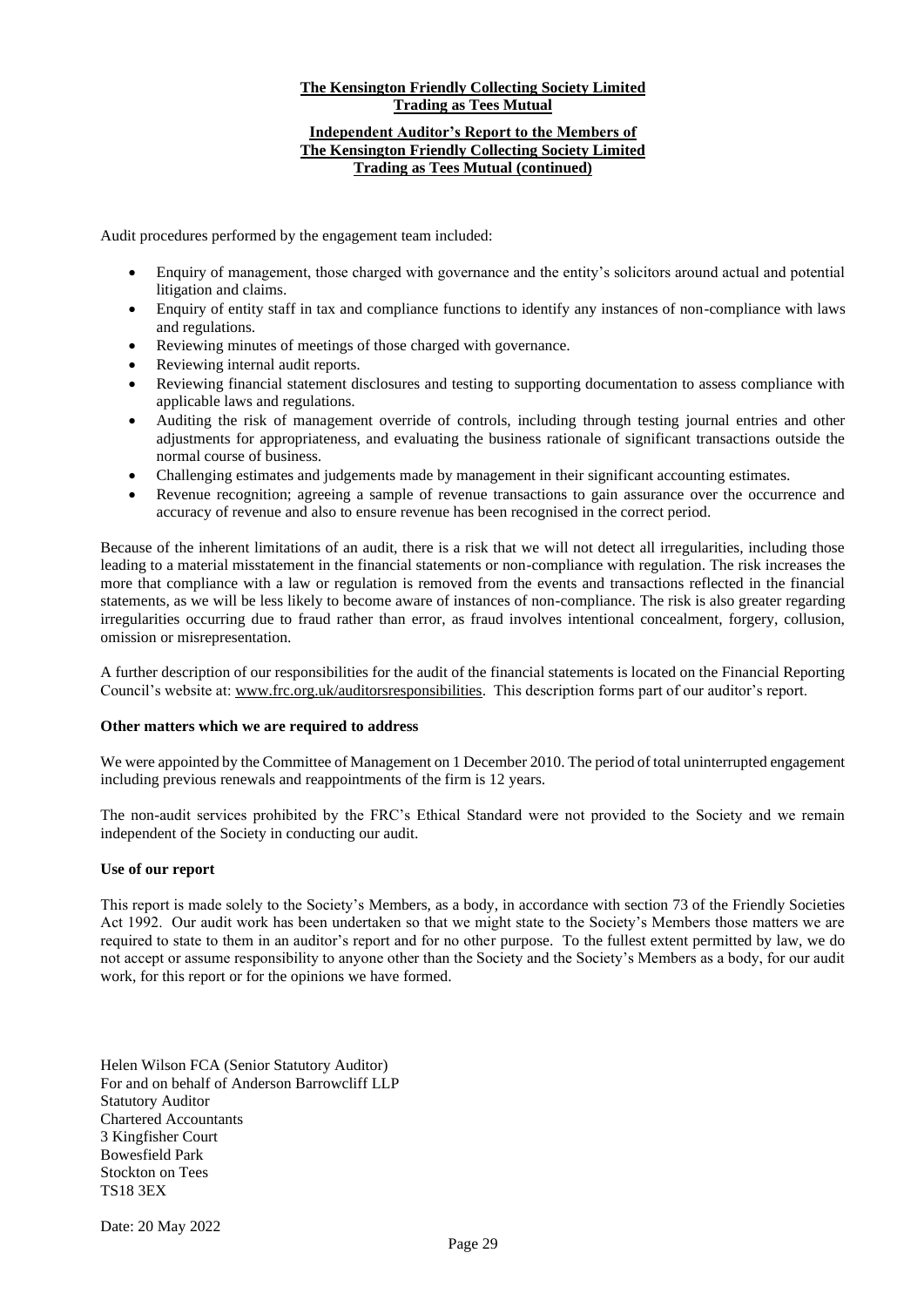# **Independent Auditor's Report to the Members of The Kensington Friendly Collecting Society Limited Trading as Tees Mutual (continued)**

Audit procedures performed by the engagement team included:

- Enquiry of management, those charged with governance and the entity's solicitors around actual and potential litigation and claims.
- Enquiry of entity staff in tax and compliance functions to identify any instances of non-compliance with laws and regulations.
- Reviewing minutes of meetings of those charged with governance.
- Reviewing internal audit reports.
- Reviewing financial statement disclosures and testing to supporting documentation to assess compliance with applicable laws and regulations.
- Auditing the risk of management override of controls, including through testing journal entries and other adjustments for appropriateness, and evaluating the business rationale of significant transactions outside the normal course of business.
- Challenging estimates and judgements made by management in their significant accounting estimates.
- Revenue recognition; agreeing a sample of revenue transactions to gain assurance over the occurrence and accuracy of revenue and also to ensure revenue has been recognised in the correct period.

Because of the inherent limitations of an audit, there is a risk that we will not detect all irregularities, including those leading to a material misstatement in the financial statements or non-compliance with regulation. The risk increases the more that compliance with a law or regulation is removed from the events and transactions reflected in the financial statements, as we will be less likely to become aware of instances of non-compliance. The risk is also greater regarding irregularities occurring due to fraud rather than error, as fraud involves intentional concealment, forgery, collusion, omission or misrepresentation.

A further description of our responsibilities for the audit of the financial statements is located on the Financial Reporting Council's website at[: www.frc.org.uk/auditorsresponsibilities.](http://www.frc.org.uk/auditorsresponsibilities) This description forms part of our auditor's report.

# **Other matters which we are required to address**

We were appointed by the Committee of Management on 1 December 2010. The period of total uninterrupted engagement including previous renewals and reappointments of the firm is 12 years.

The non-audit services prohibited by the FRC's Ethical Standard were not provided to the Society and we remain independent of the Society in conducting our audit.

# **Use of our report**

This report is made solely to the Society's Members, as a body, in accordance with section 73 of the Friendly Societies Act 1992. Our audit work has been undertaken so that we might state to the Society's Members those matters we are required to state to them in an auditor's report and for no other purpose. To the fullest extent permitted by law, we do not accept or assume responsibility to anyone other than the Society and the Society's Members as a body, for our audit work, for this report or for the opinions we have formed.

Helen Wilson FCA (Senior Statutory Auditor) For and on behalf of Anderson Barrowcliff LLP Statutory Auditor Chartered Accountants 3 Kingfisher Court Bowesfield Park Stockton on Tees TS18 3EX

Date: 20 May 2022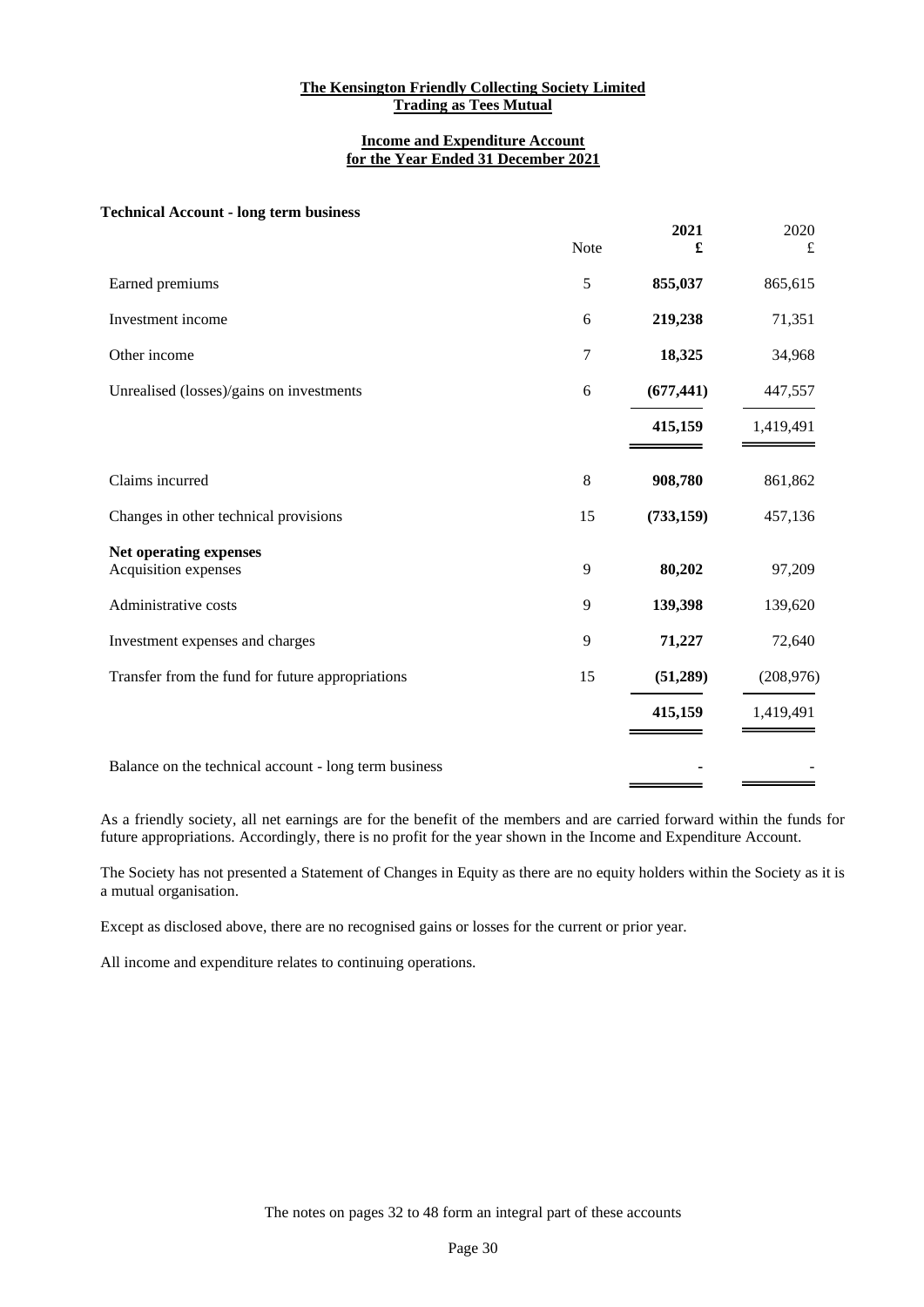#### **Income and Expenditure Account for the Year Ended 31 December 2021**

#### **Technical Account - long term business**

|                                                       | Note | 2021<br>£  | 2020<br>£  |
|-------------------------------------------------------|------|------------|------------|
| Earned premiums                                       | 5    | 855,037    | 865,615    |
| Investment income                                     | 6    | 219,238    | 71,351     |
| Other income                                          | 7    | 18,325     | 34,968     |
| Unrealised (losses)/gains on investments              | 6    | (677, 441) | 447,557    |
|                                                       |      | 415,159    | 1,419,491  |
| Claims incurred                                       | 8    | 908,780    | 861,862    |
| Changes in other technical provisions                 | 15   | (733, 159) | 457,136    |
| Net operating expenses<br>Acquisition expenses        | 9    | 80,202     | 97,209     |
| Administrative costs                                  | 9    | 139,398    | 139,620    |
| Investment expenses and charges                       | 9    | 71,227     | 72,640     |
| Transfer from the fund for future appropriations      | 15   | (51,289)   | (208, 976) |
|                                                       |      | 415,159    | 1,419,491  |
| Balance on the technical account - long term business |      |            |            |

As a friendly society, all net earnings are for the benefit of the members and are carried forward within the funds for future appropriations. Accordingly, there is no profit for the year shown in the Income and Expenditure Account.

The Society has not presented a Statement of Changes in Equity as there are no equity holders within the Society as it is a mutual organisation.

Except as disclosed above, there are no recognised gains or losses for the current or prior year.

All income and expenditure relates to continuing operations.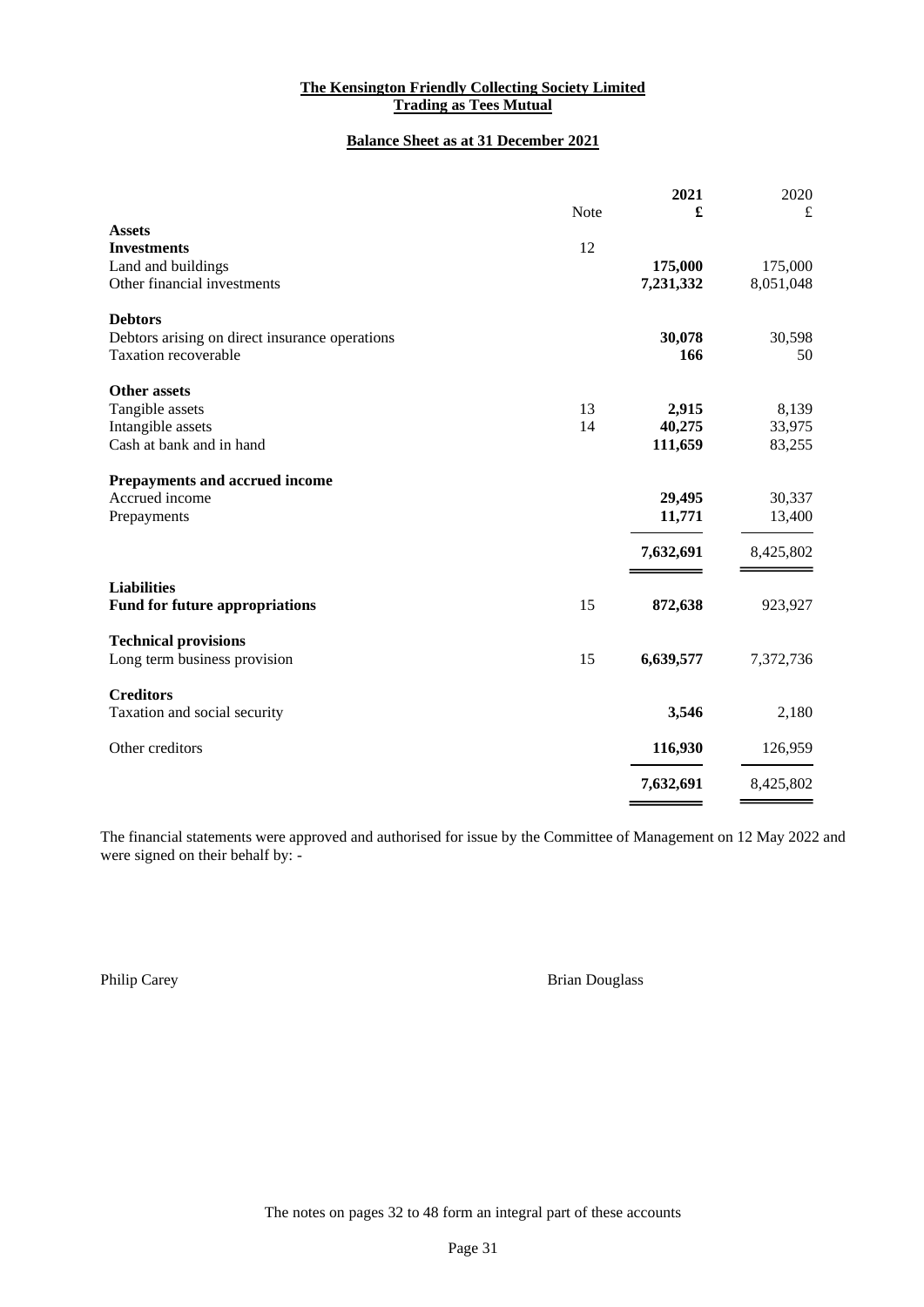# **Balance Sheet as at 31 December 2021**

|                                                |      | 2021      | 2020      |
|------------------------------------------------|------|-----------|-----------|
|                                                | Note | £         | £         |
| <b>Assets</b>                                  |      |           |           |
| <b>Investments</b>                             | 12   |           |           |
| Land and buildings                             |      | 175,000   | 175,000   |
| Other financial investments                    |      | 7,231,332 | 8,051,048 |
| <b>Debtors</b>                                 |      |           |           |
| Debtors arising on direct insurance operations |      | 30,078    | 30,598    |
| <b>Taxation recoverable</b>                    |      | 166       | 50        |
| <b>Other assets</b>                            |      |           |           |
| Tangible assets                                | 13   | 2,915     | 8,139     |
| Intangible assets                              | 14   | 40,275    | 33,975    |
| Cash at bank and in hand                       |      | 111,659   | 83,255    |
| Prepayments and accrued income                 |      |           |           |
| Accrued income                                 |      | 29,495    | 30,337    |
| Prepayments                                    |      | 11,771    | 13,400    |
|                                                |      | 7,632,691 | 8,425,802 |
| <b>Liabilities</b>                             |      |           |           |
| <b>Fund for future appropriations</b>          | 15   | 872,638   | 923,927   |
| <b>Technical provisions</b>                    |      |           |           |
| Long term business provision                   | 15   | 6,639,577 | 7,372,736 |
| <b>Creditors</b>                               |      |           |           |
| Taxation and social security                   |      | 3,546     | 2,180     |
| Other creditors                                |      | 116,930   | 126,959   |
|                                                |      | 7,632,691 | 8,425,802 |

The financial statements were approved and authorised for issue by the Committee of Management on 12 May 2022 and were signed on their behalf by: -

Philip Carey **Brian Douglass**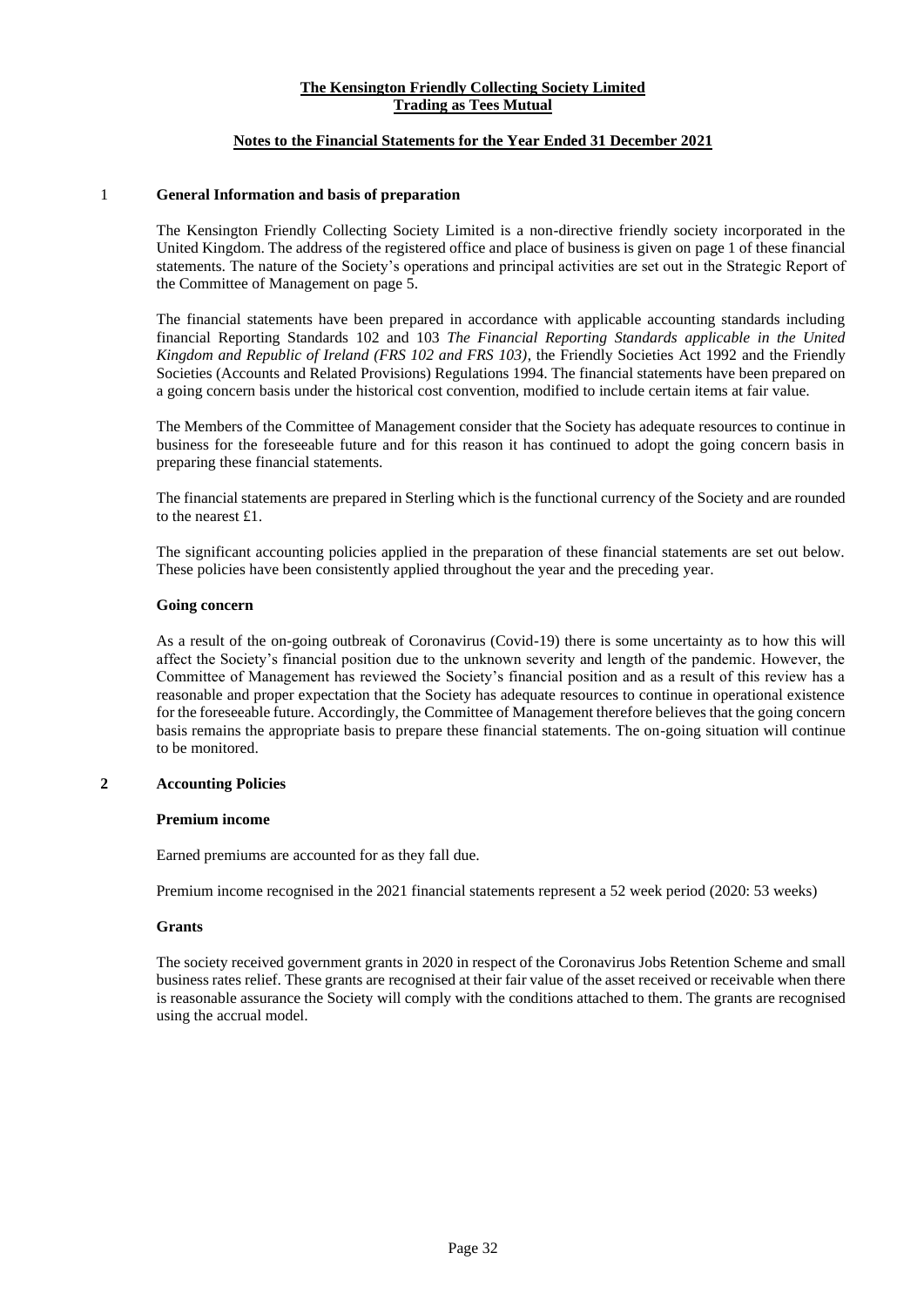# **Notes to the Financial Statements for the Year Ended 31 December 2021**

#### 1 **General Information and basis of preparation**

The Kensington Friendly Collecting Society Limited is a non-directive friendly society incorporated in the United Kingdom. The address of the registered office and place of business is given on page 1 of these financial statements. The nature of the Society's operations and principal activities are set out in the Strategic Report of the Committee of Management on page 5.

The financial statements have been prepared in accordance with applicable accounting standards including financial Reporting Standards 102 and 103 *The Financial Reporting Standards applicable in the United Kingdom and Republic of Ireland (FRS 102 and FRS 103)*, the Friendly Societies Act 1992 and the Friendly Societies (Accounts and Related Provisions) Regulations 1994. The financial statements have been prepared on a going concern basis under the historical cost convention, modified to include certain items at fair value.

The Members of the Committee of Management consider that the Society has adequate resources to continue in business for the foreseeable future and for this reason it has continued to adopt the going concern basis in preparing these financial statements.

The financial statements are prepared in Sterling which is the functional currency of the Society and are rounded to the nearest £1.

The significant accounting policies applied in the preparation of these financial statements are set out below. These policies have been consistently applied throughout the year and the preceding year.

#### **Going concern**

As a result of the on-going outbreak of Coronavirus (Covid-19) there is some uncertainty as to how this will affect the Society's financial position due to the unknown severity and length of the pandemic. However, the Committee of Management has reviewed the Society's financial position and as a result of this review has a reasonable and proper expectation that the Society has adequate resources to continue in operational existence for the foreseeable future. Accordingly, the Committee of Management therefore believes that the going concern basis remains the appropriate basis to prepare these financial statements. The on-going situation will continue to be monitored.

# **2 Accounting Policies**

#### **Premium income**

Earned premiums are accounted for as they fall due.

Premium income recognised in the 2021 financial statements represent a 52 week period (2020: 53 weeks)

#### **Grants**

The society received government grants in 2020 in respect of the Coronavirus Jobs Retention Scheme and small business rates relief. These grants are recognised at their fair value of the asset received or receivable when there is reasonable assurance the Society will comply with the conditions attached to them. The grants are recognised using the accrual model.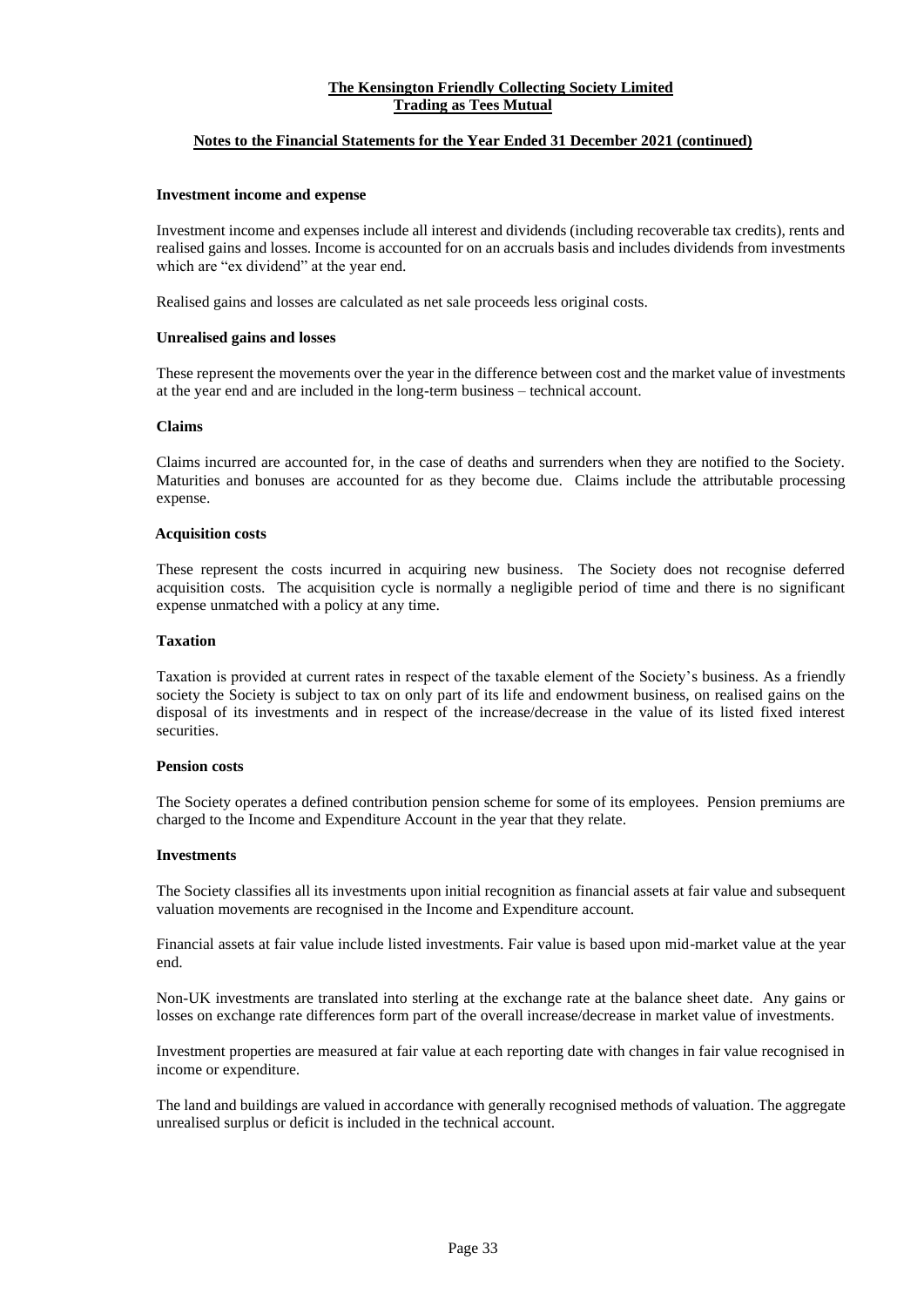#### **Notes to the Financial Statements for the Year Ended 31 December 2021 (continued)**

#### **Investment income and expense**

Investment income and expenses include all interest and dividends (including recoverable tax credits), rents and realised gains and losses. Income is accounted for on an accruals basis and includes dividends from investments which are "ex dividend" at the year end.

Realised gains and losses are calculated as net sale proceeds less original costs.

#### **Unrealised gains and losses**

These represent the movements over the year in the difference between cost and the market value of investments at the year end and are included in the long-term business – technical account.

#### **Claims**

Claims incurred are accounted for, in the case of deaths and surrenders when they are notified to the Society. Maturities and bonuses are accounted for as they become due. Claims include the attributable processing expense.

#### **Acquisition costs**

These represent the costs incurred in acquiring new business. The Society does not recognise deferred acquisition costs. The acquisition cycle is normally a negligible period of time and there is no significant expense unmatched with a policy at any time.

#### **Taxation**

Taxation is provided at current rates in respect of the taxable element of the Society's business. As a friendly society the Society is subject to tax on only part of its life and endowment business, on realised gains on the disposal of its investments and in respect of the increase/decrease in the value of its listed fixed interest securities.

#### **Pension costs**

The Society operates a defined contribution pension scheme for some of its employees. Pension premiums are charged to the Income and Expenditure Account in the year that they relate.

#### **Investments**

The Society classifies all its investments upon initial recognition as financial assets at fair value and subsequent valuation movements are recognised in the Income and Expenditure account.

Financial assets at fair value include listed investments. Fair value is based upon mid-market value at the year end.

Non-UK investments are translated into sterling at the exchange rate at the balance sheet date. Any gains or losses on exchange rate differences form part of the overall increase/decrease in market value of investments.

Investment properties are measured at fair value at each reporting date with changes in fair value recognised in income or expenditure.

The land and buildings are valued in accordance with generally recognised methods of valuation. The aggregate unrealised surplus or deficit is included in the technical account.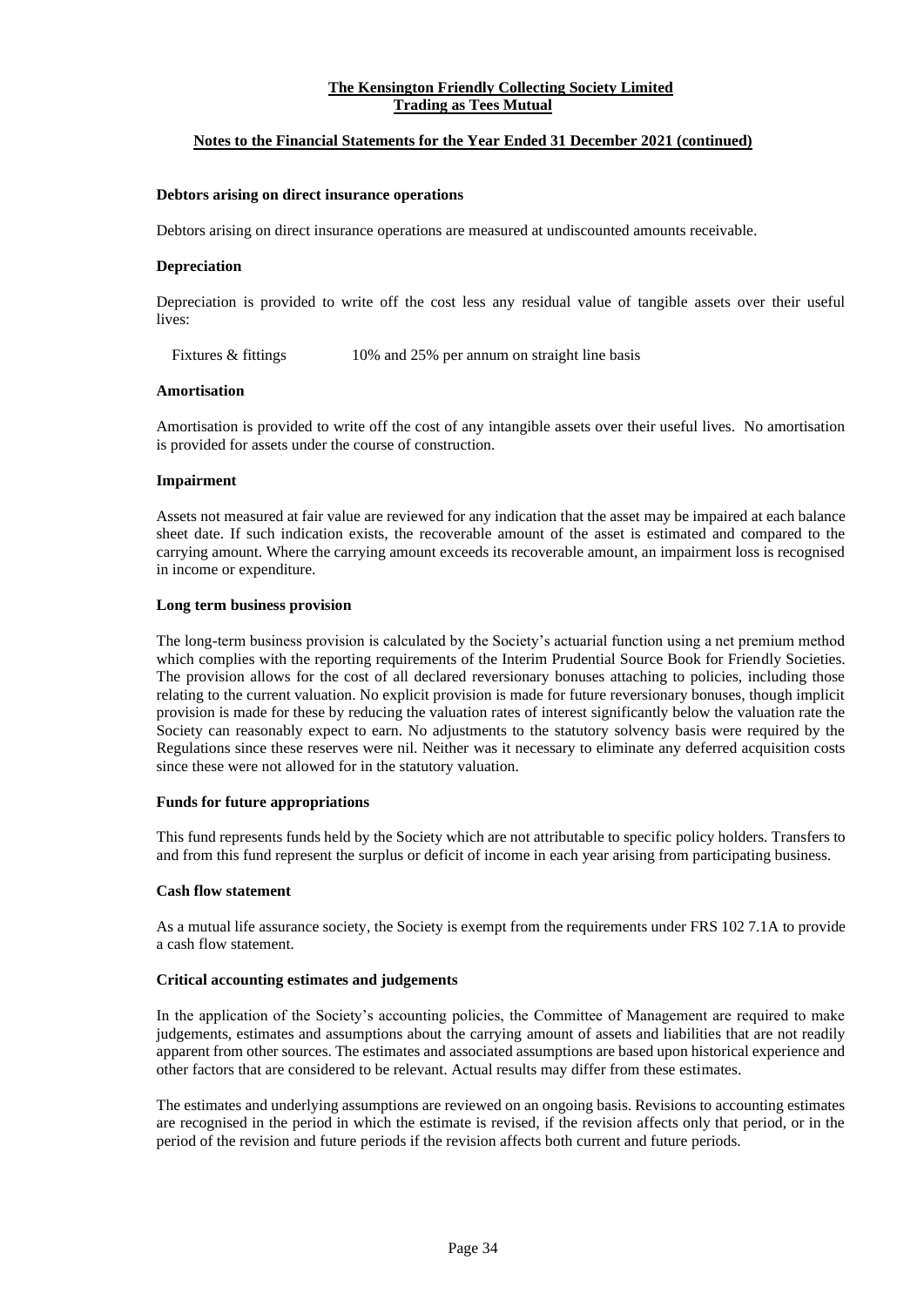#### **Notes to the Financial Statements for the Year Ended 31 December 2021 (continued)**

#### **Debtors arising on direct insurance operations**

Debtors arising on direct insurance operations are measured at undiscounted amounts receivable.

#### **Depreciation**

Depreciation is provided to write off the cost less any residual value of tangible assets over their useful lives:

Fixtures & fittings 10% and 25% per annum on straight line basis

#### **Amortisation**

Amortisation is provided to write off the cost of any intangible assets over their useful lives. No amortisation is provided for assets under the course of construction.

#### **Impairment**

Assets not measured at fair value are reviewed for any indication that the asset may be impaired at each balance sheet date. If such indication exists, the recoverable amount of the asset is estimated and compared to the carrying amount. Where the carrying amount exceeds its recoverable amount, an impairment loss is recognised in income or expenditure.

#### **Long term business provision**

The long-term business provision is calculated by the Society's actuarial function using a net premium method which complies with the reporting requirements of the Interim Prudential Source Book for Friendly Societies. The provision allows for the cost of all declared reversionary bonuses attaching to policies, including those relating to the current valuation. No explicit provision is made for future reversionary bonuses, though implicit provision is made for these by reducing the valuation rates of interest significantly below the valuation rate the Society can reasonably expect to earn. No adjustments to the statutory solvency basis were required by the Regulations since these reserves were nil. Neither was it necessary to eliminate any deferred acquisition costs since these were not allowed for in the statutory valuation.

#### **Funds for future appropriations**

This fund represents funds held by the Society which are not attributable to specific policy holders. Transfers to and from this fund represent the surplus or deficit of income in each year arising from participating business.

#### **Cash flow statement**

As a mutual life assurance society, the Society is exempt from the requirements under FRS 102 7.1A to provide a cash flow statement.

#### **Critical accounting estimates and judgements**

In the application of the Society's accounting policies, the Committee of Management are required to make judgements, estimates and assumptions about the carrying amount of assets and liabilities that are not readily apparent from other sources. The estimates and associated assumptions are based upon historical experience and other factors that are considered to be relevant. Actual results may differ from these estimates.

The estimates and underlying assumptions are reviewed on an ongoing basis. Revisions to accounting estimates are recognised in the period in which the estimate is revised, if the revision affects only that period, or in the period of the revision and future periods if the revision affects both current and future periods.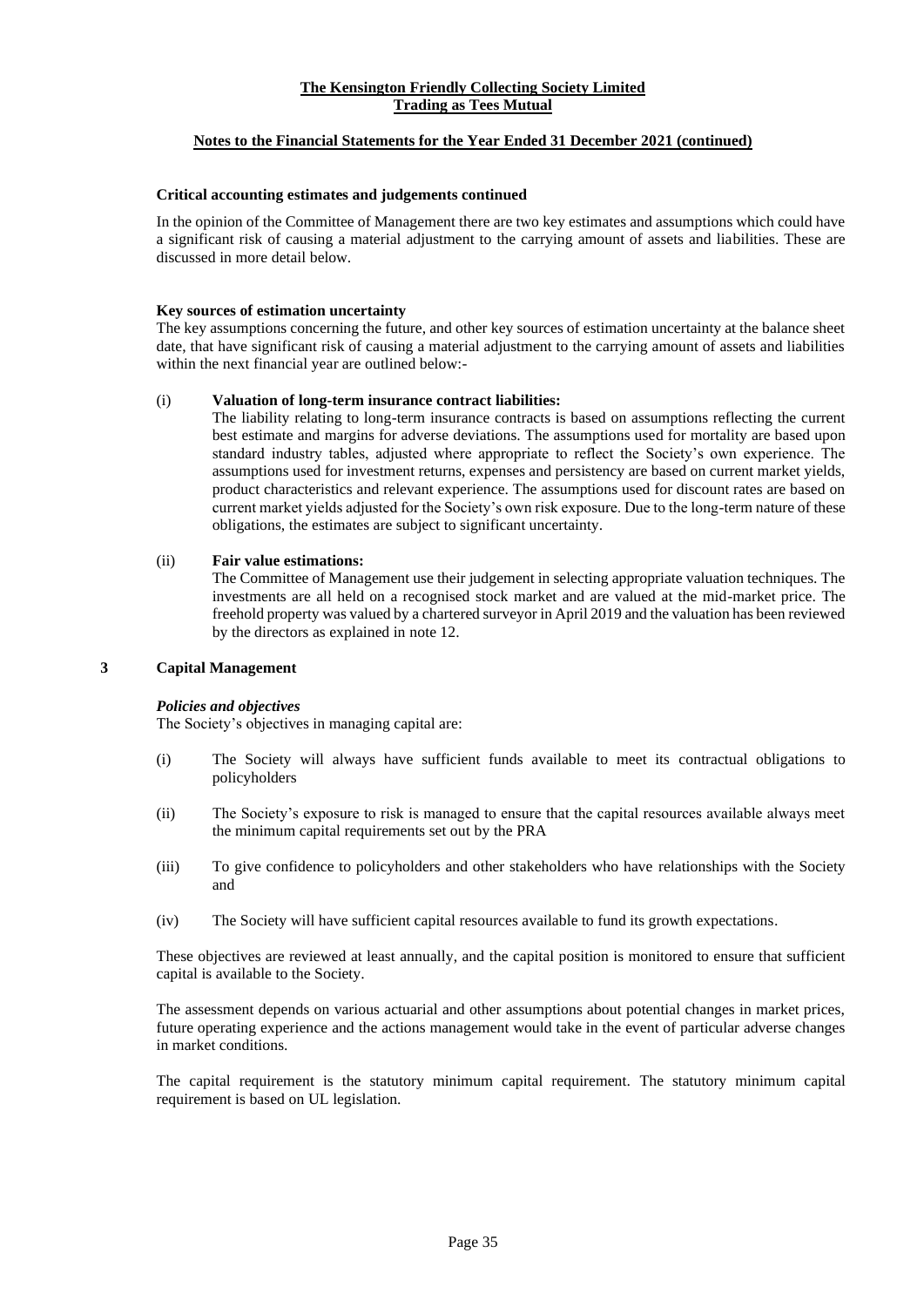# **Notes to the Financial Statements for the Year Ended 31 December 2021 (continued)**

# **Critical accounting estimates and judgements continued**

In the opinion of the Committee of Management there are two key estimates and assumptions which could have a significant risk of causing a material adjustment to the carrying amount of assets and liabilities. These are discussed in more detail below.

# **Key sources of estimation uncertainty**

The key assumptions concerning the future, and other key sources of estimation uncertainty at the balance sheet date, that have significant risk of causing a material adjustment to the carrying amount of assets and liabilities within the next financial year are outlined below:-

#### (i) **Valuation of long-term insurance contract liabilities:**

The liability relating to long-term insurance contracts is based on assumptions reflecting the current best estimate and margins for adverse deviations. The assumptions used for mortality are based upon standard industry tables, adjusted where appropriate to reflect the Society's own experience. The assumptions used for investment returns, expenses and persistency are based on current market yields, product characteristics and relevant experience. The assumptions used for discount rates are based on current market yields adjusted for the Society's own risk exposure. Due to the long-term nature of these obligations, the estimates are subject to significant uncertainty.

# (ii) **Fair value estimations:**

The Committee of Management use their judgement in selecting appropriate valuation techniques. The investments are all held on a recognised stock market and are valued at the mid-market price. The freehold property was valued by a chartered surveyor in April 2019 and the valuation has been reviewed by the directors as explained in note 12.

# **3 Capital Management**

# *Policies and objectives*

The Society's objectives in managing capital are:

- (i) The Society will always have sufficient funds available to meet its contractual obligations to policyholders
- (ii) The Society's exposure to risk is managed to ensure that the capital resources available always meet the minimum capital requirements set out by the PRA
- (iii) To give confidence to policyholders and other stakeholders who have relationships with the Society and
- (iv) The Society will have sufficient capital resources available to fund its growth expectations.

These objectives are reviewed at least annually, and the capital position is monitored to ensure that sufficient capital is available to the Society.

The assessment depends on various actuarial and other assumptions about potential changes in market prices, future operating experience and the actions management would take in the event of particular adverse changes in market conditions.

The capital requirement is the statutory minimum capital requirement. The statutory minimum capital requirement is based on UL legislation.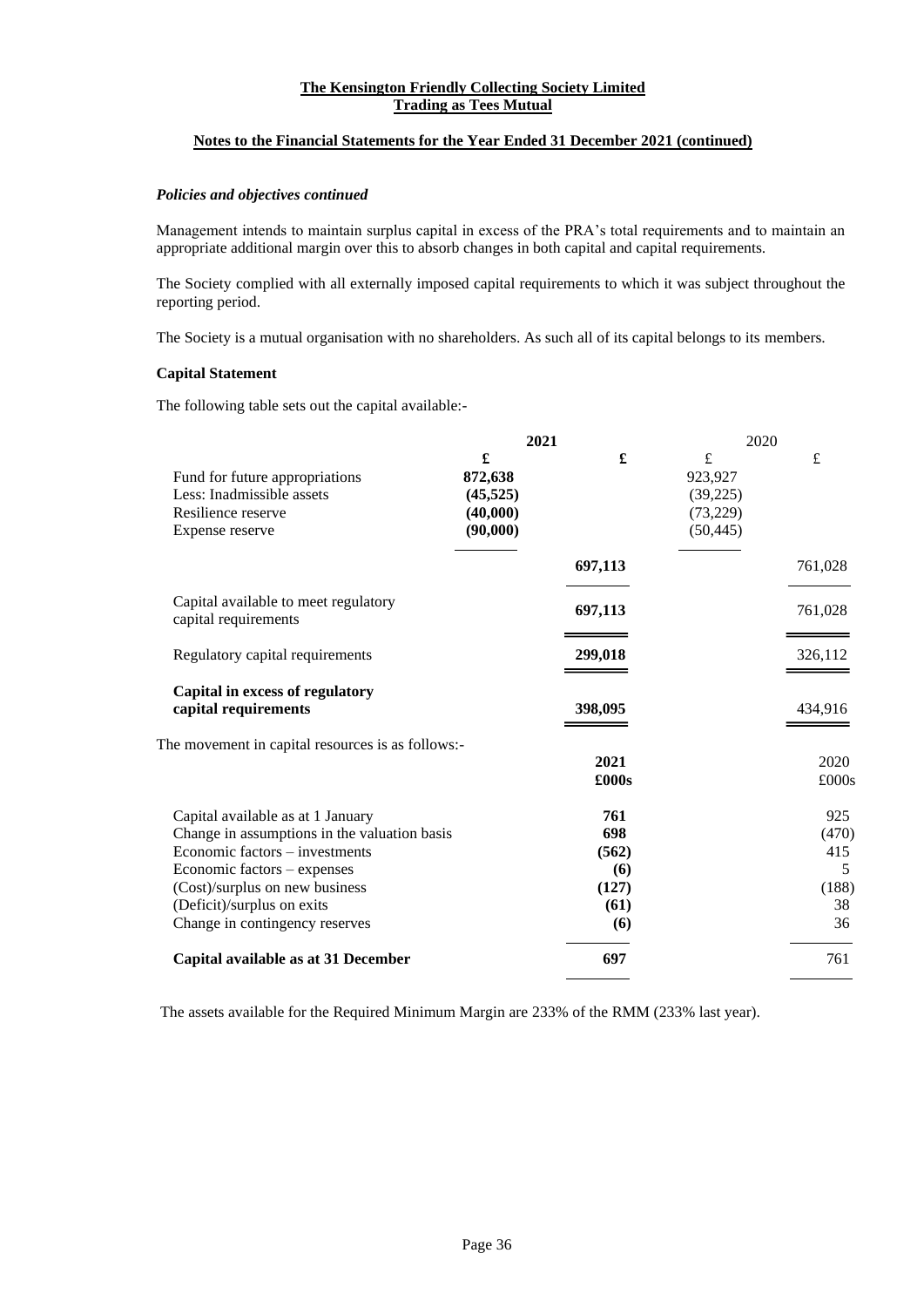# **Notes to the Financial Statements for the Year Ended 31 December 2021 (continued)**

# *Policies and objectives continued*

Management intends to maintain surplus capital in excess of the PRA's total requirements and to maintain an appropriate additional margin over this to absorb changes in both capital and capital requirements.

The Society complied with all externally imposed capital requirements to which it was subject throughout the reporting period.

The Society is a mutual organisation with no shareholders. As such all of its capital belongs to its members.

# **Capital Statement**

The following table sets out the capital available:-

|                                                                                                                                                                                                                                                      | 2021                                              |                                                    | 2020                                               |                                               |
|------------------------------------------------------------------------------------------------------------------------------------------------------------------------------------------------------------------------------------------------------|---------------------------------------------------|----------------------------------------------------|----------------------------------------------------|-----------------------------------------------|
| Fund for future appropriations<br>Less: Inadmissible assets<br>Resilience reserve<br>Expense reserve                                                                                                                                                 | £<br>872,638<br>(45, 525)<br>(40,000)<br>(90,000) | $\pmb{\mathfrak{L}}$                               | £<br>923,927<br>(39,225)<br>(73, 229)<br>(50, 445) | £                                             |
|                                                                                                                                                                                                                                                      |                                                   | 697,113                                            |                                                    | 761,028                                       |
| Capital available to meet regulatory<br>capital requirements                                                                                                                                                                                         |                                                   | 697,113                                            |                                                    | 761,028                                       |
| Regulatory capital requirements                                                                                                                                                                                                                      |                                                   | 299,018                                            |                                                    | 326,112                                       |
| Capital in excess of regulatory<br>capital requirements                                                                                                                                                                                              |                                                   | 398,095                                            |                                                    | 434,916                                       |
| The movement in capital resources is as follows:-                                                                                                                                                                                                    |                                                   | 2021<br>£000s                                      |                                                    | 2020<br>£000s                                 |
| Capital available as at 1 January<br>Change in assumptions in the valuation basis<br>Economic factors – investments<br>Economic factors - expenses<br>(Cost)/surplus on new business<br>(Deficit)/surplus on exits<br>Change in contingency reserves |                                                   | 761<br>698<br>(562)<br>(6)<br>(127)<br>(61)<br>(6) |                                                    | 925<br>(470)<br>415<br>5<br>(188)<br>38<br>36 |
| Capital available as at 31 December                                                                                                                                                                                                                  |                                                   | 697                                                |                                                    | 761                                           |

The assets available for the Required Minimum Margin are 233% of the RMM (233% last year).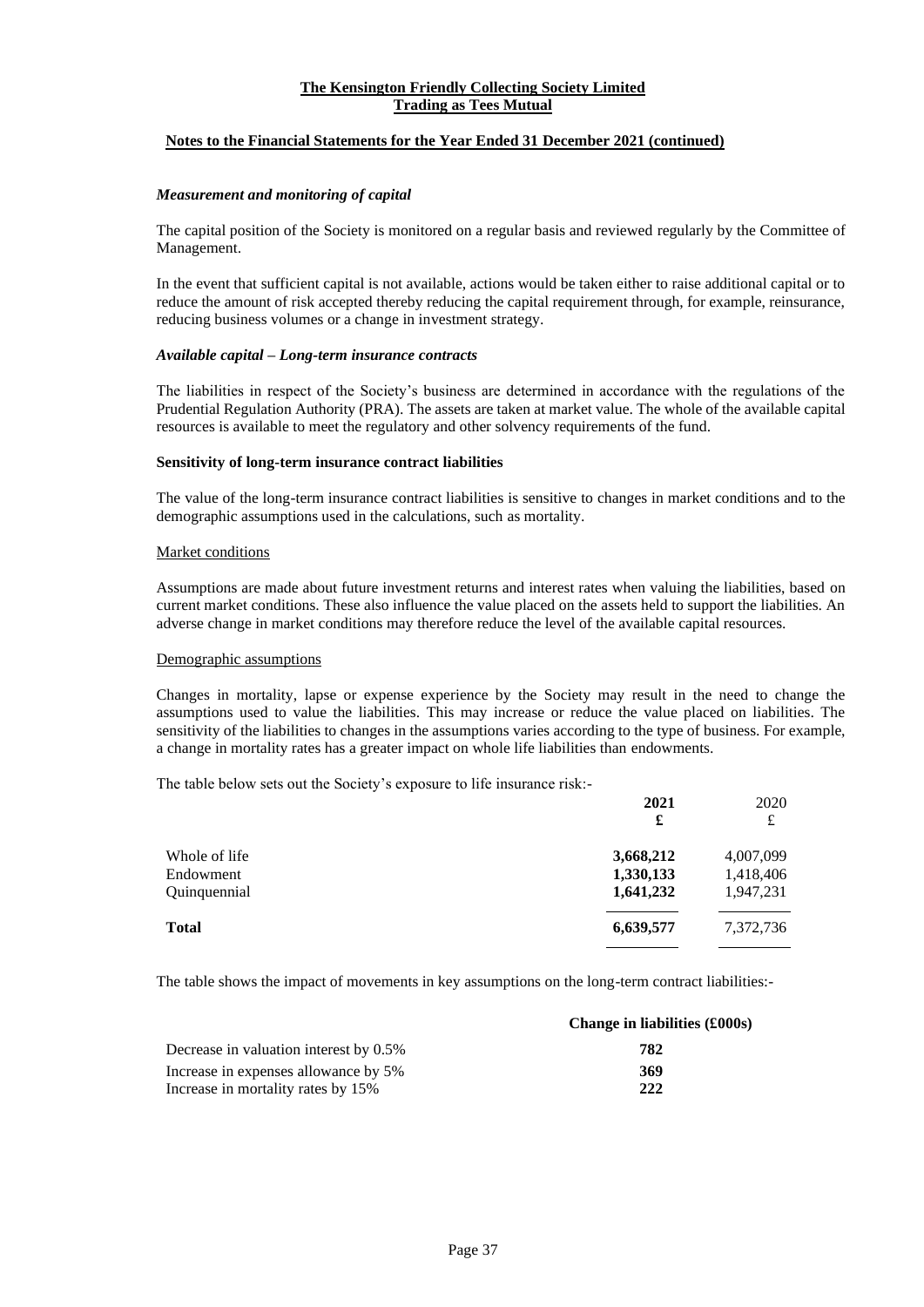# **Notes to the Financial Statements for the Year Ended 31 December 2021 (continued)**

#### *Measurement and monitoring of capital*

The capital position of the Society is monitored on a regular basis and reviewed regularly by the Committee of Management.

In the event that sufficient capital is not available, actions would be taken either to raise additional capital or to reduce the amount of risk accepted thereby reducing the capital requirement through, for example, reinsurance, reducing business volumes or a change in investment strategy.

#### *Available capital – Long-term insurance contracts*

The liabilities in respect of the Society's business are determined in accordance with the regulations of the Prudential Regulation Authority (PRA). The assets are taken at market value. The whole of the available capital resources is available to meet the regulatory and other solvency requirements of the fund.

#### **Sensitivity of long-term insurance contract liabilities**

The value of the long-term insurance contract liabilities is sensitive to changes in market conditions and to the demographic assumptions used in the calculations, such as mortality.

#### Market conditions

Assumptions are made about future investment returns and interest rates when valuing the liabilities, based on current market conditions. These also influence the value placed on the assets held to support the liabilities. An adverse change in market conditions may therefore reduce the level of the available capital resources.

#### Demographic assumptions

Changes in mortality, lapse or expense experience by the Society may result in the need to change the assumptions used to value the liabilities. This may increase or reduce the value placed on liabilities. The sensitivity of the liabilities to changes in the assumptions varies according to the type of business. For example, a change in mortality rates has a greater impact on whole life liabilities than endowments.

The table below sets out the Society's exposure to life insurance risk:-

|               | 2021<br>£ | 2020<br>£ |
|---------------|-----------|-----------|
| Whole of life | 3,668,212 | 4,007,099 |
| Endowment     | 1,330,133 | 1,418,406 |
| Quinquennial  | 1,641,232 | 1,947,231 |
| Total         | 6,639,577 | 7,372,736 |
|               |           |           |

The table shows the impact of movements in key assumptions on the long-term contract liabilities:-

|                                        | Change in liabilities (£000s) |
|----------------------------------------|-------------------------------|
| Decrease in valuation interest by 0.5% | 782                           |
| Increase in expenses allowance by 5%   | 369                           |
| Increase in mortality rates by 15%     | 222                           |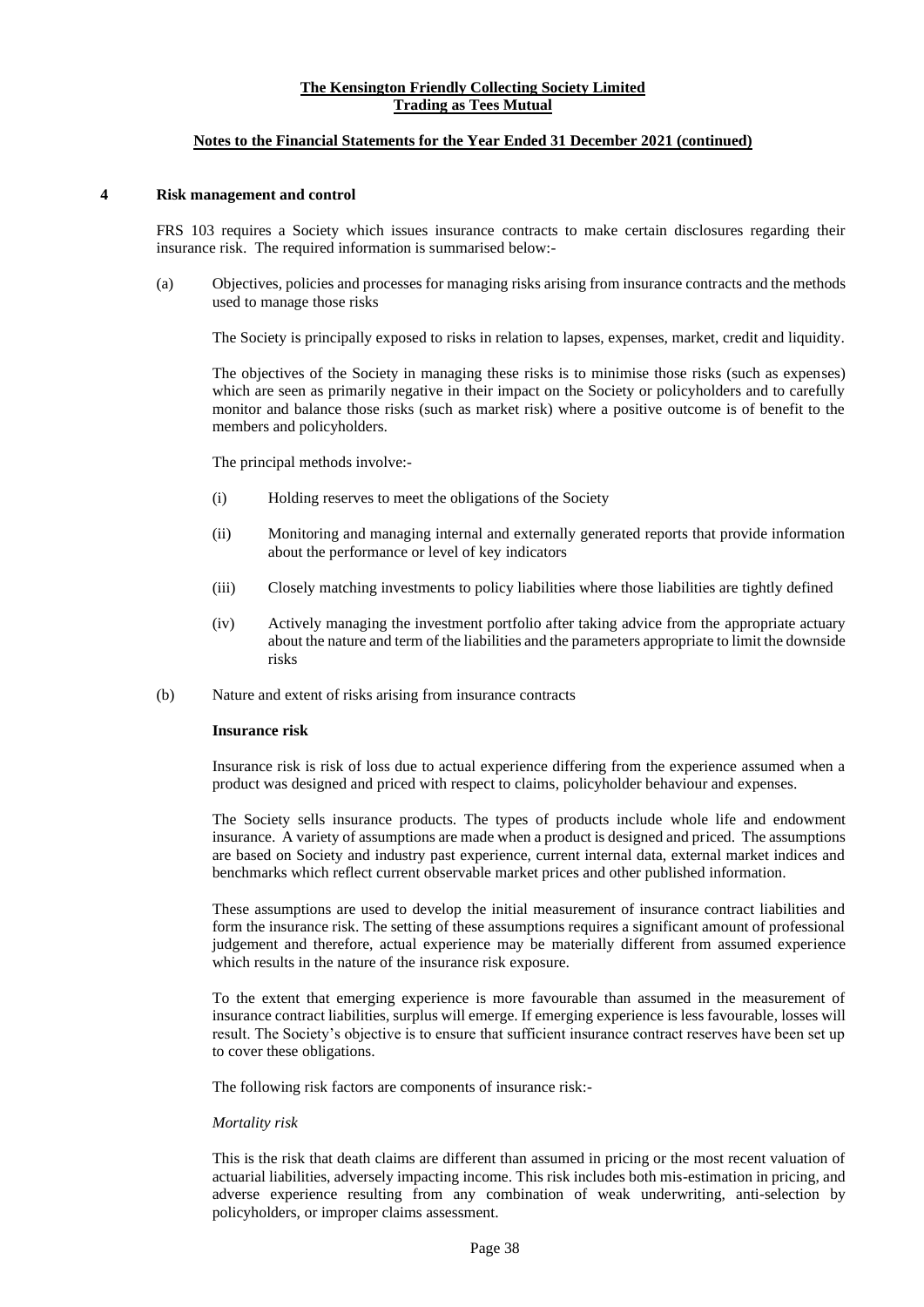#### **Notes to the Financial Statements for the Year Ended 31 December 2021 (continued)**

#### **4 Risk management and control**

FRS 103 requires a Society which issues insurance contracts to make certain disclosures regarding their insurance risk. The required information is summarised below:-

(a) Objectives, policies and processes for managing risks arising from insurance contracts and the methods used to manage those risks

The Society is principally exposed to risks in relation to lapses, expenses, market, credit and liquidity.

The objectives of the Society in managing these risks is to minimise those risks (such as expenses) which are seen as primarily negative in their impact on the Society or policyholders and to carefully monitor and balance those risks (such as market risk) where a positive outcome is of benefit to the members and policyholders.

The principal methods involve:-

- (i) Holding reserves to meet the obligations of the Society
- (ii) Monitoring and managing internal and externally generated reports that provide information about the performance or level of key indicators
- (iii) Closely matching investments to policy liabilities where those liabilities are tightly defined
- (iv) Actively managing the investment portfolio after taking advice from the appropriate actuary about the nature and term of the liabilities and the parameters appropriate to limit the downside risks
- (b) Nature and extent of risks arising from insurance contracts

#### **Insurance risk**

Insurance risk is risk of loss due to actual experience differing from the experience assumed when a product was designed and priced with respect to claims, policyholder behaviour and expenses.

The Society sells insurance products. The types of products include whole life and endowment insurance. A variety of assumptions are made when a product is designed and priced. The assumptions are based on Society and industry past experience, current internal data, external market indices and benchmarks which reflect current observable market prices and other published information.

These assumptions are used to develop the initial measurement of insurance contract liabilities and form the insurance risk. The setting of these assumptions requires a significant amount of professional judgement and therefore, actual experience may be materially different from assumed experience which results in the nature of the insurance risk exposure.

To the extent that emerging experience is more favourable than assumed in the measurement of insurance contract liabilities, surplus will emerge. If emerging experience is less favourable, losses will result. The Society's objective is to ensure that sufficient insurance contract reserves have been set up to cover these obligations.

The following risk factors are components of insurance risk:-

# *Mortality risk*

This is the risk that death claims are different than assumed in pricing or the most recent valuation of actuarial liabilities, adversely impacting income. This risk includes both mis-estimation in pricing, and adverse experience resulting from any combination of weak underwriting, anti-selection by policyholders, or improper claims assessment.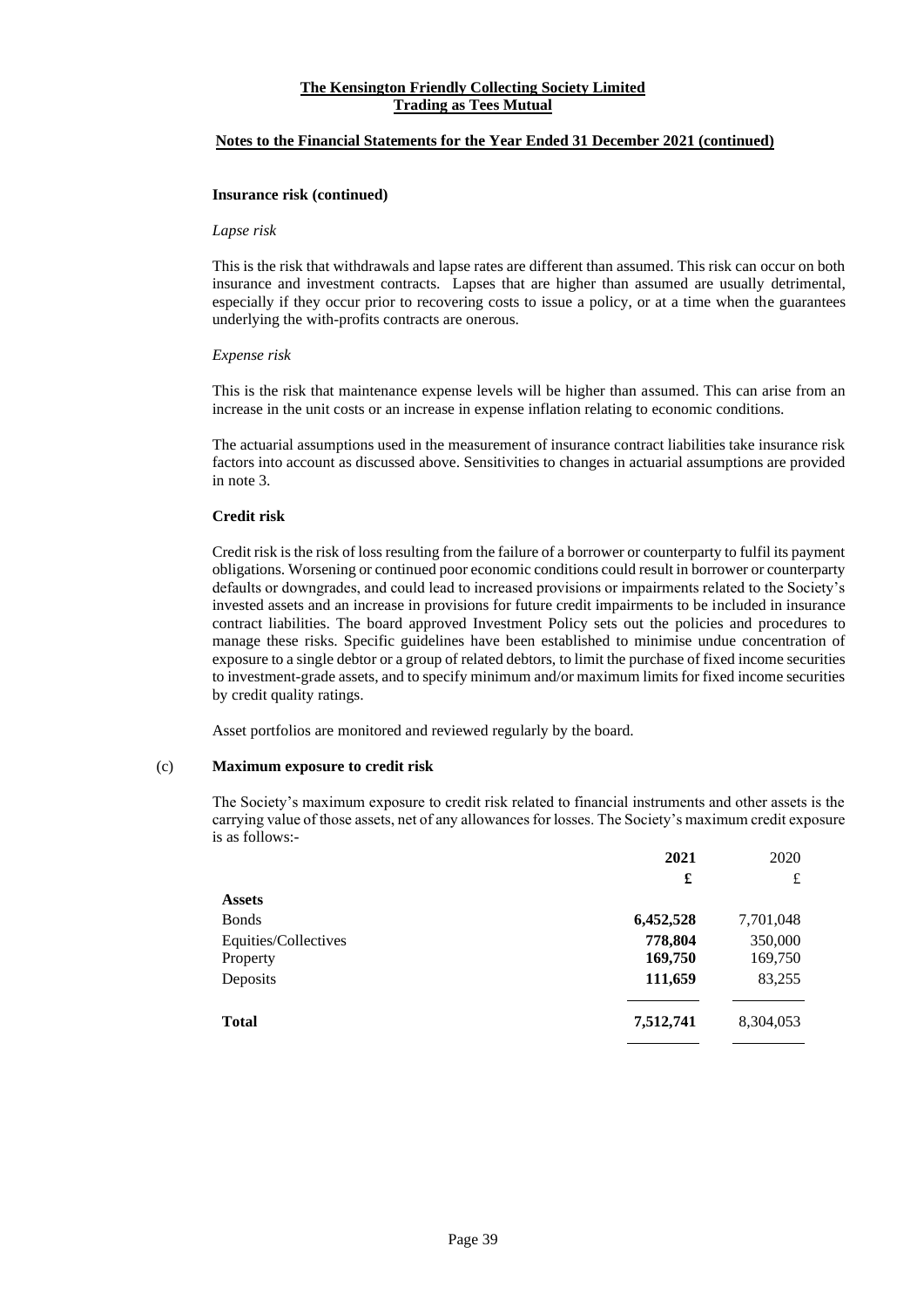#### **Notes to the Financial Statements for the Year Ended 31 December 2021 (continued)**

#### **Insurance risk (continued)**

#### *Lapse risk*

This is the risk that withdrawals and lapse rates are different than assumed. This risk can occur on both insurance and investment contracts. Lapses that are higher than assumed are usually detrimental, especially if they occur prior to recovering costs to issue a policy, or at a time when the guarantees underlying the with-profits contracts are onerous.

#### *Expense risk*

This is the risk that maintenance expense levels will be higher than assumed. This can arise from an increase in the unit costs or an increase in expense inflation relating to economic conditions.

The actuarial assumptions used in the measurement of insurance contract liabilities take insurance risk factors into account as discussed above. Sensitivities to changes in actuarial assumptions are provided in note 3.

#### **Credit risk**

Credit risk is the risk of loss resulting from the failure of a borrower or counterparty to fulfil its payment obligations. Worsening or continued poor economic conditions could result in borrower or counterparty defaults or downgrades, and could lead to increased provisions or impairments related to the Society's invested assets and an increase in provisions for future credit impairments to be included in insurance contract liabilities. The board approved Investment Policy sets out the policies and procedures to manage these risks. Specific guidelines have been established to minimise undue concentration of exposure to a single debtor or a group of related debtors, to limit the purchase of fixed income securities to investment-grade assets, and to specify minimum and/or maximum limits for fixed income securities by credit quality ratings.

Asset portfolios are monitored and reviewed regularly by the board.

# (c) **Maximum exposure to credit risk**

The Society's maximum exposure to credit risk related to financial instruments and other assets is the carrying value of those assets, net of any allowances for losses. The Society's maximum credit exposure is as follows:-

|                      | 2021      | 2020      |
|----------------------|-----------|-----------|
|                      | £         | £         |
| <b>Assets</b>        |           |           |
| <b>Bonds</b>         | 6,452,528 | 7,701,048 |
| Equities/Collectives | 778,804   | 350,000   |
| Property             | 169,750   | 169,750   |
| Deposits             | 111,659   | 83,255    |
| <b>Total</b>         | 7,512,741 | 8,304,053 |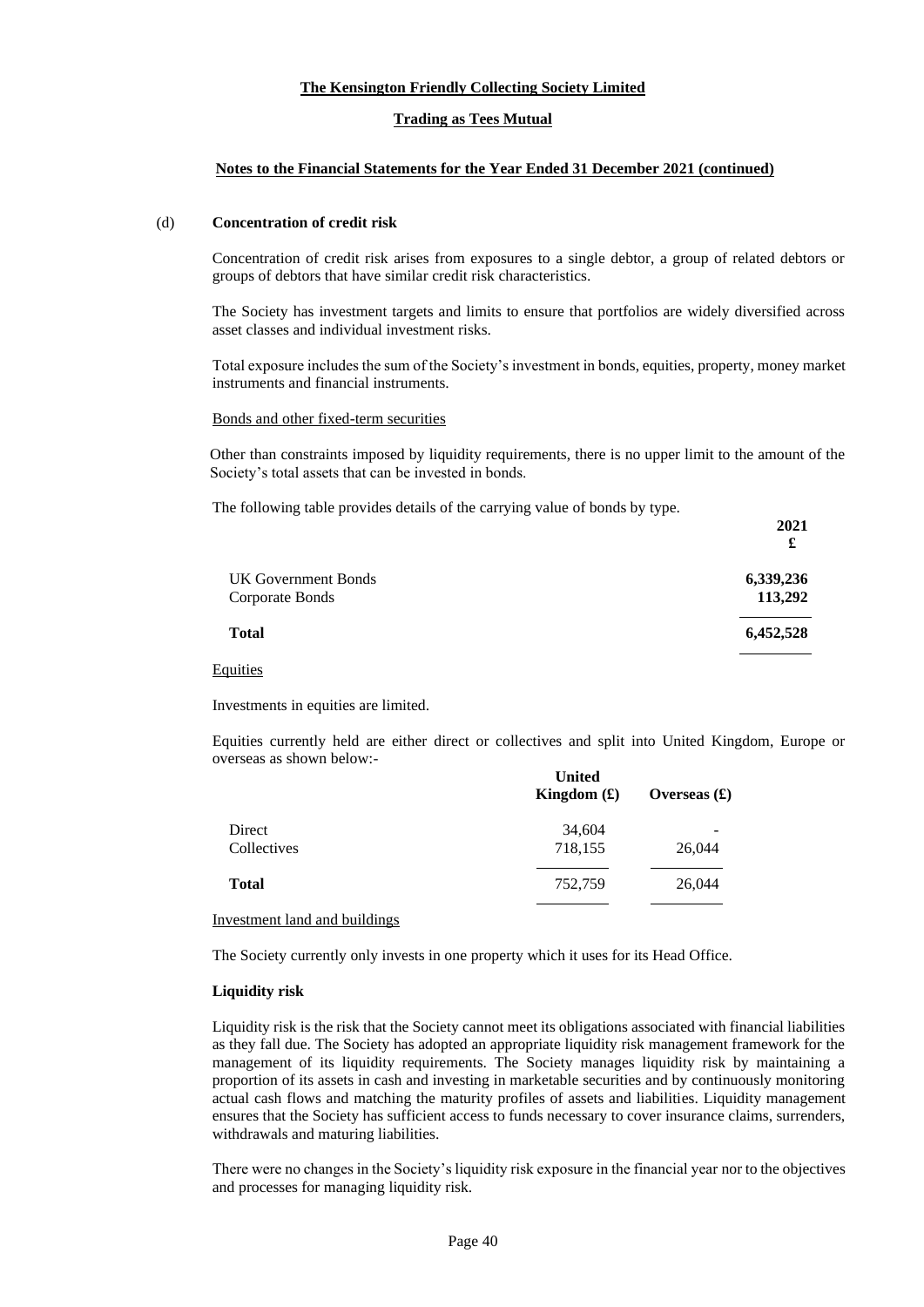# **The Kensington Friendly Collecting Society Limited**

# **Trading as Tees Mutual**

# **Notes to the Financial Statements for the Year Ended 31 December 2021 (continued)**

#### (d) **Concentration of credit risk**

Concentration of credit risk arises from exposures to a single debtor, a group of related debtors or groups of debtors that have similar credit risk characteristics.

The Society has investment targets and limits to ensure that portfolios are widely diversified across asset classes and individual investment risks.

Total exposure includes the sum of the Society's investment in bonds, equities, property, money market instruments and financial instruments.

# Bonds and other fixed-term securities

Other than constraints imposed by liquidity requirements, there is no upper limit to the amount of the Society's total assets that can be invested in bonds.

**2021**

The following table provides details of the carrying value of bonds by type.

|                     | £         |
|---------------------|-----------|
| UK Government Bonds | 6,339,236 |
| Corporate Bonds     | 113,292   |
| <b>Total</b>        | 6,452,528 |
| Equities            |           |

Investments in equities are limited.

Equities currently held are either direct or collectives and split into United Kingdom, Europe or overseas as shown below:-

|                                      | <b>United</b><br>Kingdom $(f)$ | Overseas $(\pounds)$ |
|--------------------------------------|--------------------------------|----------------------|
| Direct                               | 34,604                         |                      |
| Collectives                          | 718,155                        | 26,044               |
| <b>Total</b>                         | 752,759                        | 26,044               |
| <b>Investment land and buildings</b> |                                |                      |

The Society currently only invests in one property which it uses for its Head Office.

# **Liquidity risk**

Liquidity risk is the risk that the Society cannot meet its obligations associated with financial liabilities as they fall due. The Society has adopted an appropriate liquidity risk management framework for the management of its liquidity requirements. The Society manages liquidity risk by maintaining a proportion of its assets in cash and investing in marketable securities and by continuously monitoring actual cash flows and matching the maturity profiles of assets and liabilities. Liquidity management ensures that the Society has sufficient access to funds necessary to cover insurance claims, surrenders, withdrawals and maturing liabilities.

There were no changes in the Society's liquidity risk exposure in the financial year nor to the objectives and processes for managing liquidity risk.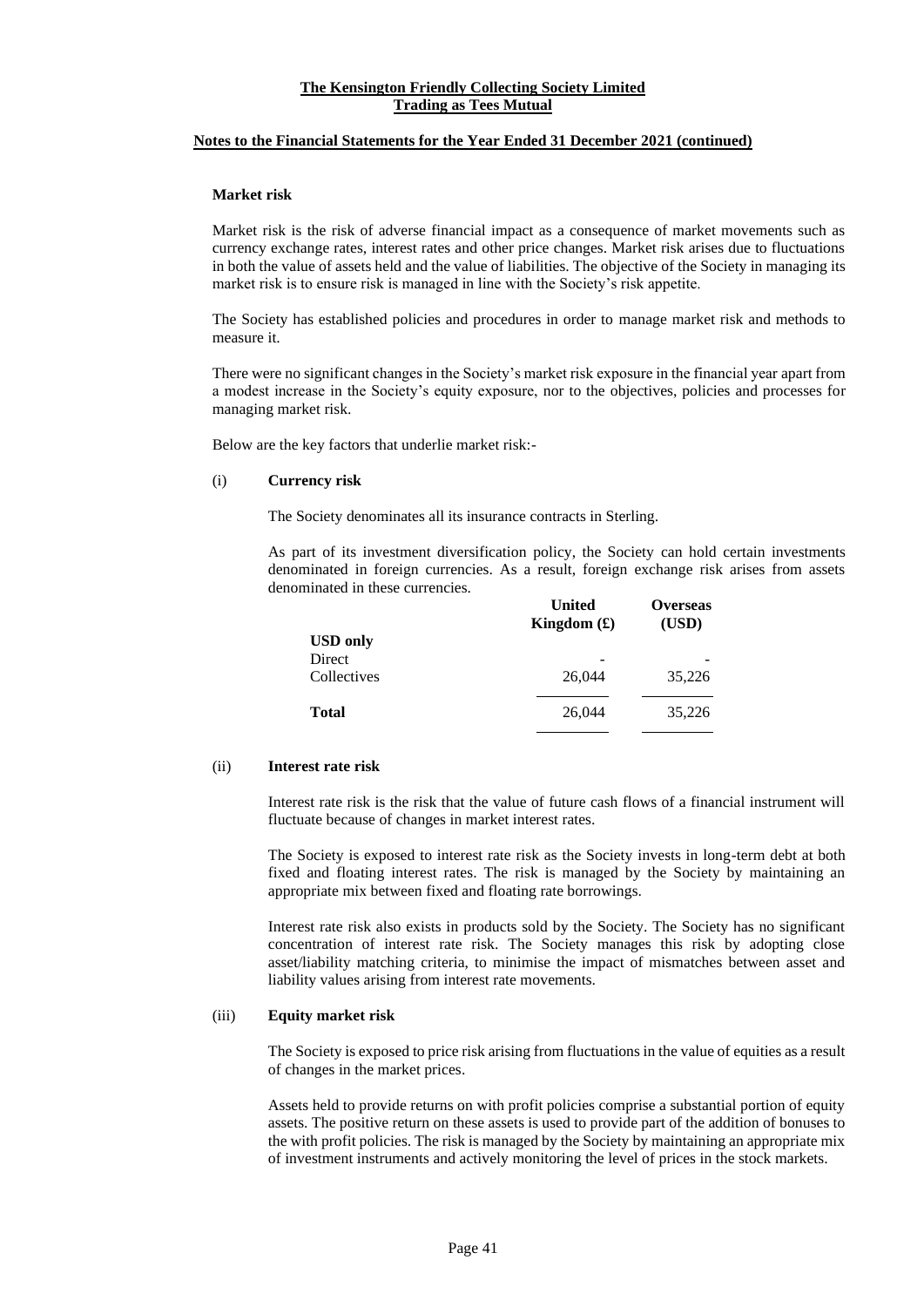#### **Notes to the Financial Statements for the Year Ended 31 December 2021 (continued)**

#### **Market risk**

Market risk is the risk of adverse financial impact as a consequence of market movements such as currency exchange rates, interest rates and other price changes. Market risk arises due to fluctuations in both the value of assets held and the value of liabilities. The objective of the Society in managing its market risk is to ensure risk is managed in line with the Society's risk appetite.

The Society has established policies and procedures in order to manage market risk and methods to measure it.

There were no significant changes in the Society's market risk exposure in the financial year apart from a modest increase in the Society's equity exposure, nor to the objectives, policies and processes for managing market risk.

Below are the key factors that underlie market risk:-

#### (i) **Currency risk**

The Society denominates all its insurance contracts in Sterling.

As part of its investment diversification policy, the Society can hold certain investments denominated in foreign currencies. As a result, foreign exchange risk arises from assets denominated in these currencies. **United** 

|                           | <b>United</b><br>Kingdom $(f)$ | <b>Overseas</b><br>(USD) |
|---------------------------|--------------------------------|--------------------------|
| <b>USD</b> only<br>Direct |                                |                          |
| Collectives               | 26,044                         | 35,226                   |
| <b>Total</b>              | 26,044                         | 35,226                   |

#### (ii) **Interest rate risk**

Interest rate risk is the risk that the value of future cash flows of a financial instrument will fluctuate because of changes in market interest rates.

The Society is exposed to interest rate risk as the Society invests in long-term debt at both fixed and floating interest rates. The risk is managed by the Society by maintaining an appropriate mix between fixed and floating rate borrowings.

Interest rate risk also exists in products sold by the Society. The Society has no significant concentration of interest rate risk. The Society manages this risk by adopting close asset/liability matching criteria, to minimise the impact of mismatches between asset and liability values arising from interest rate movements.

# (iii) **Equity market risk**

The Society is exposed to price risk arising from fluctuations in the value of equities as a result of changes in the market prices.

Assets held to provide returns on with profit policies comprise a substantial portion of equity assets. The positive return on these assets is used to provide part of the addition of bonuses to the with profit policies. The risk is managed by the Society by maintaining an appropriate mix of investment instruments and actively monitoring the level of prices in the stock markets.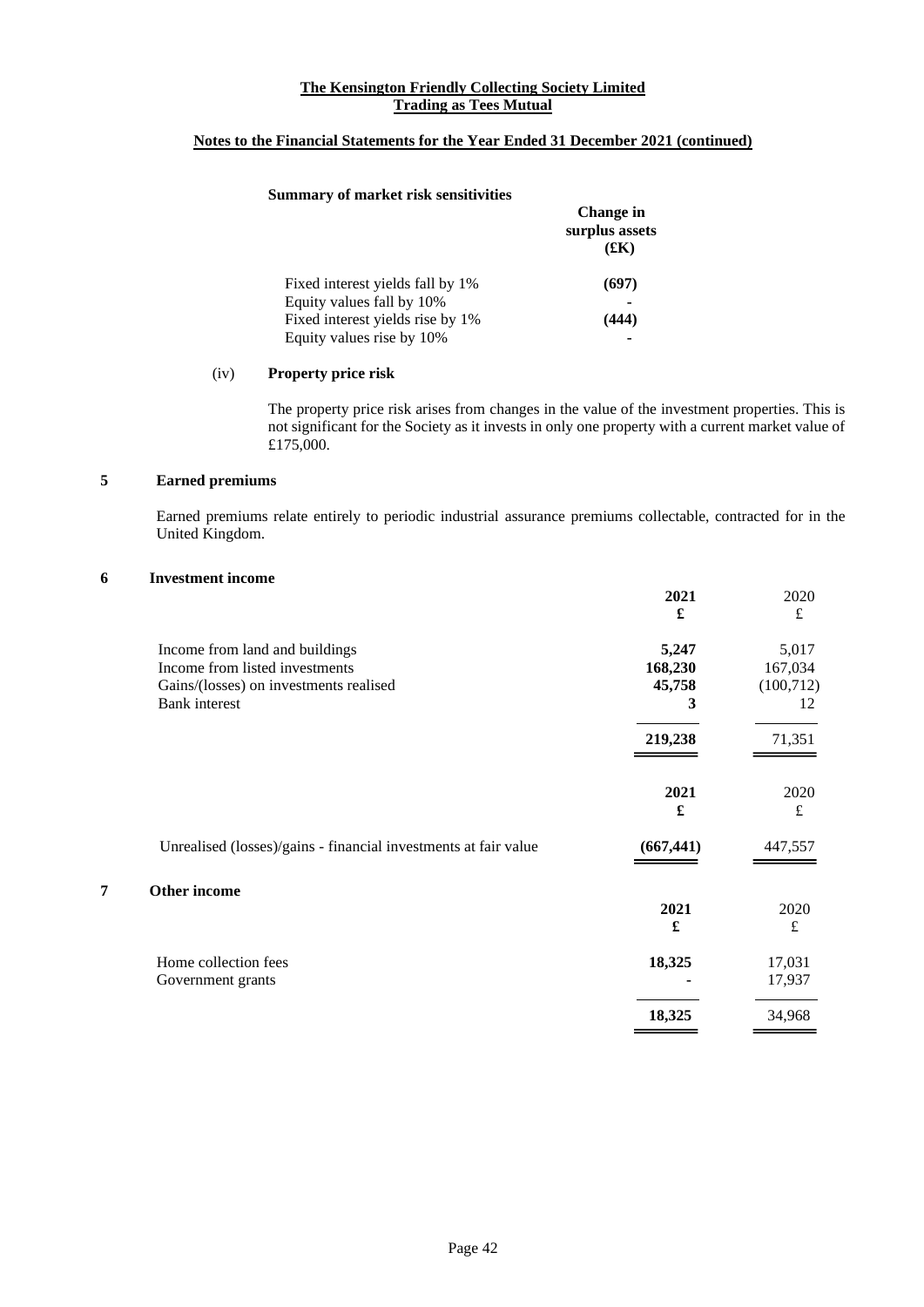# **Notes to the Financial Statements for the Year Ended 31 December 2021 (continued)**

#### **Summary of market risk sensitivities**

|                                  | <b>Change</b> in<br>surplus assets<br>(£K) |
|----------------------------------|--------------------------------------------|
| Fixed interest yields fall by 1% | (697)                                      |
| Equity values fall by 10%        |                                            |
| Fixed interest yields rise by 1% | (444)                                      |
| Equity values rise by 10%        |                                            |

#### (iv) **Property price risk**

The property price risk arises from changes in the value of the investment properties. This is not significant for the Society as it invests in only one property with a current market value of £175,000.

 $\overline{\phantom{0}}$ 

# **5 Earned premiums**

Earned premiums relate entirely to periodic industrial assurance premiums collectable, contracted for in the United Kingdom.

#### **6 Investment income**

|   |                                                                 | 2021                 | 2020<br>$\pounds$ |
|---|-----------------------------------------------------------------|----------------------|-------------------|
|   | Income from land and buildings                                  | 5,247                | 5,017             |
|   | Income from listed investments                                  | 168,230              | 167,034           |
|   | Gains/(losses) on investments realised                          | 45,758               | (100, 712)        |
|   | <b>Bank</b> interest                                            | 3                    | 12                |
|   |                                                                 | 219,238              | 71,351            |
|   |                                                                 | 2021                 | 2020              |
|   |                                                                 | $\pmb{\mathfrak{L}}$ | $\pounds$         |
|   | Unrealised (losses)/gains - financial investments at fair value | (667, 441)           | 447,557           |
| 7 | Other income                                                    |                      |                   |
|   |                                                                 | 2021                 | 2020              |
|   |                                                                 | £                    | $\pounds$         |
|   | Home collection fees                                            | 18,325               | 17,031            |
|   | Government grants                                               |                      | 17,937            |
|   |                                                                 | 18,325               | 34,968            |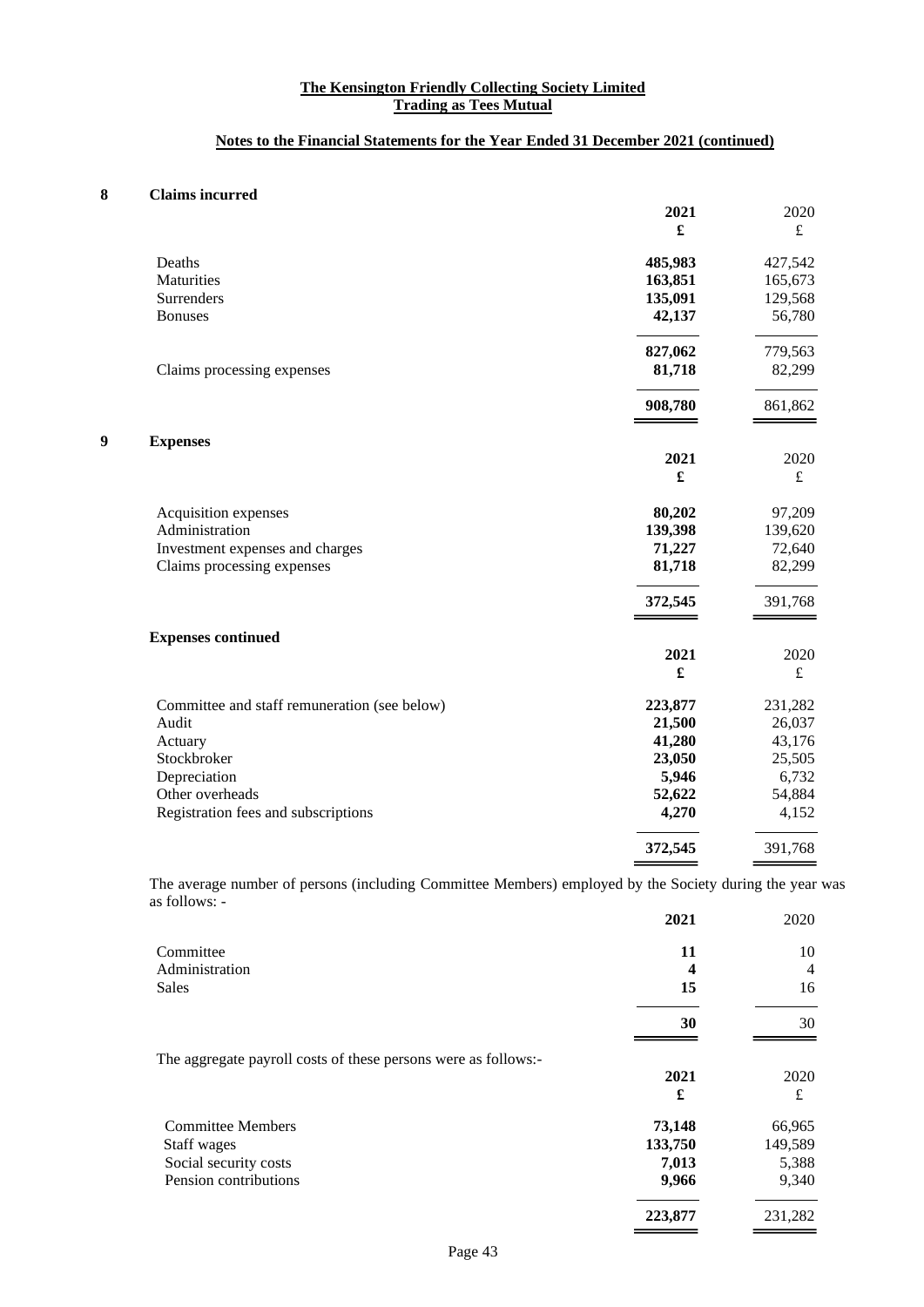# **Notes to the Financial Statements for the Year Ended 31 December 2021 (continued)**

# **8 Claims incurred**

|   |                                              | 2021    | 2020        |
|---|----------------------------------------------|---------|-------------|
|   |                                              | £       | £           |
|   | Deaths                                       | 485,983 | 427,542     |
|   | Maturities                                   | 163,851 | 165,673     |
|   | Surrenders                                   | 135,091 | 129,568     |
|   | <b>Bonuses</b>                               | 42,137  | 56,780      |
|   |                                              | 827,062 | 779,563     |
|   | Claims processing expenses                   | 81,718  | 82,299      |
|   |                                              | 908,780 | 861,862     |
| 9 | <b>Expenses</b>                              |         |             |
|   |                                              | 2021    | 2020        |
|   |                                              | £       | $\mathbf f$ |
|   | Acquisition expenses                         | 80,202  | 97,209      |
|   | Administration                               | 139,398 | 139,620     |
|   | Investment expenses and charges              | 71,227  | 72,640      |
|   | Claims processing expenses                   | 81,718  | 82,299      |
|   |                                              | 372,545 | 391,768     |
|   | <b>Expenses continued</b>                    |         |             |
|   |                                              | 2021    | 2020        |
|   |                                              |         | $\pounds$   |
|   | Committee and staff remuneration (see below) | 223,877 | 231,282     |
|   | Audit                                        | 21,500  | 26,037      |
|   | Actuary                                      | 41,280  | 43,176      |
|   | Stockbroker                                  | 23,050  | 25,505      |
|   | Depreciation                                 | 5,946   | 6,732       |
|   | Other overheads                              | 52,622  | 54,884      |
|   | Registration fees and subscriptions          | 4,270   | 4,152       |
|   |                                              | 372,545 | 391,768     |
|   |                                              |         |             |

The average number of persons (including Committee Members) employed by the Society during the year was as follows: -

|                                                                | 2021    | 2020    |
|----------------------------------------------------------------|---------|---------|
| Committee                                                      | 11      | 10      |
| Administration                                                 | 4       | 4       |
| Sales                                                          | 15      | 16      |
|                                                                | 30      | 30      |
| The aggregate payroll costs of these persons were as follows:- |         |         |
|                                                                | 2021    | 2020    |
|                                                                | £       | £       |
| <b>Committee Members</b>                                       | 73,148  | 66,965  |
| Staff wages                                                    | 133,750 | 149,589 |
| Social security costs                                          | 7,013   | 5,388   |
| Pension contributions                                          | 9,966   | 9,340   |
|                                                                | 223,877 | 231,282 |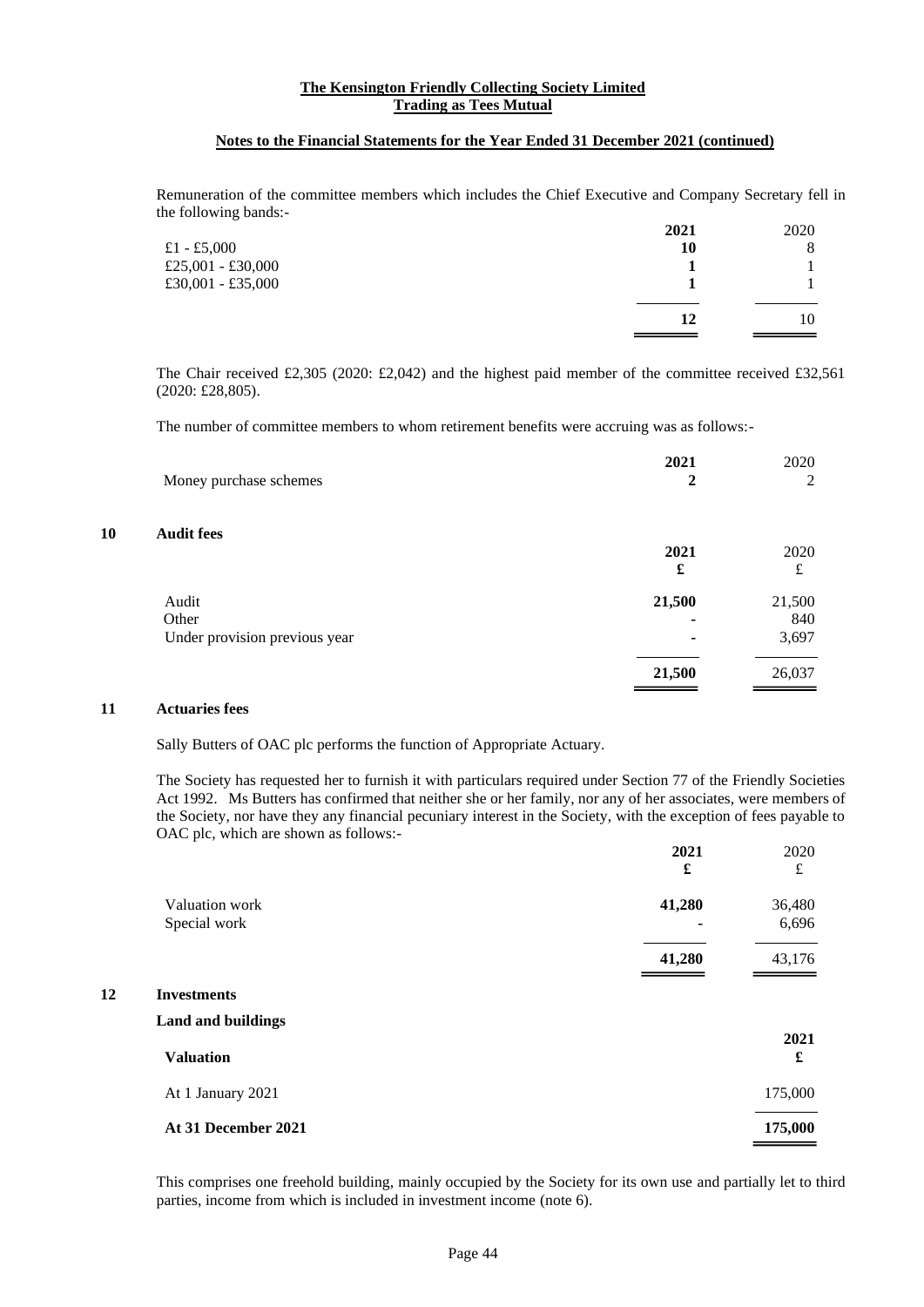#### **Notes to the Financial Statements for the Year Ended 31 December 2021 (continued)**

Remuneration of the committee members which includes the Chief Executive and Company Secretary fell in the following bands:-

|                   | 2021 | 2020 |
|-------------------|------|------|
| £1 - £5,000       | 10   | 8    |
| £25,001 - £30,000 |      |      |
| £30,001 - £35,000 |      |      |
|                   |      |      |
|                   | 12   | 10   |
|                   |      |      |

The Chair received £2,305 (2020: £2,042) and the highest paid member of the committee received £32,561 (2020: £28,805).

The number of committee members to whom retirement benefits were accruing was as follows:-

| Money purchase schemes        | 2021<br>2 | 2020<br>2 |
|-------------------------------|-----------|-----------|
| 0<br><b>Audit fees</b>        |           |           |
|                               | 2021      | 2020      |
|                               | £         | £         |
| Audit                         | 21,500    | 21,500    |
| Other                         |           | 840       |
| Under provision previous year |           | 3,697     |
|                               | 21,500    | 26,037    |

#### **11 Actuaries fees**

**10** 

**12** 

Sally Butters of OAC plc performs the function of Appropriate Actuary.

The Society has requested her to furnish it with particulars required under Section 77 of the Friendly Societies Act 1992. Ms Butters has confirmed that neither she or her family, nor any of her associates, were members of the Society, nor have they any financial pecuniary interest in the Society, with the exception of fees payable to OAC plc, which are shown as follows:-

|                           | 2021   | 2020<br>£ |
|---------------------------|--------|-----------|
|                           | £      |           |
| Valuation work            | 41,280 | 36,480    |
| Special work              |        | 6,696     |
|                           | 41,280 | 43,176    |
| <b>Investments</b>        |        |           |
| <b>Land and buildings</b> |        |           |
| <b>Valuation</b>          |        | 2021<br>£ |
| At 1 January 2021         |        | 175,000   |
| At 31 December 2021       |        | 175,000   |

This comprises one freehold building, mainly occupied by the Society for its own use and partially let to third parties, income from which is included in investment income (note 6).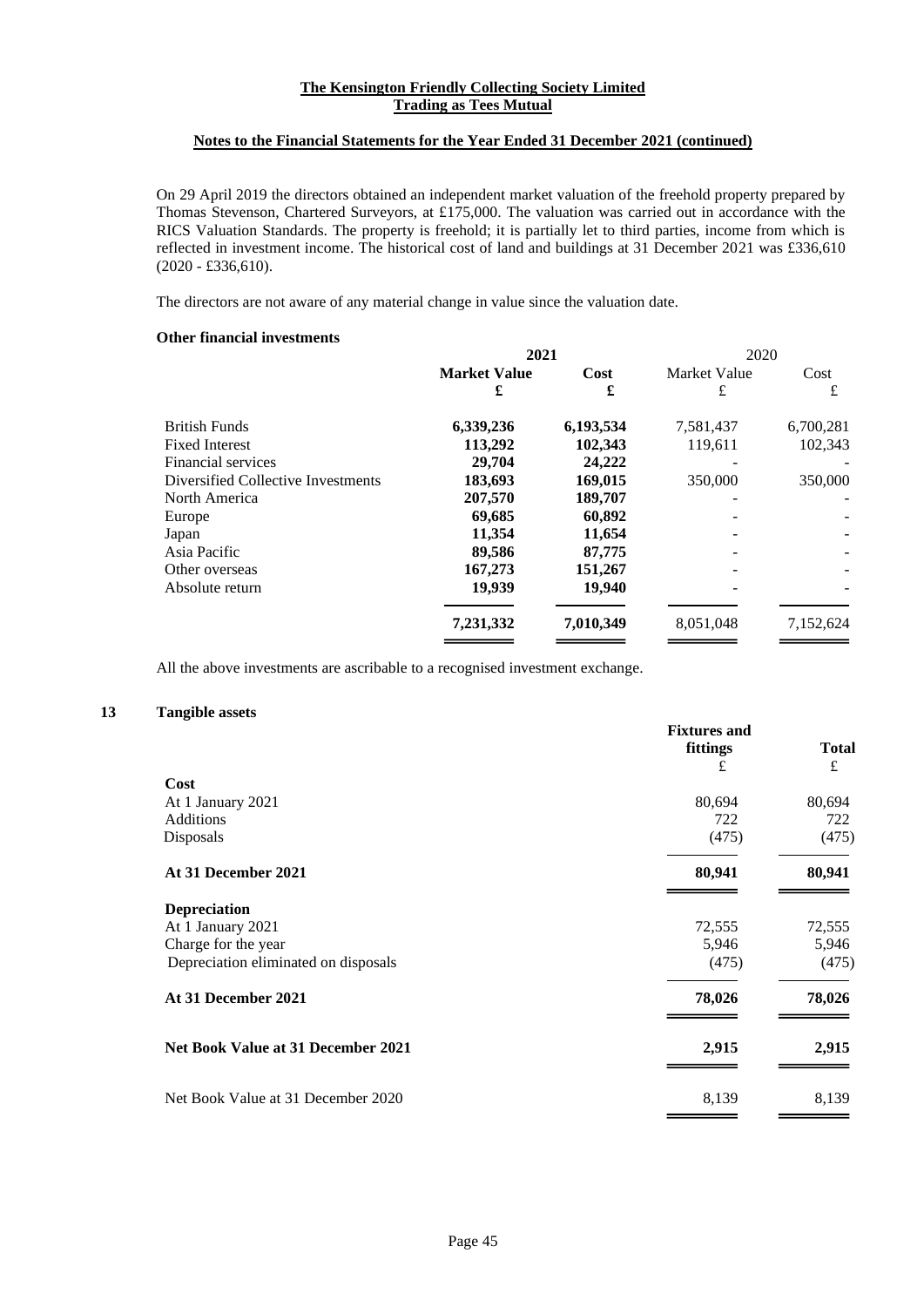#### **Notes to the Financial Statements for the Year Ended 31 December 2021 (continued)**

On 29 April 2019 the directors obtained an independent market valuation of the freehold property prepared by Thomas Stevenson, Chartered Surveyors, at £175,000. The valuation was carried out in accordance with the RICS Valuation Standards. The property is freehold; it is partially let to third parties, income from which is reflected in investment income. The historical cost of land and buildings at 31 December 2021 was £336,610 (2020 - £336,610).

The directors are not aware of any material change in value since the valuation date.

# **Other financial investments**

|                                    | 2021                |           | 2020         |           |
|------------------------------------|---------------------|-----------|--------------|-----------|
|                                    | <b>Market Value</b> | Cost      | Market Value | Cost      |
|                                    | £                   | £         | £            | £         |
| <b>British Funds</b>               | 6,339,236           | 6,193,534 | 7,581,437    | 6,700,281 |
| <b>Fixed Interest</b>              | 113,292             | 102,343   | 119,611      | 102,343   |
| Financial services                 | 29,704              | 24,222    |              |           |
| Diversified Collective Investments | 183,693             | 169,015   | 350,000      | 350,000   |
| North America                      | 207,570             | 189,707   |              |           |
| Europe                             | 69,685              | 60,892    |              |           |
| Japan                              | 11.354              | 11,654    |              |           |
| Asia Pacific                       | 89,586              | 87,775    |              |           |
| Other overseas                     | 167,273             | 151,267   |              |           |
| Absolute return                    | 19,939              | 19,940    |              |           |
|                                    | 7,231,332           | 7,010,349 | 8,051,048    | 7,152,624 |
|                                    |                     |           |              |           |

All the above investments are ascribable to a recognised investment exchange.

# **13 Tangible assets**

|                                      | <b>Fixtures and</b><br>fittings<br>£ | <b>Total</b><br>£ |
|--------------------------------------|--------------------------------------|-------------------|
| Cost                                 |                                      |                   |
| At 1 January 2021                    | 80,694                               | 80,694            |
| <b>Additions</b>                     | 722                                  | 722               |
| Disposals                            | (475)                                | (475)             |
| At 31 December 2021                  | 80,941                               | 80,941            |
| <b>Depreciation</b>                  |                                      |                   |
| At 1 January 2021                    | 72,555                               | 72,555            |
| Charge for the year                  | 5,946                                | 5,946             |
| Depreciation eliminated on disposals | (475)                                | (475)             |
| At 31 December 2021                  | 78,026                               | 78,026            |
| Net Book Value at 31 December 2021   | 2,915                                | 2,915             |
| Net Book Value at 31 December 2020   | 8,139                                | 8,139             |
|                                      |                                      |                   |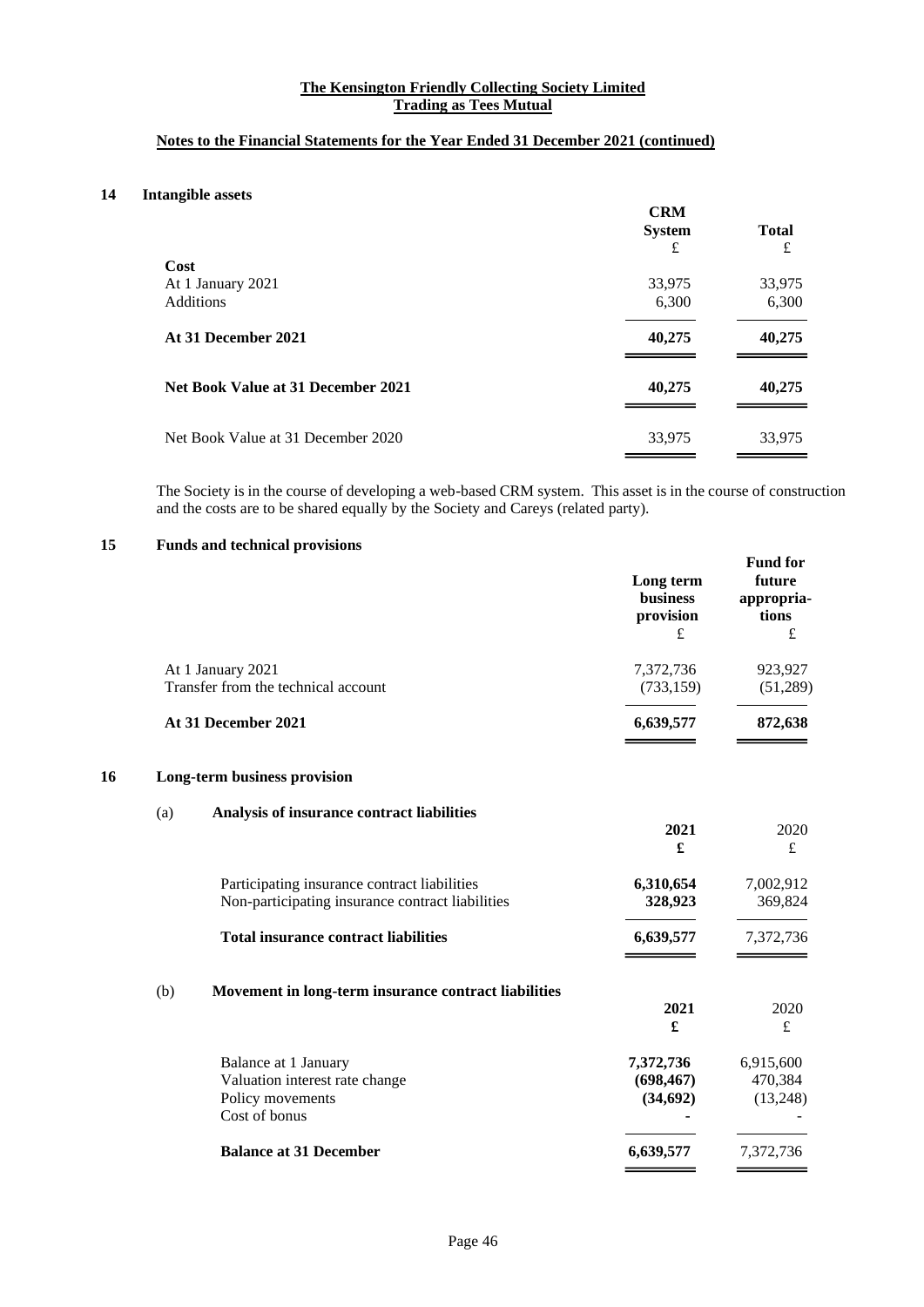# **Notes to the Financial Statements for the Year Ended 31 December 2021 (continued)**

# **14 Intangible assets**

|                                    | <b>CRM</b><br><b>System</b><br>£ | <b>Total</b><br>£ |
|------------------------------------|----------------------------------|-------------------|
| Cost                               |                                  |                   |
| At 1 January 2021                  | 33,975                           | 33,975            |
| <b>Additions</b>                   | 6,300                            | 6,300             |
| At 31 December 2021                | 40,275                           | 40,275            |
| Net Book Value at 31 December 2021 | 40,275                           | 40,275            |
| Net Book Value at 31 December 2020 | 33,975                           | 33,975            |

The Society is in the course of developing a web-based CRM system. This asset is in the course of construction and the costs are to be shared equally by the Society and Careys (related party).

# **15 Funds and technical provisions**

|    |                                                          |                                                                                                  | Long term<br><b>business</b><br>provision<br>$\pounds$ | <b>Fund for</b><br>future<br>appropria-<br>tions<br>$\pounds$ |
|----|----------------------------------------------------------|--------------------------------------------------------------------------------------------------|--------------------------------------------------------|---------------------------------------------------------------|
|    | At 1 January 2021<br>Transfer from the technical account |                                                                                                  | 7,372,736<br>(733, 159)                                | 923,927<br>(51,289)                                           |
|    |                                                          | At 31 December 2021                                                                              | 6,639,577                                              | 872,638                                                       |
| 16 |                                                          | Long-term business provision                                                                     |                                                        |                                                               |
|    | (a)                                                      | Analysis of insurance contract liabilities                                                       | 2021<br>£                                              | 2020<br>$\pounds$                                             |
|    |                                                          | Participating insurance contract liabilities<br>Non-participating insurance contract liabilities | 6,310,654<br>328,923                                   | 7,002,912<br>369,824                                          |
|    |                                                          | <b>Total insurance contract liabilities</b>                                                      | 6,639,577                                              | 7,372,736                                                     |
|    | (b)                                                      | Movement in long-term insurance contract liabilities                                             | 2021<br>£                                              | 2020<br>$\pounds$                                             |
|    |                                                          | Balance at 1 January<br>Valuation interest rate change<br>Policy movements<br>Cost of bonus      | 7,372,736<br>(698, 467)<br>(34, 692)                   | 6,915,600<br>470,384<br>(13,248)                              |
|    |                                                          | <b>Balance at 31 December</b>                                                                    | 6,639,577                                              | 7,372,736                                                     |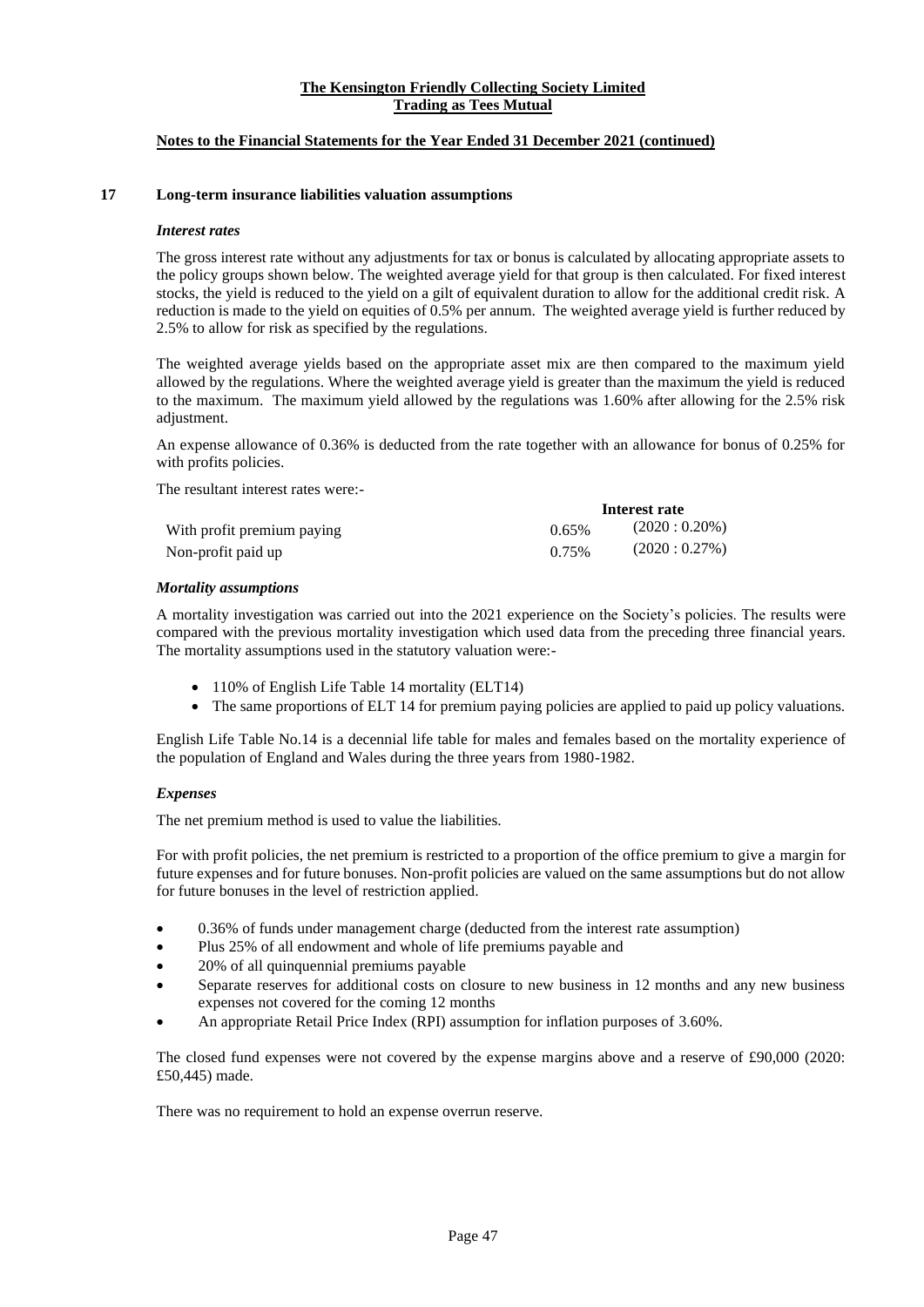# **Notes to the Financial Statements for the Year Ended 31 December 2021 (continued)**

#### **17 Long-term insurance liabilities valuation assumptions**

#### *Interest rates*

The gross interest rate without any adjustments for tax or bonus is calculated by allocating appropriate assets to the policy groups shown below. The weighted average yield for that group is then calculated. For fixed interest stocks, the yield is reduced to the yield on a gilt of equivalent duration to allow for the additional credit risk. A reduction is made to the yield on equities of 0.5% per annum. The weighted average yield is further reduced by 2.5% to allow for risk as specified by the regulations.

The weighted average yields based on the appropriate asset mix are then compared to the maximum yield allowed by the regulations. Where the weighted average yield is greater than the maximum the yield is reduced to the maximum. The maximum yield allowed by the regulations was 1.60% after allowing for the 2.5% risk adjustment.

An expense allowance of 0.36% is deducted from the rate together with an allowance for bonus of 0.25% for with profits policies.

**Interest rate**

The resultant interest rates were:-

|                            |          | mierest rate    |
|----------------------------|----------|-----------------|
| With profit premium paying | $0.65\%$ | $(2020:0.20\%)$ |
| Non-profit paid up         | 0.75%    | (2020:0.27%)    |

#### *Mortality assumptions*

A mortality investigation was carried out into the 2021 experience on the Society's policies. The results were compared with the previous mortality investigation which used data from the preceding three financial years. The mortality assumptions used in the statutory valuation were:-

- 110% of English Life Table 14 mortality (ELT14)
- The same proportions of ELT 14 for premium paying policies are applied to paid up policy valuations.

English Life Table No.14 is a decennial life table for males and females based on the mortality experience of the population of England and Wales during the three years from 1980-1982.

#### *Expenses*

The net premium method is used to value the liabilities.

For with profit policies, the net premium is restricted to a proportion of the office premium to give a margin for future expenses and for future bonuses. Non-profit policies are valued on the same assumptions but do not allow for future bonuses in the level of restriction applied.

- 0.36% of funds under management charge (deducted from the interest rate assumption)
- Plus 25% of all endowment and whole of life premiums payable and
- 20% of all quinquennial premiums payable
- Separate reserves for additional costs on closure to new business in 12 months and any new business expenses not covered for the coming 12 months
- An appropriate Retail Price Index (RPI) assumption for inflation purposes of 3.60%.

The closed fund expenses were not covered by the expense margins above and a reserve of £90,000 (2020: £50,445) made.

There was no requirement to hold an expense overrun reserve.